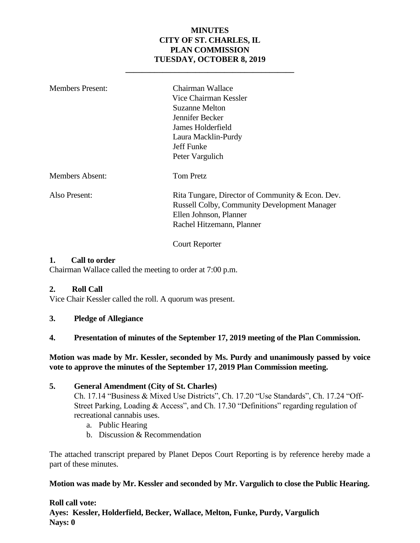#### **MINUTES CITY OF ST. CHARLES, IL PLAN COMMISSION TUESDAY, OCTOBER 8, 2019**

**\_\_\_\_\_\_\_\_\_\_\_\_\_\_\_\_\_\_\_\_\_\_\_\_\_\_\_\_\_\_\_\_\_\_\_\_\_\_\_\_\_**

| <b>Members Present:</b> | Chairman Wallace<br>Vice Chairman Kessler<br>Suzanne Melton<br>Jennifer Becker<br>James Holderfield<br>Laura Macklin-Purdy<br>Jeff Funke<br>Peter Vargulich    |
|-------------------------|----------------------------------------------------------------------------------------------------------------------------------------------------------------|
| Members Absent:         | <b>Tom Pretz</b>                                                                                                                                               |
| Also Present:           | Rita Tungare, Director of Community & Econ. Dev.<br><b>Russell Colby, Community Development Manager</b><br>Ellen Johnson, Planner<br>Rachel Hitzemann, Planner |

Court Reporter

#### **1. Call to order**

Chairman Wallace called the meeting to order at 7:00 p.m.

#### **2. Roll Call**

Vice Chair Kessler called the roll. A quorum was present.

**3. Pledge of Allegiance**

#### **4. Presentation of minutes of the September 17, 2019 meeting of the Plan Commission.**

#### **Motion was made by Mr. Kessler, seconded by Ms. Purdy and unanimously passed by voice vote to approve the minutes of the September 17, 2019 Plan Commission meeting.**

#### **5. General Amendment (City of St. Charles)**

Ch. 17.14 "Business & Mixed Use Districts", Ch. 17.20 "Use Standards", Ch. 17.24 "Off-Street Parking, Loading & Access", and Ch. 17.30 "Definitions" regarding regulation of recreational cannabis uses.

- a. Public Hearing
- b. Discussion & Recommendation

The attached transcript prepared by Planet Depos Court Reporting is by reference hereby made a part of these minutes.

#### **Motion was made by Mr. Kessler and seconded by Mr. Vargulich to close the Public Hearing.**

#### **Roll call vote: Ayes: Kessler, Holderfield, Becker, Wallace, Melton, Funke, Purdy, Vargulich Nays: 0**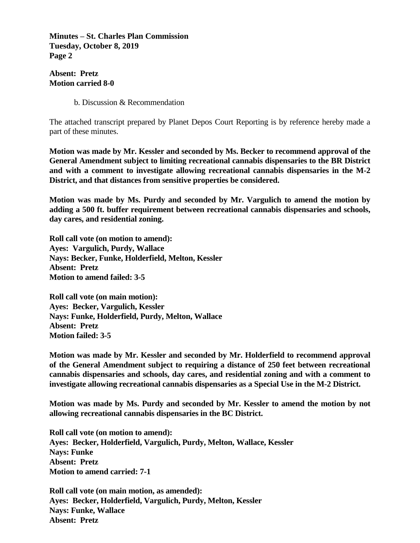**Minutes – St. Charles Plan Commission Tuesday, October 8, 2019 Page 2**

**Absent: Pretz Motion carried 8-0**

b. Discussion & Recommendation

The attached transcript prepared by Planet Depos Court Reporting is by reference hereby made a part of these minutes.

**Motion was made by Mr. Kessler and seconded by Ms. Becker to recommend approval of the General Amendment subject to limiting recreational cannabis dispensaries to the BR District and with a comment to investigate allowing recreational cannabis dispensaries in the M-2 District, and that distances from sensitive properties be considered.**

**Motion was made by Ms. Purdy and seconded by Mr. Vargulich to amend the motion by adding a 500 ft. buffer requirement between recreational cannabis dispensaries and schools, day cares, and residential zoning.** 

**Roll call vote (on motion to amend): Ayes: Vargulich, Purdy, Wallace Nays: Becker, Funke, Holderfield, Melton, Kessler Absent: Pretz Motion to amend failed: 3-5**

**Roll call vote (on main motion): Ayes: Becker, Vargulich, Kessler Nays: Funke, Holderfield, Purdy, Melton, Wallace Absent: Pretz Motion failed: 3-5**

**Motion was made by Mr. Kessler and seconded by Mr. Holderfield to recommend approval of the General Amendment subject to requiring a distance of 250 feet between recreational cannabis dispensaries and schools, day cares, and residential zoning and with a comment to investigate allowing recreational cannabis dispensaries as a Special Use in the M-2 District.** 

**Motion was made by Ms. Purdy and seconded by Mr. Kessler to amend the motion by not allowing recreational cannabis dispensaries in the BC District.** 

**Roll call vote (on motion to amend): Ayes: Becker, Holderfield, Vargulich, Purdy, Melton, Wallace, Kessler Nays: Funke Absent: Pretz Motion to amend carried: 7-1**

**Roll call vote (on main motion, as amended): Ayes: Becker, Holderfield, Vargulich, Purdy, Melton, Kessler Nays: Funke, Wallace Absent: Pretz**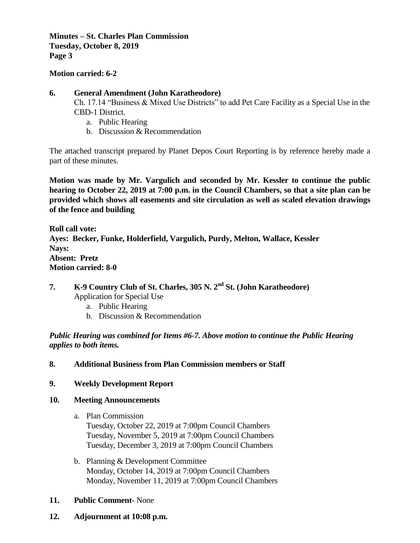**Minutes – St. Charles Plan Commission Tuesday, October 8, 2019 Page 3**

**Motion carried: 6-2**

#### **6. General Amendment (John Karatheodore)**

Ch. 17.14 "Business & Mixed Use Districts" to add Pet Care Facility as a Special Use in the CBD-1 District.

- a. Public Hearing
- b. Discussion & Recommendation

The attached transcript prepared by Planet Depos Court Reporting is by reference hereby made a part of these minutes.

**Motion was made by Mr. Vargulich and seconded by Mr. Kessler to continue the public hearing to October 22, 2019 at 7:00 p.m. in the Council Chambers, so that a site plan can be provided which shows all easements and site circulation as well as scaled elevation drawings of the fence and building** 

**Roll call vote: Ayes: Becker, Funke, Holderfield, Vargulich, Purdy, Melton, Wallace, Kessler Nays: Absent: Pretz Motion carried: 8-0**

#### **7. K-9 Country Club of St. Charles, 305 N. 2nd St. (John Karatheodore)**  Application for Special Use

- a. Public Hearing
- b. Discussion & Recommendation

*Public Hearing was combined for Items #6-7. Above motion to continue the Public Hearing applies to both items.* 

#### **8. Additional Business from Plan Commission members or Staff**

**9. Weekly Development Report**

#### **10. Meeting Announcements**

- a. Plan Commission Tuesday, October 22, 2019 at 7:00pm Council Chambers Tuesday, November 5, 2019 at 7:00pm Council Chambers Tuesday, December 3, 2019 at 7:00pm Council Chambers
- b. Planning & Development Committee Monday, October 14, 2019 at 7:00pm Council Chambers Monday, November 11, 2019 at 7:00pm Council Chambers
- **11. Public Comment-** None
- **12. Adjournment at 10:08 p.m.**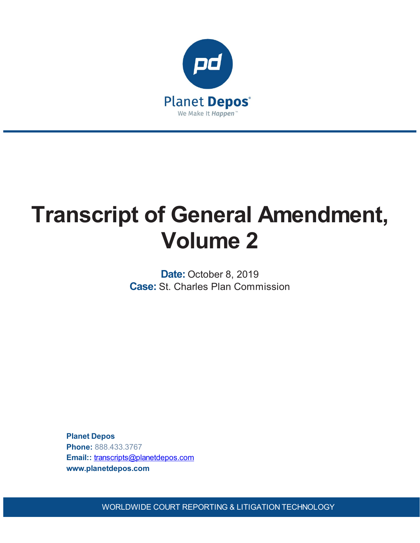

# **Transcript of General Amendment, Volume 2**

**Date:** October 8, 2019 **Case:** St. Charles Plan Commission

**Planet Depos Phone:** 888.433.3767 **Email::** [transcripts@planetdepos.com](mailto:transcripts@planetdepos.com) **www.planetdepos.com**

WORLDWIDE COURT REPORTING & LITIGATION TECHNOLOGY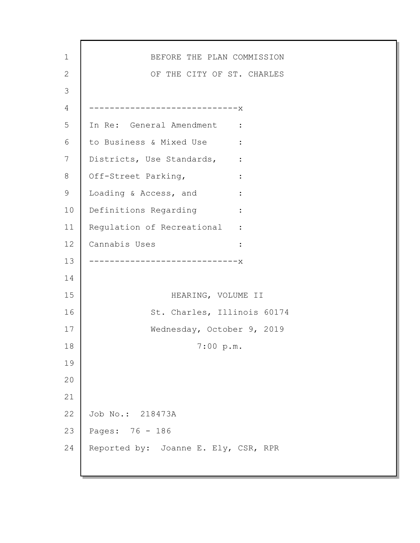| $\mathbf 1$ | BEFORE THE PLAN COMMISSION                               |
|-------------|----------------------------------------------------------|
| 2           | OF THE CITY OF ST. CHARLES                               |
| 3           |                                                          |
| 4           | ----------------------------X                            |
| 5           | In Re: General Amendment :                               |
| 6           | to Business & Mixed Use :                                |
| 7           | Districts, Use Standards,<br>$\sim$ $\sim$ $\sim$ $\sim$ |
| 8           | Off-Street Parking,                                      |
| 9           | Loading & Access, and<br>$\ddot{\cdot}$                  |
| 10          | Definitions Regarding<br>$\ddot{\cdot}$                  |
| 11          | Regulation of Recreational :                             |
| 12          | Cannabis Uses                                            |
| 13          | ------------------------X                                |
| 14          |                                                          |
| 15          | HEARING, VOLUME II                                       |
| 16          | St. Charles, Illinois 60174                              |
| 17          | Wednesday, October 9, 2019                               |
| 18          | 7:00 p.m.                                                |
| 19          |                                                          |
| 20          |                                                          |
| 21          |                                                          |
| 22          | Job No.: 218473A                                         |
| 23          | Pages: 76 - 186                                          |
| 24          | Reported by: Joanne E. Ely, CSR, RPR                     |
|             |                                                          |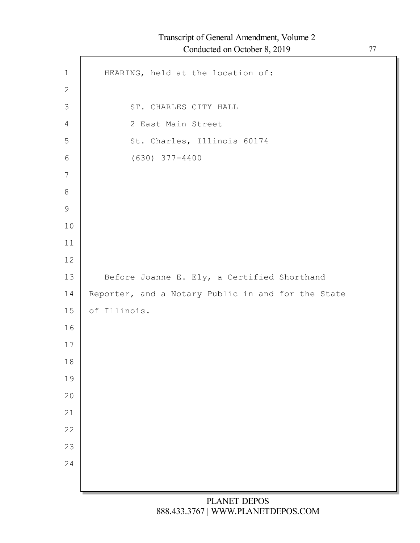| $1\,$          | HEARING, held at the location of:                  |
|----------------|----------------------------------------------------|
| $\mathbf{2}$   |                                                    |
| $\mathfrak{Z}$ | ST. CHARLES CITY HALL                              |
| $\overline{4}$ | 2 East Main Street                                 |
| 5              | St. Charles, Illinois 60174                        |
| 6              | $(630)$ $377 - 4400$                               |
| $\overline{7}$ |                                                    |
| $8\,$          |                                                    |
| $\mathsf 9$    |                                                    |
| 10             |                                                    |
| 11             |                                                    |
| 12             |                                                    |
| 13             | Before Joanne E. Ely, a Certified Shorthand        |
| 14             | Reporter, and a Notary Public in and for the State |
| 15             | of Illinois.                                       |
| 16             |                                                    |
| 17             |                                                    |
| 18             |                                                    |
| 19             |                                                    |
| 20             |                                                    |
| 21             |                                                    |
| 22             |                                                    |
| 23             |                                                    |
| 24             |                                                    |
|                |                                                    |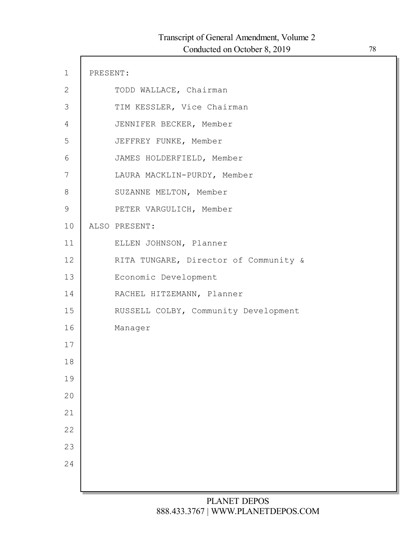| $\mathbf 1$ | PRESENT: |                                       |
|-------------|----------|---------------------------------------|
| 2           |          | TODD WALLACE, Chairman                |
| 3           |          | TIM KESSLER, Vice Chairman            |
| 4           |          | JENNIFER BECKER, Member               |
| 5           |          | JEFFREY FUNKE, Member                 |
| 6           |          | JAMES HOLDERFIELD, Member             |
| 7           |          | LAURA MACKLIN-PURDY, Member           |
| 8           |          | SUZANNE MELTON, Member                |
| 9           |          | PETER VARGULICH, Member               |
| 10          |          | ALSO PRESENT:                         |
| 11          |          | ELLEN JOHNSON, Planner                |
| 12          |          | RITA TUNGARE, Director of Community & |
| 13          |          | Economic Development                  |
| 14          |          | RACHEL HITZEMANN, Planner             |
| 15          |          | RUSSELL COLBY, Community Development  |
| 16          |          | Manager                               |
| 17          |          |                                       |
| 18          |          |                                       |
| 19          |          |                                       |
| 20          |          |                                       |
| 21          |          |                                       |
| 22          |          |                                       |
| 23          |          |                                       |
| 24          |          |                                       |
|             |          |                                       |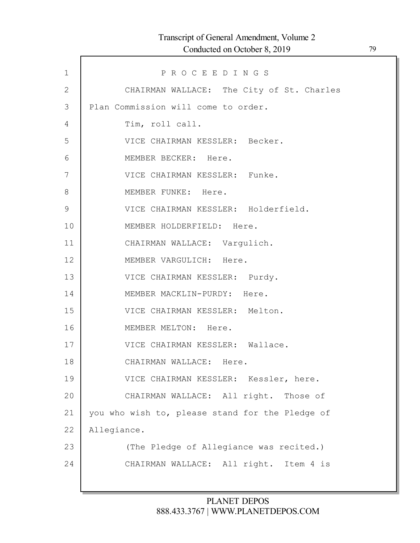| $\mathbf 1$   | PROCEEDINGS                                     |
|---------------|-------------------------------------------------|
| $\mathbf{2}$  | CHAIRMAN WALLACE: The City of St. Charles       |
| 3             | Plan Commission will come to order.             |
| 4             | Tim, roll call.                                 |
| 5             | VICE CHAIRMAN KESSLER: Becker.                  |
| 6             | MEMBER BECKER: Here.                            |
| 7             | VICE CHAIRMAN KESSLER: Funke.                   |
| $8\,$         | MEMBER FUNKE: Here.                             |
| $\mathcal{G}$ | VICE CHAIRMAN KESSLER: Holderfield.             |
| 10            | MEMBER HOLDERFIELD: Here.                       |
| 11            | CHAIRMAN WALLACE: Vargulich.                    |
| 12            | MEMBER VARGULICH: Here.                         |
| 13            | VICE CHAIRMAN KESSLER: Purdy.                   |
| 14            | MEMBER MACKLIN-PURDY: Here.                     |
| 15            | VICE CHAIRMAN KESSLER: Melton.                  |
| 16            | MEMBER MELTON: Here.                            |
| 17            | VICE CHAIRMAN KESSLER: Wallace.                 |
| 18            | CHAIRMAN WALLACE: Here.                         |
| 19            | VICE CHAIRMAN KESSLER: Kessler, here.           |
| 20            | CHAIRMAN WALLACE: All right. Those of           |
| 21            | you who wish to, please stand for the Pledge of |
| 22            | Allegiance.                                     |
| 23            | (The Pledge of Allegiance was recited.)         |
| 24            | CHAIRMAN WALLACE: All right. Item 4 is          |
|               |                                                 |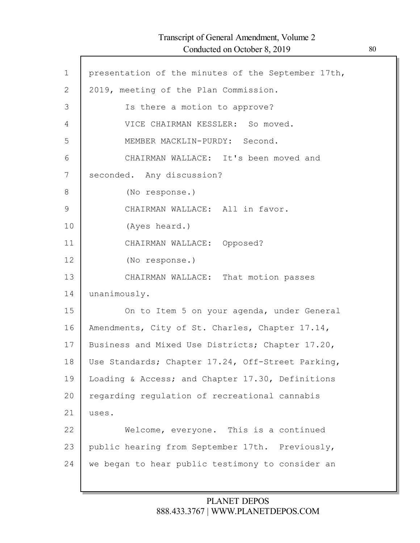Г

| $\mathbf 1$    | presentation of the minutes of the September 17th, |
|----------------|----------------------------------------------------|
| $\overline{2}$ | 2019, meeting of the Plan Commission.              |
| 3              | Is there a motion to approve?                      |
| 4              | VICE CHAIRMAN KESSLER: So moved.                   |
| 5              | MEMBER MACKLIN-PURDY: Second.                      |
| 6              | CHAIRMAN WALLACE: It's been moved and              |
| 7              | seconded. Any discussion?                          |
| 8              | (No response.)                                     |
| 9              | CHAIRMAN WALLACE: All in favor.                    |
| 10             | (Ayes heard.)                                      |
| 11             | CHAIRMAN WALLACE: Opposed?                         |
| 12             | (No response.)                                     |
| 13             | CHAIRMAN WALLACE: That motion passes               |
| 14             | unanimously.                                       |
| 15             | On to Item 5 on your agenda, under General         |
| 16             | Amendments, City of St. Charles, Chapter 17.14,    |
| 17             | Business and Mixed Use Districts; Chapter 17.20,   |
| 18             | Use Standards; Chapter 17.24, Off-Street Parking,  |
| 19             | Loading & Access; and Chapter 17.30, Definitions   |
| 20             | regarding regulation of recreational cannabis      |
| 21             | uses.                                              |
| 22             | Welcome, everyone. This is a continued             |
| 23             | public hearing from September 17th. Previously,    |
| 24             | we began to hear public testimony to consider an   |
|                |                                                    |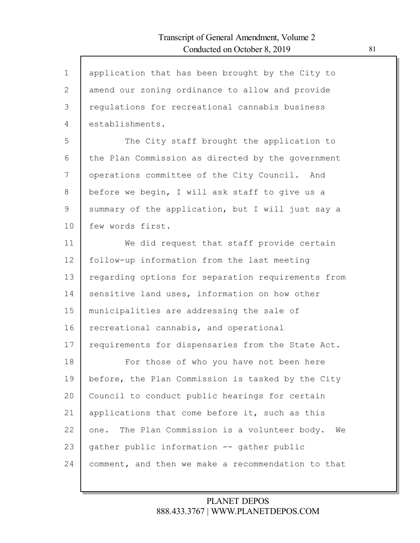$\mathsf{l}$ 

| $\mathbf 1$    | application that has been brought by the City to       |
|----------------|--------------------------------------------------------|
| 2              | amend our zoning ordinance to allow and provide        |
| 3              | regulations for recreational cannabis business         |
| $\overline{4}$ | establishments.                                        |
| 5              | The City staff brought the application to              |
| 6              | the Plan Commission as directed by the government      |
| 7              | operations committee of the City Council. And          |
| 8              | before we begin, I will ask staff to give us a         |
| 9              | summary of the application, but I will just say a      |
| 10             | few words first.                                       |
| 11             | We did request that staff provide certain              |
| 12             | follow-up information from the last meeting            |
| 13             | regarding options for separation requirements from     |
| 14             | sensitive land uses, information on how other          |
| 15             | municipalities are addressing the sale of              |
| 16             | recreational cannabis, and operational                 |
| 17             | requirements for dispensaries from the State Act.      |
| 18             | For those of who you have not been here                |
| 19             | before, the Plan Commission is tasked by the City      |
| 20             | Council to conduct public hearings for certain         |
| 21             | applications that come before it, such as this         |
| 22             | The Plan Commission is a volunteer body.<br>We<br>one. |
| 23             | gather public information -- gather public             |
| 24             | comment, and then we make a recommendation to that     |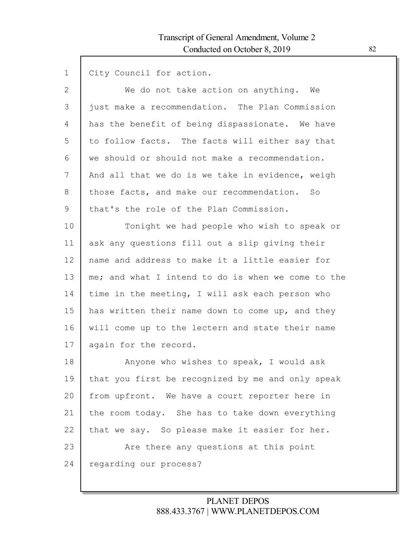| $\mathbf 1$ | City Council for action.                           |
|-------------|----------------------------------------------------|
| 2           | We do not take action on anything. We              |
| 3           | just make a recommendation. The Plan Commission    |
| 4           | has the benefit of being dispassionate. We have    |
| 5           | to follow facts. The facts will either say that    |
| 6           | we should or should not make a recommendation.     |
| 7           | And all that we do is we take in evidence, weigh   |
| 8           | those facts, and make our recommendation. So       |
| 9           | that's the role of the Plan Commission.            |
| 10          | Tonight we had people who wish to speak or         |
| 11          | ask any questions fill out a slip giving their     |
| 12          | name and address to make it a little easier for    |
| 13          | me; and what I intend to do is when we come to the |
| 14          | time in the meeting, I will ask each person who    |
| 15          | has written their name down to come up, and they   |
| 16          | will come up to the lectern and state their name   |
| 17          | again for the record.                              |
| 18          | Anyone who wishes to speak, I would ask            |
| 19          | that you first be recognized by me and only speak  |
| 20          | from upfront. We have a court reporter here in     |
| 21          | the room today. She has to take down everything    |
| 22          | that we say. So please make it easier for her.     |
| 23          | Are there any questions at this point              |
| 24          | regarding our process?                             |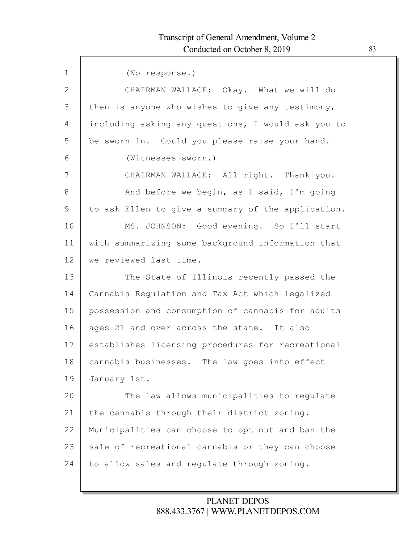| $\mathbf 1$ | (No response.)                                     |
|-------------|----------------------------------------------------|
| 2           | CHAIRMAN WALLACE: Okay. What we will do            |
| 3           | then is anyone who wishes to give any testimony,   |
| 4           | including asking any questions, I would ask you to |
| 5           | be sworn in. Could you please raise your hand.     |
| 6           | (Witnesses sworn.)                                 |
| 7           | CHAIRMAN WALLACE: All right. Thank you.            |
| 8           | And before we begin, as I said, I'm going          |
| 9           | to ask Ellen to give a summary of the application. |
| 10          | MS. JOHNSON: Good evening. So I'll start           |
| 11          | with summarizing some background information that  |
| 12          | we reviewed last time.                             |
| 13          | The State of Illinois recently passed the          |
| 14          | Cannabis Regulation and Tax Act which legalized    |
| 15          | possession and consumption of cannabis for adults  |
| 16          | ages 21 and over across the state. It also         |
| 17          | establishes licensing procedures for recreational  |
| 18          | cannabis businesses. The law goes into effect      |
| 19          | January 1st.                                       |
| 20          | The law allows municipalities to regulate          |
| 21          | the cannabis through their district zoning.        |
| 22          | Municipalities can choose to opt out and ban the   |
| 23          | sale of recreational cannabis or they can choose   |
| 24          | to allow sales and regulate through zoning.        |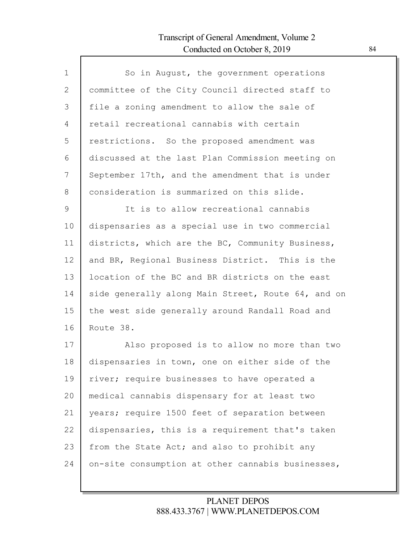Г

| $\mathbf{1}$  | So in August, the government operations            |
|---------------|----------------------------------------------------|
| $\mathbf{2}$  | committee of the City Council directed staff to    |
| 3             | file a zoning amendment to allow the sale of       |
| 4             | retail recreational cannabis with certain          |
| 5             | restrictions. So the proposed amendment was        |
| 6             | discussed at the last Plan Commission meeting on   |
| 7             | September 17th, and the amendment that is under    |
| 8             | consideration is summarized on this slide.         |
| $\mathcal{G}$ | It is to allow recreational cannabis               |
| 10            | dispensaries as a special use in two commercial    |
| 11            | districts, which are the BC, Community Business,   |
| 12            | and BR, Regional Business District. This is the    |
| 13            | location of the BC and BR districts on the east    |
| 14            | side generally along Main Street, Route 64, and on |
| 15            | the west side generally around Randall Road and    |
| 16            | Route 38.                                          |
| 17            | Also proposed is to allow no more than two         |
| 18            | dispensaries in town, one on either side of the    |
| 19            | river; require businesses to have operated a       |
| 20            | medical cannabis dispensary for at least two       |
| 21            | years; require 1500 feet of separation between     |
| 22            | dispensaries, this is a requirement that's taken   |
| 23            | from the State Act; and also to prohibit any       |
| 24            | on-site consumption at other cannabis businesses,  |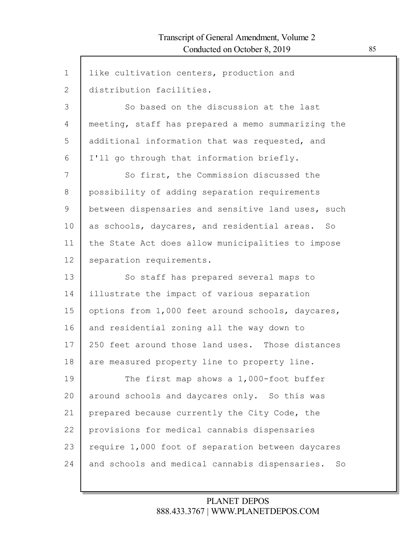$\mathsf{l}$ 

| $\mathbf{1}$ | like cultivation centers, production and           |
|--------------|----------------------------------------------------|
| $\mathbf{2}$ | distribution facilities.                           |
| 3            | So based on the discussion at the last             |
| 4            | meeting, staff has prepared a memo summarizing the |
| 5            | additional information that was requested, and     |
| 6            | I'll go through that information briefly.          |
| 7            | So first, the Commission discussed the             |
| $8\,$        | possibility of adding separation requirements      |
| 9            | between dispensaries and sensitive land uses, such |
| 10           | as schools, daycares, and residential areas. So    |
| 11           | the State Act does allow municipalities to impose  |
| 12           | separation requirements.                           |
|              |                                                    |
| 13           | So staff has prepared several maps to              |
| 14           | illustrate the impact of various separation        |
| 15           | options from 1,000 feet around schools, daycares,  |
| 16           | and residential zoning all the way down to         |
| 17           | 250 feet around those land uses. Those distances   |
| 18           | are measured property line to property line.       |
| 19           | The first map shows a 1,000-foot buffer            |
| 20           | around schools and daycares only. So this was      |
| 21           | prepared because currently the City Code, the      |
| 22           | provisions for medical cannabis dispensaries       |
| 23           | require 1,000 foot of separation between daycares  |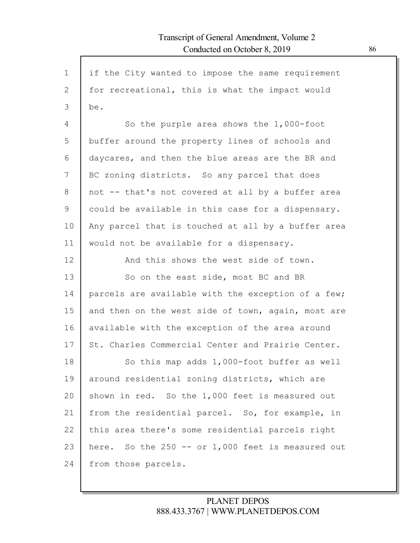| $\mathbf 1$  | if the City wanted to impose the same requirement  |
|--------------|----------------------------------------------------|
| $\mathbf{2}$ | for recreational, this is what the impact would    |
| 3            | be.                                                |
| 4            | So the purple area shows the 1,000-foot            |
| 5            | buffer around the property lines of schools and    |
| 6            | daycares, and then the blue areas are the BR and   |
| 7            | BC zoning districts. So any parcel that does       |
| 8            | not -- that's not covered at all by a buffer area  |
| 9            | could be available in this case for a dispensary.  |
| 10           | Any parcel that is touched at all by a buffer area |
| 11           | would not be available for a dispensary.           |
| 12           | And this shows the west side of town.              |
| 13           | So on the east side, most BC and BR                |
| 14           | parcels are available with the exception of a few; |
| 15           | and then on the west side of town, again, most are |
| 16           | available with the exception of the area around    |
| 17           | St. Charles Commercial Center and Prairie Center.  |
| 18           | So this map adds 1,000-foot buffer as well         |
| 19           | around residential zoning districts, which are     |
| 20           | shown in red. So the 1,000 feet is measured out    |
| 21           | from the residential parcel. So, for example, in   |
| 22           | this area there's some residential parcels right   |
| 23           | here. So the 250 -- or 1,000 feet is measured out  |
| 24           | from those parcels.                                |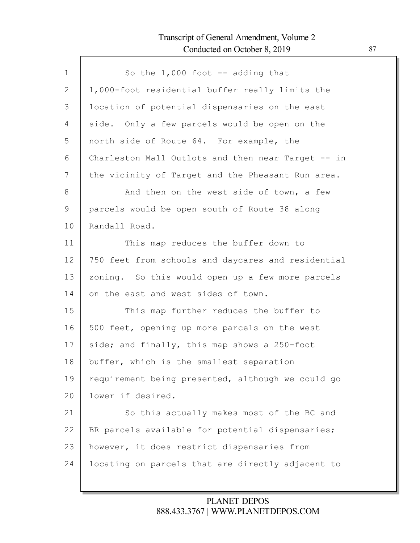Г

| $\mathbf 1$  | So the $1,000$ foot $-$ adding that                |
|--------------|----------------------------------------------------|
| $\mathbf{2}$ | 1,000-foot residential buffer really limits the    |
| 3            | location of potential dispensaries on the east     |
| 4            | side. Only a few parcels would be open on the      |
| 5            | north side of Route 64. For example, the           |
| 6            | Charleston Mall Outlots and then near Target -- in |
| 7            | the vicinity of Target and the Pheasant Run area.  |
| 8            | And then on the west side of town, a few           |
| 9            | parcels would be open south of Route 38 along      |
| 10           | Randall Road.                                      |
| 11           | This map reduces the buffer down to                |
| 12           | 750 feet from schools and daycares and residential |
| 13           | zoning. So this would open up a few more parcels   |
| 14           | on the east and west sides of town.                |
| 15           | This map further reduces the buffer to             |
| 16           | 500 feet, opening up more parcels on the west      |
| 17           | side; and finally, this map shows a 250-foot       |
| 18           | buffer, which is the smallest separation           |
| 19           | requirement being presented, although we could go  |
| 20           | lower if desired.                                  |
| 21           | So this actually makes most of the BC and          |
| 22           | BR parcels available for potential dispensaries;   |
| 23           | however, it does restrict dispensaries from        |
| 24           | locating on parcels that are directly adjacent to  |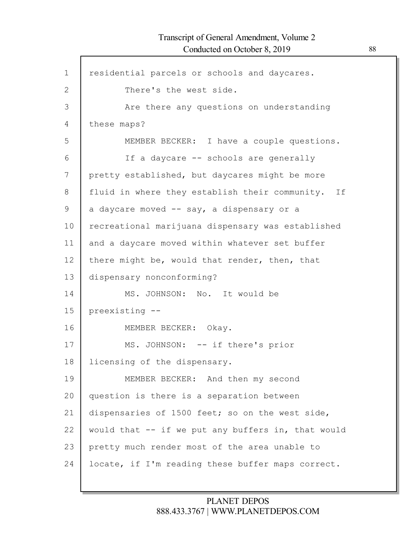$\mathsf{l}$ 

| $\mathbf 1$ | residential parcels or schools and daycares.         |
|-------------|------------------------------------------------------|
| 2           | There's the west side.                               |
| 3           | Are there any questions on understanding             |
| 4           | these maps?                                          |
| 5           | MEMBER BECKER: I have a couple questions.            |
| 6           | If a daycare -- schools are generally                |
| 7           | pretty established, but daycares might be more       |
| 8           | fluid in where they establish their community.<br>If |
| 9           | a daycare moved -- say, a dispensary or a            |
| 10          | recreational marijuana dispensary was established    |
| 11          | and a daycare moved within whatever set buffer       |
| 12          | there might be, would that render, then, that        |
| 13          | dispensary nonconforming?                            |
| 14          | MS. JOHNSON: No. It would be                         |
| 15          | preexisting --                                       |
| 16          | MEMBER BECKER: Okay.                                 |
| 17          | MS. JOHNSON: -- if there's prior                     |
| 18          | licensing of the dispensary.                         |
| 19          | MEMBER BECKER: And then my second                    |
| 20          | question is there is a separation between            |
| 21          | dispensaries of 1500 feet; so on the west side,      |
| 22          | would that -- if we put any buffers in, that would   |
| 23          | pretty much render most of the area unable to        |
| 24          | locate, if I'm reading these buffer maps correct.    |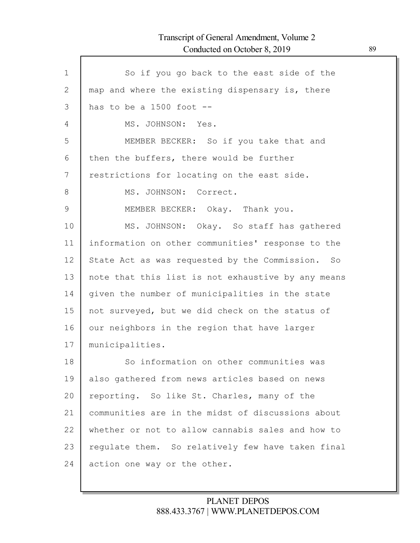Г

| $\mathbf 1$ | So if you go back to the east side of the          |
|-------------|----------------------------------------------------|
| 2           | map and where the existing dispensary is, there    |
| 3           | has to be a $1500$ foot $-$                        |
| 4           | MS. JOHNSON: Yes.                                  |
| 5           | MEMBER BECKER: So if you take that and             |
| 6           | then the buffers, there would be further           |
| 7           | restrictions for locating on the east side.        |
| 8           | MS. JOHNSON: Correct.                              |
| 9           | MEMBER BECKER: Okay. Thank you.                    |
| 10          | MS. JOHNSON: Okay. So staff has gathered           |
| 11          | information on other communities' response to the  |
| 12          | State Act as was requested by the Commission. So   |
| 13          | note that this list is not exhaustive by any means |
| 14          | given the number of municipalities in the state    |
| 15          | not surveyed, but we did check on the status of    |
| 16          | our neighbors in the region that have larger       |
| 17          | municipalities.                                    |
| 18          | So information on other communities was            |
| 19          | also gathered from news articles based on news     |
| 20          | reporting. So like St. Charles, many of the        |
| 21          | communities are in the midst of discussions about  |
| 22          | whether or not to allow cannabis sales and how to  |
| 23          | requlate them. So relatively few have taken final  |
| 24          | action one way or the other.                       |
|             |                                                    |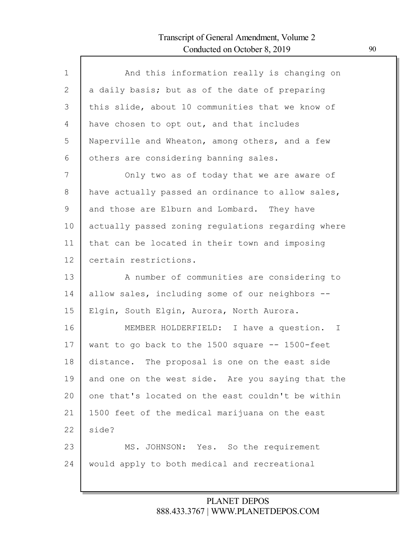| $\mathbf 1$ |                                                    |
|-------------|----------------------------------------------------|
|             | And this information really is changing on         |
| 2           | a daily basis; but as of the date of preparing     |
| 3           | this slide, about 10 communities that we know of   |
| 4           | have chosen to opt out, and that includes          |
| 5           | Naperville and Wheaton, among others, and a few    |
| 6           | others are considering banning sales.              |
| 7           | Only two as of today that we are aware of          |
| 8           | have actually passed an ordinance to allow sales,  |
| 9           | and those are Elburn and Lombard. They have        |
| 10          | actually passed zoning regulations regarding where |
| 11          | that can be located in their town and imposing     |
| 12          | certain restrictions.                              |
| 13          | A number of communities are considering to         |
| 14          | allow sales, including some of our neighbors --    |
| 15          | Elgin, South Elgin, Aurora, North Aurora.          |
| 16          | MEMBER HOLDERFIELD: I have a question. I           |
| 17          | want to go back to the 1500 square -- 1500-feet    |
| 18          | distance. The proposal is one on the east side     |
| 19          | and one on the west side. Are you saying that the  |
| 20          | one that's located on the east couldn't be within  |
| 21          | 1500 feet of the medical marijuana on the east     |
| 22          | side?                                              |
| 23          | MS. JOHNSON: Yes. So the requirement               |
| 24          | would apply to both medical and recreational       |
|             |                                                    |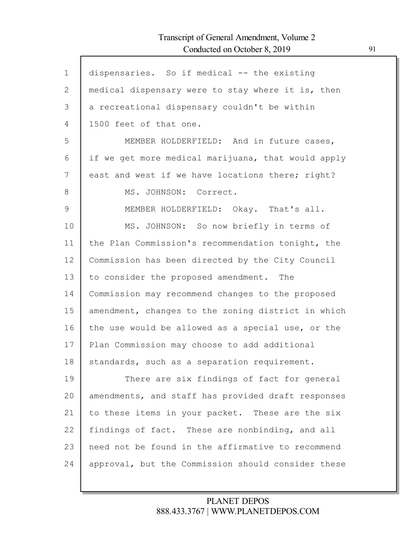| $\mathbf 1$ | dispensaries. So if medical -- the existing        |
|-------------|----------------------------------------------------|
| 2           | medical dispensary were to stay where it is, then  |
| 3           | a recreational dispensary couldn't be within       |
| 4           | 1500 feet of that one.                             |
| 5           | MEMBER HOLDERFIELD: And in future cases,           |
| 6           | if we get more medical marijuana, that would apply |
| 7           | east and west if we have locations there; right?   |
| 8           | MS. JOHNSON: Correct.                              |
| 9           | MEMBER HOLDERFIELD: Okay. That's all.              |
| 10          | MS. JOHNSON: So now briefly in terms of            |
| 11          | the Plan Commission's recommendation tonight, the  |
| 12          | Commission has been directed by the City Council   |
| 13          | to consider the proposed amendment. The            |
| 14          | Commission may recommend changes to the proposed   |
| 15          | amendment, changes to the zoning district in which |
| 16          | the use would be allowed as a special use, or the  |
| 17          | Plan Commission may choose to add additional       |
| 18          | standards, such as a separation requirement.       |
| 19          | There are six findings of fact for general         |
| 20          | amendments, and staff has provided draft responses |
| 21          | to these items in your packet. These are the six   |
| 22          | findings of fact. These are nonbinding, and all    |
| 23          | need not be found in the affirmative to recommend  |
| 24          | approval, but the Commission should consider these |
|             |                                                    |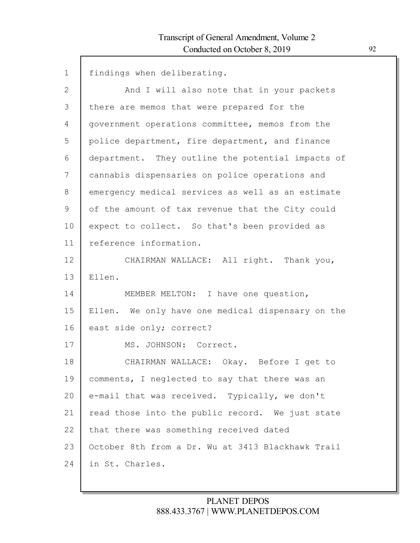| $\mathbf 1$  | findings when deliberating.                       |
|--------------|---------------------------------------------------|
| $\mathbf{2}$ | And I will also note that in your packets         |
| 3            | there are memos that were prepared for the        |
| 4            | government operations committee, memos from the   |
| 5            | police department, fire department, and finance   |
| 6            | department. They outline the potential impacts of |
| 7            | cannabis dispensaries on police operations and    |
| 8            | emergency medical services as well as an estimate |
| 9            | of the amount of tax revenue that the City could  |
| 10           | expect to collect. So that's been provided as     |
| 11           | reference information.                            |
| 12           | CHAIRMAN WALLACE: All right. Thank you,           |
| 13           | Ellen.                                            |
| 14           | MEMBER MELTON: I have one question,               |
| 15           | Ellen. We only have one medical dispensary on the |
| 16           | east side only; correct?                          |
| 17           | MS. JOHNSON: Correct.                             |
| 18           | CHAIRMAN WALLACE: Okay. Before I get to           |
| 19           | comments, I neglected to say that there was an    |
| 20           | e-mail that was received. Typically, we don't     |
| 21           | read those into the public record. We just state  |
| 22           | that there was something received dated           |
| 23           | October 8th from a Dr. Wu at 3413 Blackhawk Trail |
| 24           | in St. Charles.                                   |
|              |                                                   |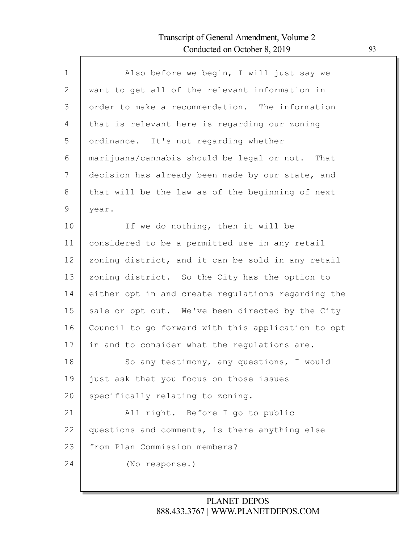| $\mathbf{1}$ | Also before we begin, I will just say we           |
|--------------|----------------------------------------------------|
| 2            | want to get all of the relevant information in     |
| 3            | order to make a recommendation. The information    |
| 4            | that is relevant here is regarding our zoning      |
| 5            | ordinance. It's not regarding whether              |
| 6            | marijuana/cannabis should be legal or not. That    |
| 7            | decision has already been made by our state, and   |
| 8            | that will be the law as of the beginning of next   |
| 9            | year.                                              |
| 10           | If we do nothing, then it will be                  |
| 11           | considered to be a permitted use in any retail     |
| 12           | zoning district, and it can be sold in any retail  |
| 13           | zoning district. So the City has the option to     |
| 14           | either opt in and create regulations regarding the |
| 15           | sale or opt out. We've been directed by the City   |
| 16           | Council to go forward with this application to opt |
| 17           | in and to consider what the regulations are.       |
| 18           | So any testimony, any questions, I would           |
| 19           | just ask that you focus on those issues            |
| 20           | specifically relating to zoning.                   |
| 21           | All right. Before I go to public                   |
| 22           | questions and comments, is there anything else     |
| 23           | from Plan Commission members?                      |
| 24           | (No response.)                                     |
|              |                                                    |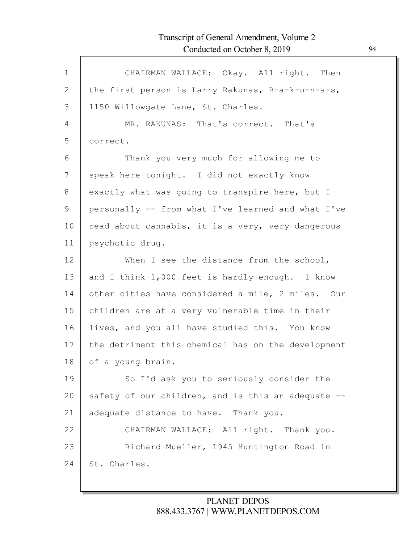| $\mathbf 1$ | CHAIRMAN WALLACE: Okay. All right. Then            |
|-------------|----------------------------------------------------|
| 2           | the first person is Larry Rakunas, R-a-k-u-n-a-s,  |
| 3           | 1150 Willowgate Lane, St. Charles.                 |
| 4           | MR. RAKUNAS: That's correct. That's                |
| 5           | correct.                                           |
| 6           | Thank you very much for allowing me to             |
| 7           | speak here tonight. I did not exactly know         |
| 8           | exactly what was going to transpire here, but I    |
| 9           | personally -- from what I've learned and what I've |
| 10          | read about cannabis, it is a very, very dangerous  |
| 11          | psychotic drug.                                    |
| 12          | When I see the distance from the school,           |
| 13          | and I think 1,000 feet is hardly enough. I know    |
| 14          | other cities have considered a mile, 2 miles. Our  |
| 15          | children are at a very vulnerable time in their    |
| 16          | lives, and you all have studied this. You know     |
| 17          | the detriment this chemical has on the development |
| 18          | of a young brain.                                  |
| 19          | So I'd ask you to seriously consider the           |
| 20          | safety of our children, and is this an adequate -- |
| 21          | adequate distance to have. Thank you.              |
| 22          | CHAIRMAN WALLACE: All right. Thank you.            |
| 23          | Richard Mueller, 1945 Huntington Road in           |
| 24          | St. Charles.                                       |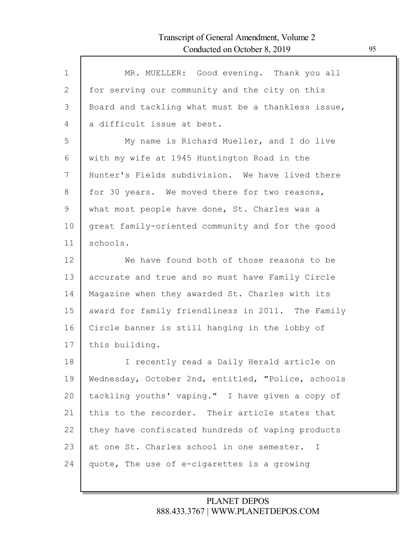| $\mathbf{1}$ | MR. MUELLER: Good evening. Thank you all           |
|--------------|----------------------------------------------------|
| $\mathbf{2}$ | for serving our community and the city on this     |
| 3            | Board and tackling what must be a thankless issue, |
| 4            | a difficult issue at best.                         |
| 5            | My name is Richard Mueller, and I do live          |
| 6            | with my wife at 1945 Huntington Road in the        |
| 7            | Hunter's Fields subdivision. We have lived there   |
| 8            | for 30 years. We moved there for two reasons,      |
| 9            | what most people have done, St. Charles was a      |
| 10           | great family-oriented community and for the good   |
| 11           | schools.                                           |
| 12           | We have found both of those reasons to be          |
| 13           | accurate and true and so must have Family Circle   |
| 14           | Magazine when they awarded St. Charles with its    |
| 15           | award for family friendliness in 2011. The Family  |
| 16           | Circle banner is still hanging in the lobby of     |
| 17           | this building.                                     |
| 18           | I recently read a Daily Herald article on          |
| 19           | Wednesday, October 2nd, entitled, "Police, schools |
| 20           | tackling youths' vaping." I have given a copy of   |
| 21           | this to the recorder. Their article states that    |
| 22           | they have confiscated hundreds of vaping products  |
| 23           | at one St. Charles school in one semester. I       |
| 24           | quote, The use of e-cigarettes is a growing        |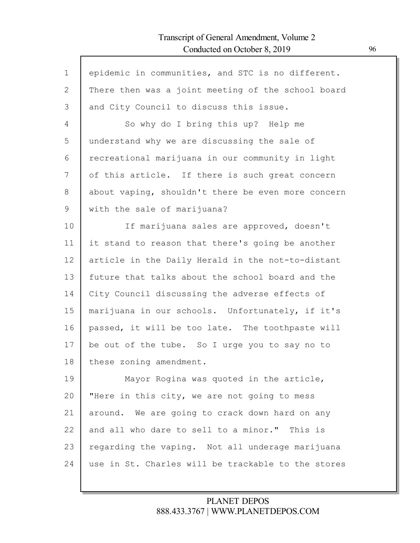Г

| $\mathbf 1$ | epidemic in communities, and STC is no different.  |
|-------------|----------------------------------------------------|
| 2           | There then was a joint meeting of the school board |
| 3           | and City Council to discuss this issue.            |
| 4           | So why do I bring this up? Help me                 |
| 5           | understand why we are discussing the sale of       |
| 6           | recreational marijuana in our community in light   |
| 7           | of this article. If there is such great concern    |
| 8           | about vaping, shouldn't there be even more concern |
| 9           | with the sale of marijuana?                        |
| 10          | If marijuana sales are approved, doesn't           |
| 11          | it stand to reason that there's going be another   |
| 12          | article in the Daily Herald in the not-to-distant  |
| 13          | future that talks about the school board and the   |
| 14          | City Council discussing the adverse effects of     |
| 15          | marijuana in our schools. Unfortunately, if it's   |
| 16          | passed, it will be too late. The toothpaste will   |
| 17          | be out of the tube. So I urge you to say no to     |
| 18          | these zoning amendment.                            |
| 19          | Mayor Rogina was quoted in the article,            |
| 20          | "Here in this city, we are not going to mess       |
| 21          | around. We are going to crack down hard on any     |
| 22          | and all who dare to sell to a minor." This is      |
| 23          | regarding the vaping. Not all underage marijuana   |
| 24          | use in St. Charles will be trackable to the stores |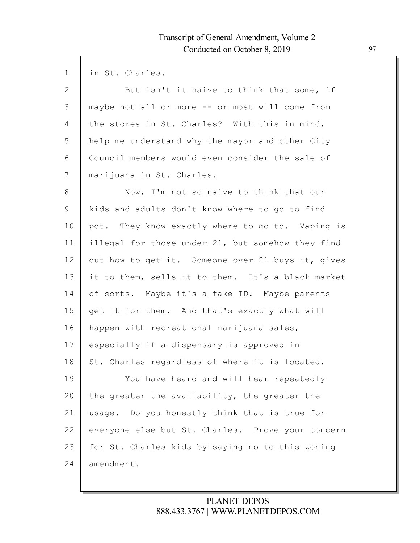| $\mathbf 1$  | in St. Charles.                                   |
|--------------|---------------------------------------------------|
| $\mathbf{2}$ | But isn't it naive to think that some, if         |
| 3            | maybe not all or more -- or most will come from   |
| 4            | the stores in St. Charles? With this in mind,     |
| 5            | help me understand why the mayor and other City   |
| 6            | Council members would even consider the sale of   |
| 7            | marijuana in St. Charles.                         |
| $8\,$        | Now, I'm not so naive to think that our           |
| $\mathsf 9$  | kids and adults don't know where to go to find    |
| 10           | pot. They know exactly where to go to. Vaping is  |
| 11           | illegal for those under 21, but somehow they find |
| 12           | out how to get it. Someone over 21 buys it, gives |
| 13           | it to them, sells it to them. It's a black market |
| 14           | of sorts. Maybe it's a fake ID. Maybe parents     |
| 15           | get it for them. And that's exactly what will     |
| 16           | happen with recreational marijuana sales,         |
| 17           | especially if a dispensary is approved in         |
| 18           | St. Charles regardless of where it is located.    |
| 19           | You have heard and will hear repeatedly           |
| 20           | the greater the availability, the greater the     |
| 21           | Do you honestly think that is true for<br>usage.  |
| 22           | everyone else but St. Charles. Prove your concern |
| 23           | for St. Charles kids by saying no to this zoning  |
| 24           | amendment.                                        |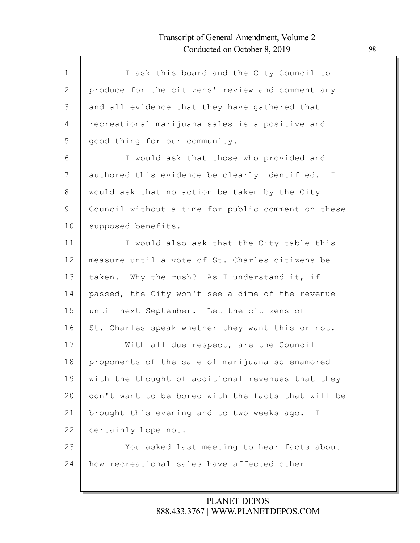| $\mathbf 1$ | I ask this board and the City Council to                  |
|-------------|-----------------------------------------------------------|
| 2           | produce for the citizens' review and comment any          |
| 3           | and all evidence that they have gathered that             |
| 4           | recreational marijuana sales is a positive and            |
| 5           | good thing for our community.                             |
| 6           | I would ask that those who provided and                   |
| 7           | authored this evidence be clearly identified. I           |
| 8           | would ask that no action be taken by the City             |
| 9           | Council without a time for public comment on these        |
| 10          | supposed benefits.                                        |
| 11          | I would also ask that the City table this                 |
| 12          | measure until a vote of St. Charles citizens be           |
| 13          | taken. Why the rush? As I understand it, if               |
| 14          | passed, the City won't see a dime of the revenue          |
| 15          | until next September. Let the citizens of                 |
| 16          | St. Charles speak whether they want this or not.          |
| 17          | With all due respect, are the Council                     |
| 18          | proponents of the sale of marijuana so enamored           |
| 19          | with the thought of additional revenues that they         |
|             |                                                           |
| 20          | don't want to be bored with the facts that will be        |
| 21          | brought this evening and to two weeks ago.<br>$\mathbf I$ |
| 22          | certainly hope not.                                       |
| 23          | You asked last meeting to hear facts about                |
| 24          | how recreational sales have affected other                |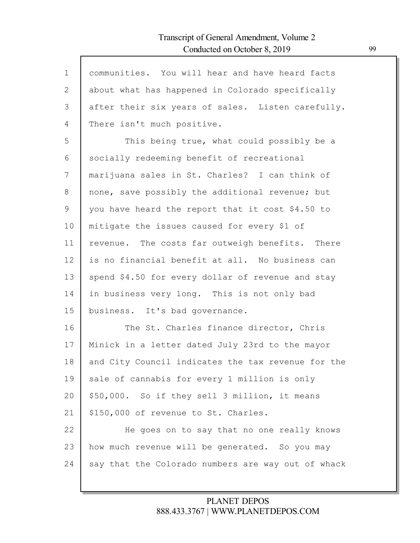| $\mathbf{1}$ | communities. You will hear and have heard facts    |
|--------------|----------------------------------------------------|
| $\mathbf{2}$ | about what has happened in Colorado specifically   |
| 3            | after their six years of sales. Listen carefully.  |
| 4            | There isn't much positive.                         |
| 5            | This being true, what could possibly be a          |
| 6            | socially redeeming benefit of recreational         |
| 7            | marijuana sales in St. Charles? I can think of     |
| 8            | none, save possibly the additional revenue; but    |
| 9            | you have heard the report that it cost \$4.50 to   |
| 10           | mitigate the issues caused for every \$1 of        |
| 11           | revenue. The costs far outweigh benefits. There    |
| 12           | is no financial benefit at all. No business can    |
| 13           | spend \$4.50 for every dollar of revenue and stay  |
| 14           | in business very long. This is not only bad        |
| 15           | business. It's bad governance.                     |
| 16           | The St. Charles finance director, Chris            |
| 17           | Minick in a letter dated July 23rd to the mayor    |
| 18           | and City Council indicates the tax revenue for the |
| 19           | sale of cannabis for every 1 million is only       |
| 20           | \$50,000. So if they sell 3 million, it means      |
| 21           | \$150,000 of revenue to St. Charles.               |
| 22           | He goes on to say that no one really knows         |
| 23           | how much revenue will be generated. So you may     |
| 24           | say that the Colorado numbers are way out of whack |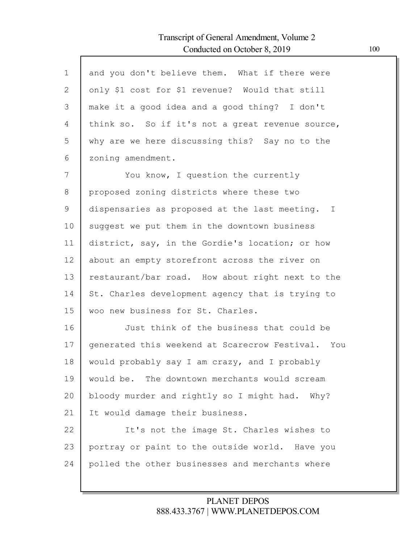| $\mathbf{1}$ | and you don't believe them. What if there were    |
|--------------|---------------------------------------------------|
| $\mathbf{2}$ | only \$1 cost for \$1 revenue? Would that still   |
| 3            | make it a good idea and a good thing? I don't     |
| 4            | think so. So if it's not a great revenue source,  |
| 5            | why are we here discussing this? Say no to the    |
| 6            | zoning amendment.                                 |
| 7            | You know, I question the currently                |
| 8            | proposed zoning districts where these two         |
| 9            | dispensaries as proposed at the last meeting. I   |
| 10           | suggest we put them in the downtown business      |
| 11           | district, say, in the Gordie's location; or how   |
| 12           | about an empty storefront across the river on     |
| 13           | restaurant/bar road. How about right next to the  |
| 14           | St. Charles development agency that is trying to  |
| 15           | woo new business for St. Charles.                 |
| 16           | Just think of the business that could be          |
| 17           | generated this weekend at Scarecrow Festival. You |
| 18           | would probably say I am crazy, and I probably     |
| 19           | would be. The downtown merchants would scream     |
| 20           | bloody murder and rightly so I might had. Why?    |
| 21           | It would damage their business.                   |
| 22           | It's not the image St. Charles wishes to          |
| 23           | portray or paint to the outside world. Have you   |
| 24           | polled the other businesses and merchants where   |
|              |                                                   |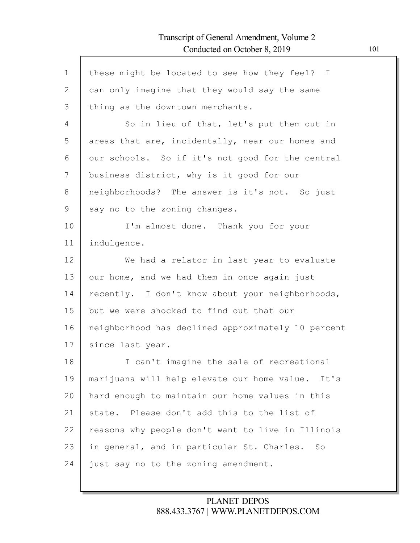$\mathsf{l}$ 

| $\mathbf 1$    | these might be located to see how they feel? I     |
|----------------|----------------------------------------------------|
| $\overline{2}$ | can only imagine that they would say the same      |
| 3              | thing as the downtown merchants.                   |
| $\overline{4}$ | So in lieu of that, let's put them out in          |
| 5              | areas that are, incidentally, near our homes and   |
| 6              | our schools. So if it's not good for the central   |
| 7              | business district, why is it good for our          |
| 8              | neighborhoods? The answer is it's not. So just     |
| 9              | say no to the zoning changes.                      |
| 10             | I'm almost done. Thank you for your                |
| 11             | indulgence.                                        |
| 12             | We had a relator in last year to evaluate          |
| 13             | our home, and we had them in once again just       |
| 14             | recently. I don't know about your neighborhoods,   |
| 15             | but we were shocked to find out that our           |
| 16             | neighborhood has declined approximately 10 percent |
| 17             | since last year.                                   |
| 18             | I can't imagine the sale of recreational           |
| 19             | marijuana will help elevate our home value. It's   |
| 20             | hard enough to maintain our home values in this    |
| 21             | state. Please don't add this to the list of        |
| 22             | reasons why people don't want to live in Illinois  |
| 23             | in general, and in particular St. Charles. So      |
| 24             | just say no to the zoning amendment.               |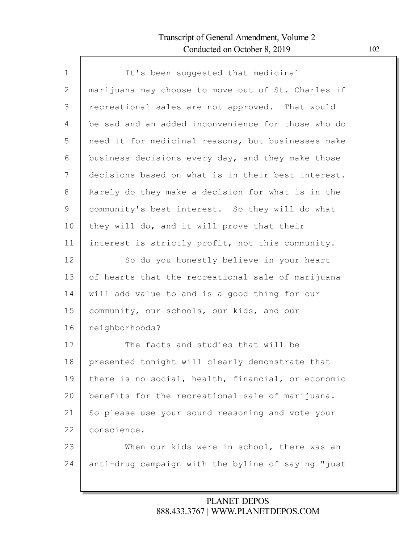Г

| $\mathbf{1}$ | It's been suggested that medicinal                 |
|--------------|----------------------------------------------------|
| $\mathbf{2}$ | marijuana may choose to move out of St. Charles if |
| 3            | recreational sales are not approved. That would    |
| 4            | be sad and an added inconvenience for those who do |
| 5            | need it for medicinal reasons, but businesses make |
| 6            | business decisions every day, and they make those  |
| 7            | decisions based on what is in their best interest. |
| 8            | Rarely do they make a decision for what is in the  |
| 9            | community's best interest. So they will do what    |
| 10           | they will do, and it will prove that their         |
| 11           | interest is strictly profit, not this community.   |
| 12           | So do you honestly believe in your heart           |
| 13           | of hearts that the recreational sale of marijuana  |
| 14           | will add value to and is a good thing for our      |
| 15           | community, our schools, our kids, and our          |
| 16           | neighborhoods?                                     |
| 17           | The facts and studies that will be                 |
| 18           | presented tonight will clearly demonstrate that    |
| 19           | there is no social, health, financial, or economic |
| 20           | benefits for the recreational sale of marijuana.   |
| 21           | So please use your sound reasoning and vote your   |
| 22           | conscience.                                        |
| 23           | When our kids were in school, there was an         |
| 24           | anti-drug campaign with the byline of saying "just |
|              |                                                    |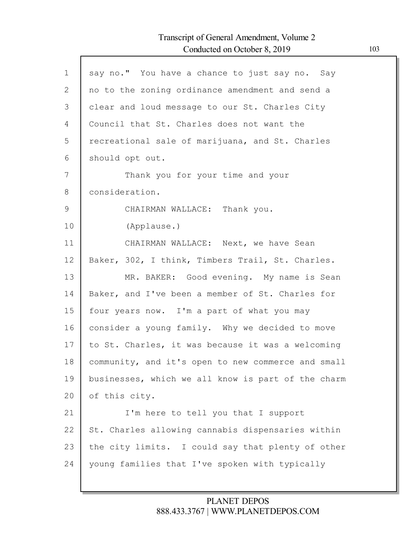| $\mathbf{1}$  | say no." You have a chance to just say no. Say     |
|---------------|----------------------------------------------------|
| $\mathbf{2}$  | no to the zoning ordinance amendment and send a    |
| 3             | clear and loud message to our St. Charles City     |
| 4             | Council that St. Charles does not want the         |
| 5             | recreational sale of marijuana, and St. Charles    |
| 6             | should opt out.                                    |
| 7             | Thank you for your time and your                   |
| 8             | consideration.                                     |
| $\mathcal{G}$ | CHAIRMAN WALLACE: Thank you.                       |
| 10            | (Applause.)                                        |
| 11            | CHAIRMAN WALLACE: Next, we have Sean               |
| 12            | Baker, 302, I think, Timbers Trail, St. Charles.   |
| 13            | MR. BAKER: Good evening. My name is Sean           |
| 14            | Baker, and I've been a member of St. Charles for   |
| 15            | four years now. I'm a part of what you may         |
| 16            | consider a young family. Why we decided to move    |
| 17            | to St. Charles, it was because it was a welcoming  |
| 18            | community, and it's open to new commerce and small |
| 19            | businesses, which we all know is part of the charm |
| 20            | of this city.                                      |
| 21            | I'm here to tell you that I support                |
| 22            | St. Charles allowing cannabis dispensaries within  |
| 23            | the city limits. I could say that plenty of other  |
| 24            | young families that I've spoken with typically     |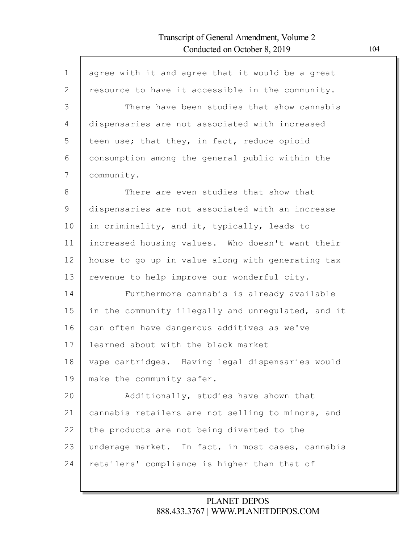| $\mathbf{1}$ | agree with it and agree that it would be a great   |
|--------------|----------------------------------------------------|
| $\mathbf{2}$ | resource to have it accessible in the community.   |
| 3            | There have been studies that show cannabis         |
| 4            | dispensaries are not associated with increased     |
| 5            | teen use; that they, in fact, reduce opioid        |
| 6            | consumption among the general public within the    |
| 7            | community.                                         |
| 8            | There are even studies that show that              |
| 9            | dispensaries are not associated with an increase   |
| 10           | in criminality, and it, typically, leads to        |
| 11           | increased housing values. Who doesn't want their   |
| 12           | house to go up in value along with generating tax  |
| 13           | revenue to help improve our wonderful city.        |
| 14           | Furthermore cannabis is already available          |
| 15           | in the community illegally and unregulated, and it |
| 16           | can often have dangerous additives as we've        |
| 17           | learned about with the black market                |
| 18           | vape cartridges. Having legal dispensaries would   |
| 19           | make the community safer.                          |
| 20           | Additionally, studies have shown that              |
| 21           | cannabis retailers are not selling to minors, and  |
| 22           | the products are not being diverted to the         |
| 23           | underage market. In fact, in most cases, cannabis  |
| 24           | retailers' compliance is higher than that of       |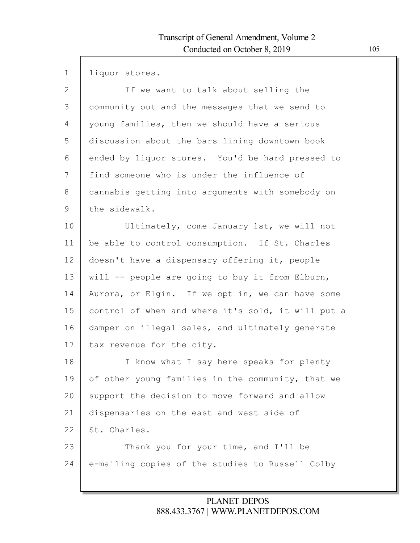| $\mathbf 1$  | liquor stores.                                     |
|--------------|----------------------------------------------------|
| $\mathbf{2}$ | If we want to talk about selling the               |
| 3            | community out and the messages that we send to     |
| 4            | young families, then we should have a serious      |
| 5            | discussion about the bars lining downtown book     |
| 6            | ended by liquor stores. You'd be hard pressed to   |
| 7            | find someone who is under the influence of         |
| $8\,$        | cannabis getting into arguments with somebody on   |
| 9            | the sidewalk.                                      |
| 10           | Ultimately, come January 1st, we will not          |
| 11           | be able to control consumption. If St. Charles     |
| 12           | doesn't have a dispensary offering it, people      |
| 13           | will -- people are going to buy it from Elburn,    |
| 14           | Aurora, or Elgin. If we opt in, we can have some   |
| 15           | control of when and where it's sold, it will put a |
| 16           | damper on illegal sales, and ultimately generate   |
| 17           | tax revenue for the city.                          |
| 18           | know what I say here speaks for plenty<br>$\perp$  |
| 19           | of other young families in the community, that we  |
| 20           | support the decision to move forward and allow     |
| 21           | dispensaries on the east and west side of          |
| 22           | St. Charles.                                       |
| 23           | Thank you for your time, and I'll be               |
| 24           | e-mailing copies of the studies to Russell Colby   |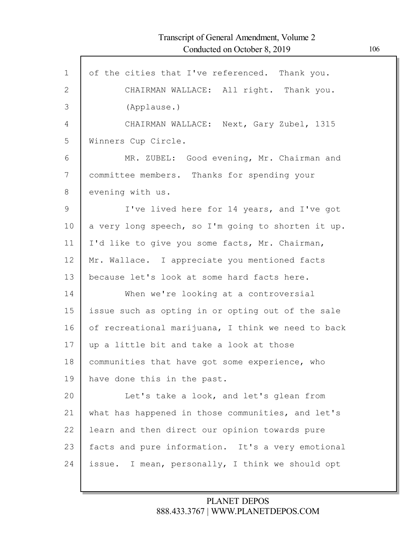| $\mathbf{1}$ | of the cities that I've referenced. Thank you.     |
|--------------|----------------------------------------------------|
| 2            | CHAIRMAN WALLACE: All right. Thank you.            |
| 3            | (Applause.)                                        |
| 4            | CHAIRMAN WALLACE: Next, Gary Zubel, 1315           |
| 5            | Winners Cup Circle.                                |
| 6            | MR. ZUBEL: Good evening, Mr. Chairman and          |
| 7            | committee members. Thanks for spending your        |
| 8            | evening with us.                                   |
| 9            | I've lived here for 14 years, and I've got         |
| 10           | a very long speech, so I'm going to shorten it up. |
| 11           | I'd like to give you some facts, Mr. Chairman,     |
| 12           | Mr. Wallace. I appreciate you mentioned facts      |
| 13           | because let's look at some hard facts here.        |
| 14           | When we're looking at a controversial              |
| 15           | issue such as opting in or opting out of the sale  |
| 16           | of recreational marijuana, I think we need to back |
| 17           | up a little bit and take a look at those           |
| 18           | communities that have got some experience, who     |
| 19           | have done this in the past.                        |
| 20           | Let's take a look, and let's glean from            |
| 21           | what has happened in those communities, and let's  |
| 22           | learn and then direct our opinion towards pure     |
| 23           | facts and pure information. It's a very emotional  |
| 24           | issue. I mean, personally, I think we should opt   |
|              |                                                    |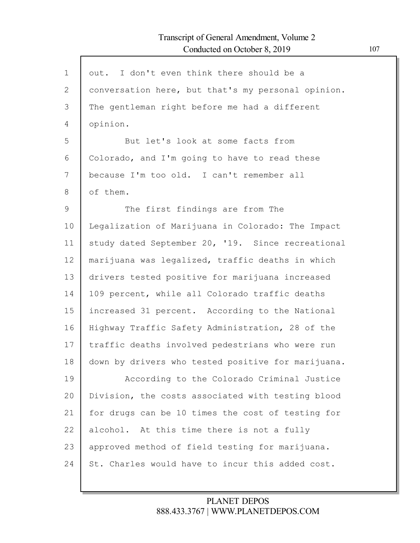| $\mathbf 1$    | out. I don't even think there should be a          |
|----------------|----------------------------------------------------|
| $\overline{2}$ | conversation here, but that's my personal opinion. |
| 3              | The gentleman right before me had a different      |
| 4              | opinion.                                           |
| 5              | But let's look at some facts from                  |
| 6              | Colorado, and I'm going to have to read these      |
| 7              | because I'm too old. I can't remember all          |
| 8              | of them.                                           |
| 9              | The first findings are from The                    |
| 10             | Legalization of Marijuana in Colorado: The Impact  |
| 11             | study dated September 20, '19. Since recreational  |
| 12             | marijuana was legalized, traffic deaths in which   |
| 13             | drivers tested positive for marijuana increased    |
| 14             | 109 percent, while all Colorado traffic deaths     |
| 15             | increased 31 percent. According to the National    |
| 16             | Highway Traffic Safety Administration, 28 of the   |
| 17             | traffic deaths involved pedestrians who were run   |
| 18             | down by drivers who tested positive for marijuana. |
| 19             | According to the Colorado Criminal Justice         |
| 20             | Division, the costs associated with testing blood  |
| 21             | for drugs can be 10 times the cost of testing for  |
| 22             | alcohol. At this time there is not a fully         |
| 23             | approved method of field testing for marijuana.    |
| 24             | St. Charles would have to incur this added cost.   |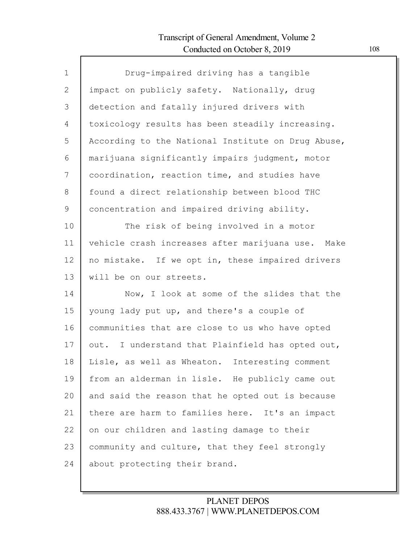Г

| $\mathbf{1}$ | Drug-impaired driving has a tangible               |
|--------------|----------------------------------------------------|
| $\mathbf{2}$ | impact on publicly safety. Nationally, drug        |
| 3            | detection and fatally injured drivers with         |
| 4            | toxicology results has been steadily increasing.   |
| 5            | According to the National Institute on Drug Abuse, |
| 6            | marijuana significantly impairs judgment, motor    |
| 7            | coordination, reaction time, and studies have      |
| 8            | found a direct relationship between blood THC      |
| $\mathsf 9$  | concentration and impaired driving ability.        |
| 10           | The risk of being involved in a motor              |
| 11           | vehicle crash increases after marijuana use. Make  |
| 12           | no mistake. If we opt in, these impaired drivers   |
| 13           | will be on our streets.                            |
| 14           | Now, I look at some of the slides that the         |
| 15           | young lady put up, and there's a couple of         |
| 16           | communities that are close to us who have opted    |
| 17           | out. I understand that Plainfield has opted out,   |
| 18           | Lisle, as well as Wheaton. Interesting comment     |
| 19           | from an alderman in lisle. He publicly came out    |
| 20           | and said the reason that he opted out is because   |
| 21           | there are harm to families here. It's an impact    |
| 22           | on our children and lasting damage to their        |
| 23           | community and culture, that they feel strongly     |
| 24           | about protecting their brand.                      |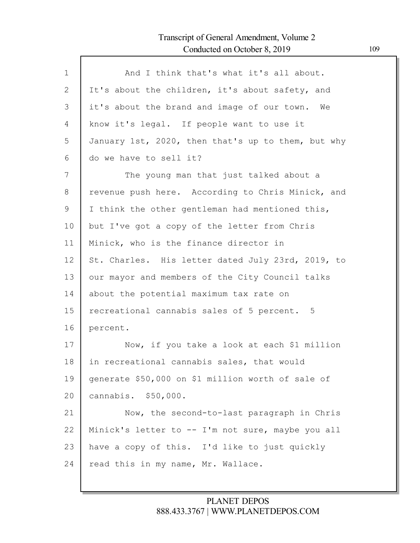| $\mathbf 1$ | And I think that's what it's all about.            |
|-------------|----------------------------------------------------|
| 2           |                                                    |
|             | It's about the children, it's about safety, and    |
| 3           | it's about the brand and image of our town. We     |
| 4           | know it's legal. If people want to use it          |
| 5           | January 1st, 2020, then that's up to them, but why |
| 6           | do we have to sell it?                             |
| 7           | The young man that just talked about a             |
| 8           | revenue push here. According to Chris Minick, and  |
| 9           | I think the other gentleman had mentioned this,    |
| 10          | but I've got a copy of the letter from Chris       |
| 11          | Minick, who is the finance director in             |
| 12          | St. Charles. His letter dated July 23rd, 2019, to  |
| 13          | our mayor and members of the City Council talks    |
| 14          | about the potential maximum tax rate on            |
| 15          | recreational cannabis sales of 5 percent. 5        |
| 16          | percent.                                           |
| 17          | Now, if you take a look at each \$1 million        |
| 18          | in recreational cannabis sales, that would         |
| 19          | generate \$50,000 on \$1 million worth of sale of  |
| 20          | cannabis. \$50,000.                                |
| 21          | Now, the second-to-last paragraph in Chris         |
| 22          | Minick's letter to -- I'm not sure, maybe you all  |
| 23          | have a copy of this. I'd like to just quickly      |
| 24          | read this in my name, Mr. Wallace.                 |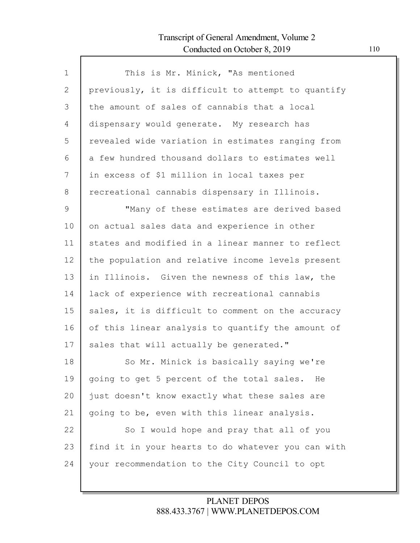Г

| This is Mr. Minick, "As mentioned                  |
|----------------------------------------------------|
| previously, it is difficult to attempt to quantify |
| the amount of sales of cannabis that a local       |
| dispensary would generate. My research has         |
| revealed wide variation in estimates ranging from  |
| a few hundred thousand dollars to estimates well   |
| in excess of \$1 million in local taxes per        |
| recreational cannabis dispensary in Illinois.      |
| "Many of these estimates are derived based         |
| on actual sales data and experience in other       |
| states and modified in a linear manner to reflect  |
| the population and relative income levels present  |
| in Illinois. Given the newness of this law, the    |
| lack of experience with recreational cannabis      |
| sales, it is difficult to comment on the accuracy  |
| of this linear analysis to quantify the amount of  |
| sales that will actually be generated."            |
| So Mr. Minick is basically saying we're            |
| going to get 5 percent of the total sales. He      |
| just doesn't know exactly what these sales are     |
| going to be, even with this linear analysis.       |
| So I would hope and pray that all of you           |
| find it in your hearts to do whatever you can with |
| your recommendation to the City Council to opt     |
|                                                    |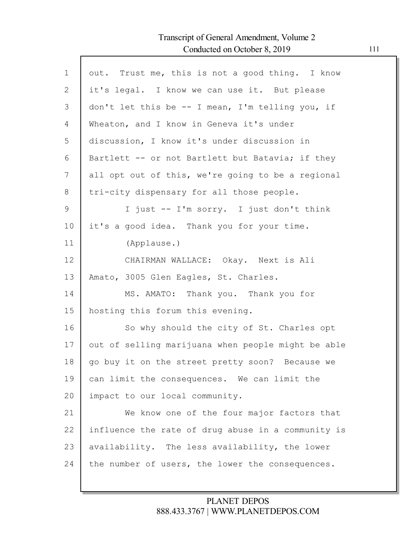Г

| out. Trust me, this is not a good thing. I know<br>it's legal. I know we can use it. But please<br>don't let this be -- I mean, I'm telling you, if<br>Bartlett -- or not Bartlett but Batavia; if they<br>all opt out of this, we're going to be a regional |
|--------------------------------------------------------------------------------------------------------------------------------------------------------------------------------------------------------------------------------------------------------------|
|                                                                                                                                                                                                                                                              |
|                                                                                                                                                                                                                                                              |
|                                                                                                                                                                                                                                                              |
|                                                                                                                                                                                                                                                              |
|                                                                                                                                                                                                                                                              |
|                                                                                                                                                                                                                                                              |
|                                                                                                                                                                                                                                                              |
|                                                                                                                                                                                                                                                              |
| I just -- I'm sorry. I just don't think                                                                                                                                                                                                                      |
|                                                                                                                                                                                                                                                              |
|                                                                                                                                                                                                                                                              |
|                                                                                                                                                                                                                                                              |
|                                                                                                                                                                                                                                                              |
|                                                                                                                                                                                                                                                              |
|                                                                                                                                                                                                                                                              |
| So why should the city of St. Charles opt                                                                                                                                                                                                                    |
| out of selling marijuana when people might be able                                                                                                                                                                                                           |
| go buy it on the street pretty soon? Because we                                                                                                                                                                                                              |
| can limit the consequences. We can limit the                                                                                                                                                                                                                 |
|                                                                                                                                                                                                                                                              |
| We know one of the four major factors that                                                                                                                                                                                                                   |
| influence the rate of drug abuse in a community is                                                                                                                                                                                                           |
| availability. The less availability, the lower                                                                                                                                                                                                               |
| the number of users, the lower the consequences.                                                                                                                                                                                                             |
|                                                                                                                                                                                                                                                              |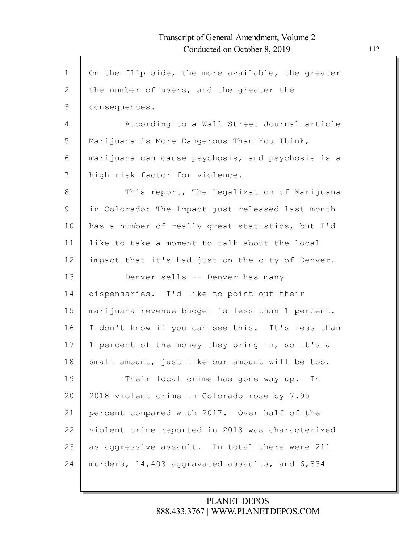$\Gamma$ 

| $\mathbf{1}$ | On the flip side, the more available, the greater |
|--------------|---------------------------------------------------|
| $\mathbf{2}$ | the number of users, and the greater the          |
| 3            | consequences.                                     |
| 4            | According to a Wall Street Journal article        |
| 5            | Marijuana is More Dangerous Than You Think,       |
| 6            | marijuana can cause psychosis, and psychosis is a |
| 7            | high risk factor for violence.                    |
| 8            | This report, The Legalization of Marijuana        |
| 9            | in Colorado: The Impact just released last month  |
| 10           | has a number of really great statistics, but I'd  |
| 11           | like to take a moment to talk about the local     |
| 12           | impact that it's had just on the city of Denver.  |
| 13           | Denver sells -- Denver has many                   |
| 14           | dispensaries. I'd like to point out their         |
|              |                                                   |
| 15           | marijuana revenue budget is less than 1 percent.  |
| 16           | I don't know if you can see this. It's less than  |
| 17           | 1 percent of the money they bring in, so it's a   |
| 18           | small amount, just like our amount will be too.   |
| 19           | Their local crime has gone way up. In             |
| 20           | 2018 violent crime in Colorado rose by 7.95       |
| 21           | percent compared with 2017. Over half of the      |
| 22           | violent crime reported in 2018 was characterized  |
| 23           | as aggressive assault. In total there were 211    |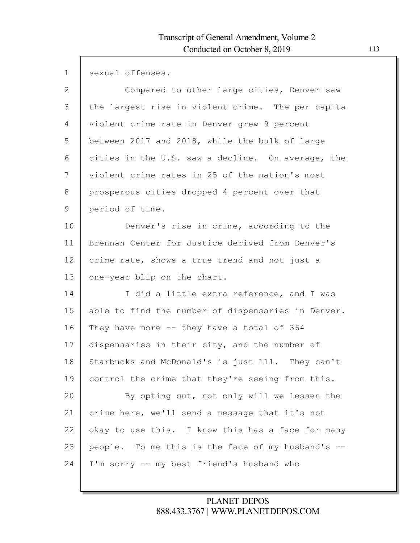$\Gamma$ 

| $\mathbf{1}$ | sexual offenses.                                   |
|--------------|----------------------------------------------------|
| $\mathbf{2}$ | Compared to other large cities, Denver saw         |
| 3            | the largest rise in violent crime. The per capita  |
| 4            | violent crime rate in Denver grew 9 percent        |
| 5            | between 2017 and 2018, while the bulk of large     |
| 6            | cities in the U.S. saw a decline. On average, the  |
| 7            | violent crime rates in 25 of the nation's most     |
| 8            | prosperous cities dropped 4 percent over that      |
| 9            | period of time.                                    |
| 10           | Denver's rise in crime, according to the           |
| 11           | Brennan Center for Justice derived from Denver's   |
| 12           | crime rate, shows a true trend and not just a      |
| 13           | one-year blip on the chart.                        |
| 14           | I did a little extra reference, and I was          |
| 15           | able to find the number of dispensaries in Denver. |
| 16           | They have more $--$ they have a total of 364       |
| 17           | dispensaries in their city, and the number of      |
| 18           | Starbucks and McDonald's is just 111. They can't   |
| 19           | control the crime that they're seeing from this.   |
| 20           | By opting out, not only will we lessen the         |
| 21           | crime here, we'll send a message that it's not     |
| 22           | okay to use this. I know this has a face for many  |
| 23           | people. To me this is the face of my husband's --  |
| 24           | I'm sorry -- my best friend's husband who          |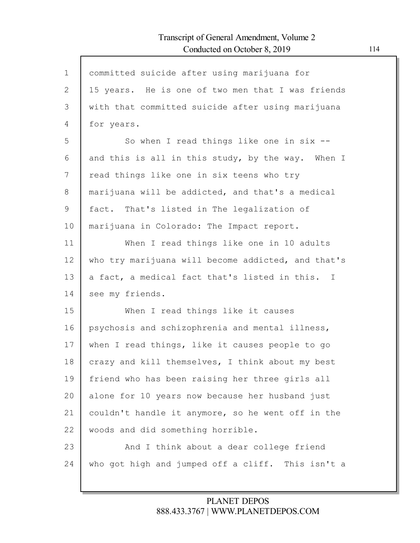Г

| $\mathbf 1$ | committed suicide after using marijuana for                  |
|-------------|--------------------------------------------------------------|
| 2           | 15 years. He is one of two men that I was friends            |
| 3           | with that committed suicide after using marijuana            |
| 4           | for years.                                                   |
| 5           | So when I read things like one in $six$ --                   |
| 6           | and this is all in this study, by the way. When I            |
| 7           | read things like one in six teens who try                    |
| 8           | marijuana will be addicted, and that's a medical             |
| 9           | fact. That's listed in The legalization of                   |
| 10          | marijuana in Colorado: The Impact report.                    |
| 11          | When I read things like one in 10 adults                     |
| 12          | who try marijuana will become addicted, and that's           |
| 13          | a fact, a medical fact that's listed in this.<br>$\mathbf I$ |
| 14          | see my friends.                                              |
| 15          | When I read things like it causes                            |
| 16          | psychosis and schizophrenia and mental illness,              |
| 17          | when I read things, like it causes people to go              |
| 18          | crazy and kill themselves, I think about my best             |
| 19          | friend who has been raising her three girls all              |
| 20          | alone for 10 years now because her husband just              |
| 21          | couldn't handle it anymore, so he went off in the            |
| 22          | woods and did something horrible.                            |
| 23          | And I think about a dear college friend                      |
| 24          | who got high and jumped off a cliff. This isn't a            |
|             |                                                              |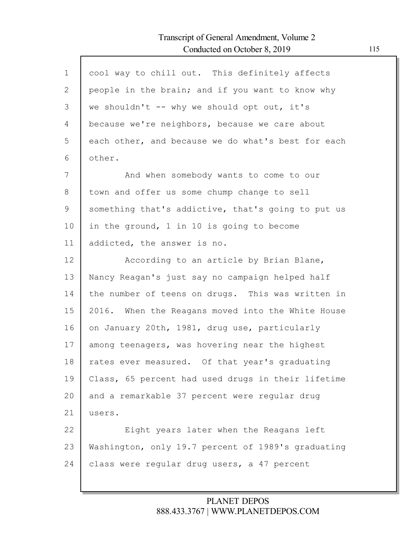| $\mathbf 1$ | cool way to chill out. This definitely affects     |
|-------------|----------------------------------------------------|
| 2           | people in the brain; and if you want to know why   |
| 3           | we shouldn't -- why we should opt out, it's        |
| 4           | because we're neighbors, because we care about     |
| 5           | each other, and because we do what's best for each |
| 6           | other.                                             |
| 7           | And when somebody wants to come to our             |
| 8           | town and offer us some chump change to sell        |
| 9           | something that's addictive, that's going to put us |
| 10          | in the ground, 1 in 10 is going to become          |
| 11          | addicted, the answer is no.                        |
| 12          | According to an article by Brian Blane,            |
| 13          | Nancy Reagan's just say no campaign helped half    |
| 14          | the number of teens on drugs. This was written in  |
| 15          | 2016. When the Reagans moved into the White House  |
| 16          | on January 20th, 1981, drug use, particularly      |
| 17          | among teenagers, was hovering near the highest     |
| 18          | rates ever measured. Of that year's graduating     |
| 19          | Class, 65 percent had used drugs in their lifetime |
| 20          | and a remarkable 37 percent were regular drug      |
| 21          | users.                                             |
| 22          | Eight years later when the Reagans left            |
| 23          | Washington, only 19.7 percent of 1989's graduating |
| 24          | class were regular drug users, a 47 percent        |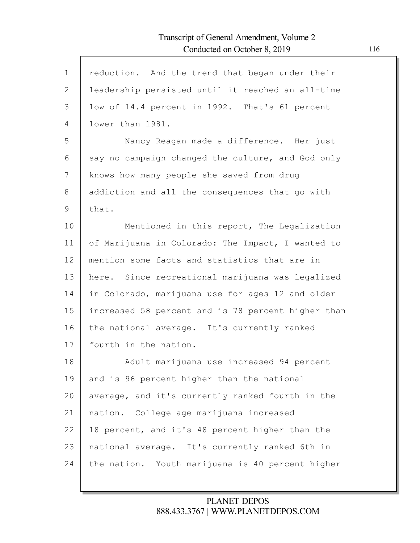$\Gamma$ 

| $\mathbf{1}$  | reduction. And the trend that began under their    |
|---------------|----------------------------------------------------|
| $\mathbf{2}$  | leadership persisted until it reached an all-time  |
| 3             | low of 14.4 percent in 1992. That's 61 percent     |
| 4             | lower than 1981.                                   |
| 5             | Nancy Reagan made a difference. Her just           |
| 6             | say no campaign changed the culture, and God only  |
| 7             | knows how many people she saved from drug          |
| 8             | addiction and all the consequences that go with    |
| $\mathcal{G}$ | that.                                              |
| 10            | Mentioned in this report, The Legalization         |
| 11            | of Marijuana in Colorado: The Impact, I wanted to  |
| 12            | mention some facts and statistics that are in      |
| 13            | here. Since recreational marijuana was legalized   |
| 14            | in Colorado, marijuana use for ages 12 and older   |
| 15            | increased 58 percent and is 78 percent higher than |
| 16            | the national average. It's currently ranked        |
| 17            | fourth in the nation.                              |
| 18            | Adult marijuana use increased 94 percent           |
| 19            | and is 96 percent higher than the national         |
| 20            | average, and it's currently ranked fourth in the   |
| 21            | nation. College age marijuana increased            |
| 22            | 18 percent, and it's 48 percent higher than the    |
| 23            | national average. It's currently ranked 6th in     |
| 24            | the nation. Youth marijuana is 40 percent higher   |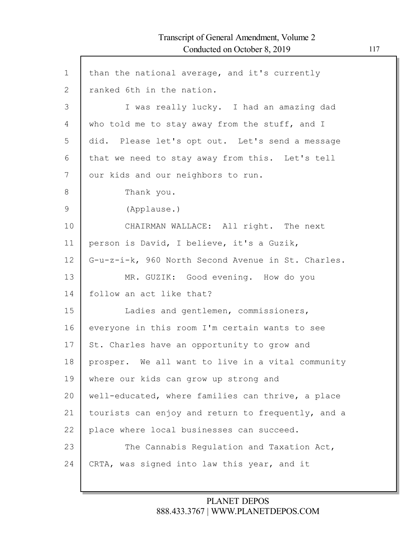Г

| $\mathbf 1$  | than the national average, and it's currently      |
|--------------|----------------------------------------------------|
| $\mathbf{2}$ | ranked 6th in the nation.                          |
| 3            | I was really lucky. I had an amazing dad           |
| 4            | who told me to stay away from the stuff, and I     |
| 5            | did. Please let's opt out. Let's send a message    |
| 6            | that we need to stay away from this. Let's tell    |
| 7            | our kids and our neighbors to run.                 |
| 8            | Thank you.                                         |
| 9            | (Applause.)                                        |
| 10           | CHAIRMAN WALLACE: All right. The next              |
| 11           | person is David, I believe, it's a Guzik,          |
| 12           | G-u-z-i-k, 960 North Second Avenue in St. Charles. |
| 13           | MR. GUZIK: Good evening. How do you                |
| 14           | follow an act like that?                           |
| 15           | Ladies and gentlemen, commissioners,               |
| 16           | everyone in this room I'm certain wants to see     |
| 17           | St. Charles have an opportunity to grow and        |
| 18           | prosper. We all want to live in a vital community  |
| 19           | where our kids can grow up strong and              |
| 20           | well-educated, where families can thrive, a place  |
| 21           | tourists can enjoy and return to frequently, and a |
| 22           | place where local businesses can succeed.          |
| 23           | The Cannabis Regulation and Taxation Act,          |
| 24           | CRTA, was signed into law this year, and it        |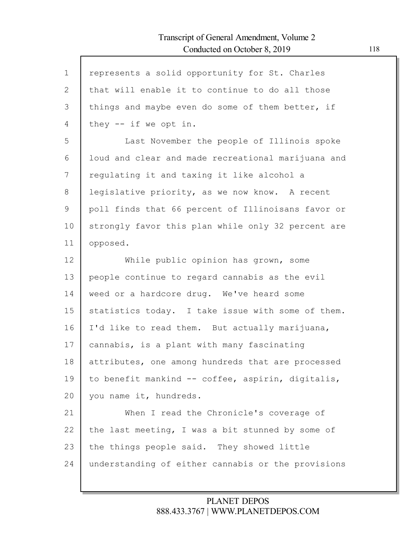| $\mathbf{1}$ | represents a solid opportunity for St. Charles     |
|--------------|----------------------------------------------------|
| $\mathbf{2}$ | that will enable it to continue to do all those    |
| 3            | things and maybe even do some of them better, if   |
| 4            | they $--$ if we opt in.                            |
| 5            | Last November the people of Illinois spoke         |
| 6            | loud and clear and made recreational marijuana and |
| 7            | regulating it and taxing it like alcohol a         |
| 8            | legislative priority, as we now know. A recent     |
| 9            | poll finds that 66 percent of Illinoisans favor or |
| 10           | strongly favor this plan while only 32 percent are |
| 11           | opposed.                                           |
| 12           | While public opinion has grown, some               |
| 13           | people continue to regard cannabis as the evil     |
| 14           | weed or a hardcore drug. We've heard some          |
| 15           | statistics today. I take issue with some of them.  |
| 16           | I'd like to read them. But actually marijuana,     |
| 17           | cannabis, is a plant with many fascinating         |
| 18           | attributes, one among hundreds that are processed  |
| 19           | to benefit mankind -- coffee, aspirin, digitalis,  |
| 20           | you name it, hundreds.                             |
| 21           | When I read the Chronicle's coverage of            |
| 22           | the last meeting, I was a bit stunned by some of   |
| 23           | the things people said. They showed little         |
| 24           | understanding of either cannabis or the provisions |
|              |                                                    |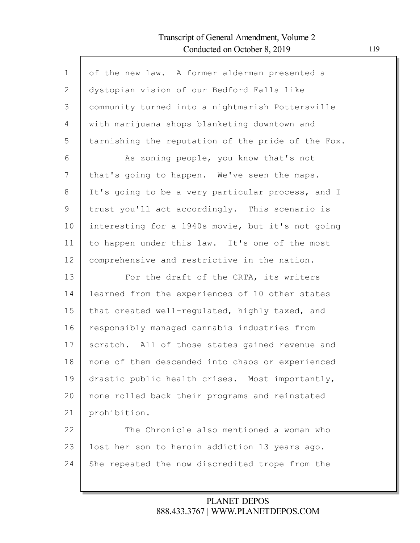Г

| $\mathbf{1}$  | of the new law. A former alderman presented a      |
|---------------|----------------------------------------------------|
| $\mathbf{2}$  | dystopian vision of our Bedford Falls like         |
| 3             | community turned into a nightmarish Pottersville   |
| 4             | with marijuana shops blanketing downtown and       |
| 5             | tarnishing the reputation of the pride of the Fox. |
| 6             | As zoning people, you know that's not              |
| 7             | that's going to happen. We've seen the maps.       |
| 8             | It's going to be a very particular process, and I  |
| $\mathcal{G}$ | trust you'll act accordingly. This scenario is     |
| 10            | interesting for a 1940s movie, but it's not going  |
| 11            | to happen under this law. It's one of the most     |
| 12            | comprehensive and restrictive in the nation.       |
| 13            | For the draft of the CRTA, its writers             |
| 14            | learned from the experiences of 10 other states    |
| 15            | that created well-regulated, highly taxed, and     |
| 16            |                                                    |
|               | responsibly managed cannabis industries from       |
| 17            | scratch. All of those states gained revenue and    |
| 18            | none of them descended into chaos or experienced   |
| 19            | drastic public health crises. Most importantly,    |
| 20            | none rolled back their programs and reinstated     |
| 21            | prohibition.                                       |
| 22            | The Chronicle also mentioned a woman who           |
| 23            | lost her son to heroin addiction 13 years ago.     |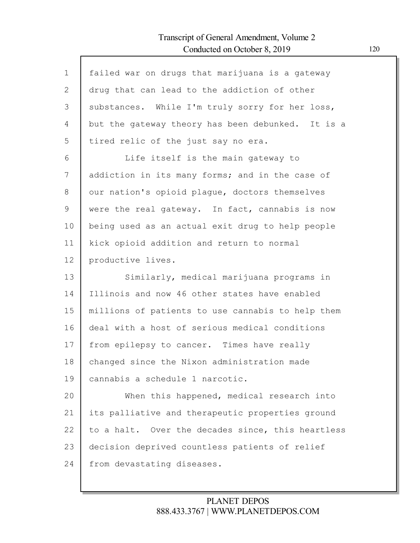Г

| $\mathbf 1$  | failed war on drugs that marijuana is a gateway   |
|--------------|---------------------------------------------------|
| $\mathbf{2}$ | drug that can lead to the addiction of other      |
|              |                                                   |
| 3            | substances. While I'm truly sorry for her loss,   |
| 4            | but the gateway theory has been debunked. It is a |
| 5            | tired relic of the just say no era.               |
| 6            | Life itself is the main gateway to                |
| 7            | addiction in its many forms; and in the case of   |
| 8            | our nation's opioid plague, doctors themselves    |
| 9            | were the real gateway. In fact, cannabis is now   |
| 10           | being used as an actual exit drug to help people  |
| 11           | kick opioid addition and return to normal         |
| 12           | productive lives.                                 |
| 13           | Similarly, medical marijuana programs in          |
| 14           | Illinois and now 46 other states have enabled     |
| 15           | millions of patients to use cannabis to help them |
| 16           | deal with a host of serious medical conditions    |
| 17           | from epilepsy to cancer. Times have really        |
| 18           | changed since the Nixon administration made       |
| 19           | cannabis a schedule 1 narcotic.                   |
| 20           | When this happened, medical research into         |
| 21           | its palliative and therapeutic properties ground  |
| 22           | to a halt. Over the decades since, this heartless |
| 23           | decision deprived countless patients of relief    |
| 24           | from devastating diseases.                        |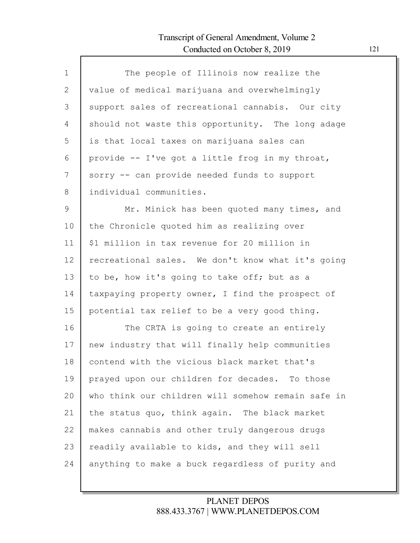Г

| $\mathbf 1$  | The people of Illinois now realize the             |
|--------------|----------------------------------------------------|
| $\mathbf{2}$ | value of medical marijuana and overwhelmingly      |
| 3            | support sales of recreational cannabis. Our city   |
| 4            | should not waste this opportunity. The long adage  |
| 5            | is that local taxes on marijuana sales can         |
| 6            | provide -- I've got a little frog in my throat,    |
| 7            | sorry -- can provide needed funds to support       |
| 8            | individual communities.                            |
| 9            | Mr. Minick has been quoted many times, and         |
| 10           | the Chronicle quoted him as realizing over         |
| 11           | \$1 million in tax revenue for 20 million in       |
| 12           | recreational sales. We don't know what it's going  |
| 13           | to be, how it's going to take off; but as a        |
| 14           | taxpaying property owner, I find the prospect of   |
| 15           | potential tax relief to be a very good thing.      |
| 16           | The CRTA is going to create an entirely            |
| 17           | new industry that will finally help communities    |
| 18           | contend with the vicious black market that's       |
| 19           | prayed upon our children for decades. To those     |
| 20           | who think our children will somehow remain safe in |
| 21           | the status quo, think again. The black market      |
| 22           | makes cannabis and other truly dangerous drugs     |
| 23           | readily available to kids, and they will sell      |
| 24           | anything to make a buck regardless of purity and   |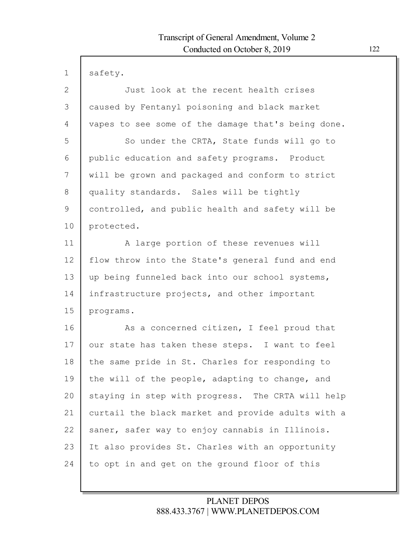$\mathsf{l}$ 

| 1            | safety.                                            |
|--------------|----------------------------------------------------|
| $\mathbf{2}$ | Just look at the recent health crises              |
| 3            | caused by Fentanyl poisoning and black market      |
| 4            | vapes to see some of the damage that's being done. |
| 5            | So under the CRTA, State funds will go to          |
| 6            | public education and safety programs. Product      |
| 7            | will be grown and packaged and conform to strict   |
| 8            | quality standards. Sales will be tightly           |
| 9            | controlled, and public health and safety will be   |
| 10           | protected.                                         |
| 11           | A large portion of these revenues will             |
| 12           | flow throw into the State's general fund and end   |
| 13           | up being funneled back into our school systems,    |
| 14           | infrastructure projects, and other important       |
| 15           | programs.                                          |
| 16           | As a concerned citizen, I feel proud that          |
| 17           | our state has taken these steps. I want to feel    |
| 18           | the same pride in St. Charles for responding to    |
| 19           | the will of the people, adapting to change, and    |
| 20           | staying in step with progress. The CRTA will help  |
| 21           | curtail the black market and provide adults with a |
| 22           | saner, safer way to enjoy cannabis in Illinois.    |
| 23           | It also provides St. Charles with an opportunity   |
| 24           | to opt in and get on the ground floor of this      |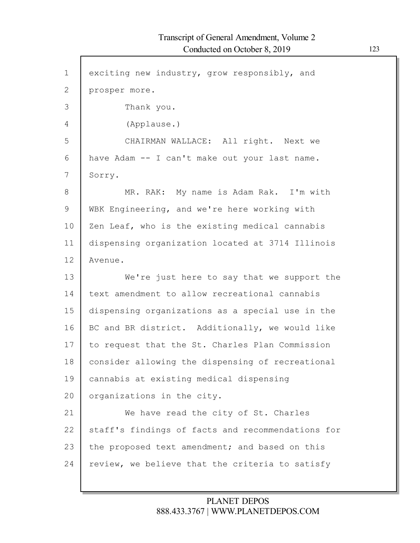1 2 3 4 5 6 7 8 9 10 11 12 13 14 15 16 17 18 19 20 21 22 23 24 exciting new industry, grow responsibly, and prosper more. Thank you. (Applause.) CHAIRMAN WALLACE: All right. Next we have Adam -- I can't make out your last name. Sorry. MR. RAK: My name is Adam Rak. I'm with WBK Engineering, and we're here working with Zen Leaf, who is the existing medical cannabis dispensing organization located at 3714 Illinois Avenue. We're just here to say that we support the text amendment to allow recreational cannabis dispensing organizations as a special use in the BC and BR district. Additionally, we would like to request that the St. Charles Plan Commission consider allowing the dispensing of recreational cannabis at existing medical dispensing organizations in the city. We have read the city of St. Charles staff's findings of facts and recommendations for the proposed text amendment; and based on this review, we believe that the criteria to satisfy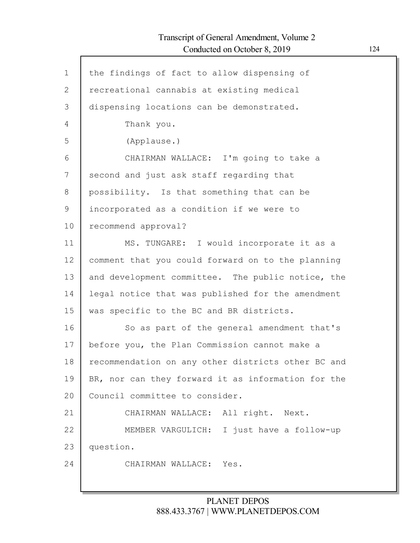| $\mathbf{1}$ | the findings of fact to allow dispensing of        |
|--------------|----------------------------------------------------|
| $\mathbf{2}$ | recreational cannabis at existing medical          |
| 3            | dispensing locations can be demonstrated.          |
| 4            | Thank you.                                         |
| 5            | (Applause.)                                        |
| 6            | CHAIRMAN WALLACE: I'm going to take a              |
| 7            | second and just ask staff regarding that           |
| 8            | possibility. Is that something that can be         |
| 9            | incorporated as a condition if we were to          |
| 10           | recommend approval?                                |
| 11           | MS. TUNGARE: I would incorporate it as a           |
| 12           | comment that you could forward on to the planning  |
| 13           | and development committee. The public notice, the  |
| 14           | legal notice that was published for the amendment  |
| 15           | was specific to the BC and BR districts.           |
| 16           | So as part of the general amendment that's         |
| 17           | before you, the Plan Commission cannot make a      |
| 18           | recommendation on any other districts other BC and |
| 19           | BR, nor can they forward it as information for the |
| 20           | Council committee to consider.                     |
| 21           | CHAIRMAN WALLACE: All right. Next.                 |
| 22           | MEMBER VARGULICH: I just have a follow-up          |
| 23           | question.                                          |
| 24           | CHAIRMAN WALLACE: Yes.                             |
|              |                                                    |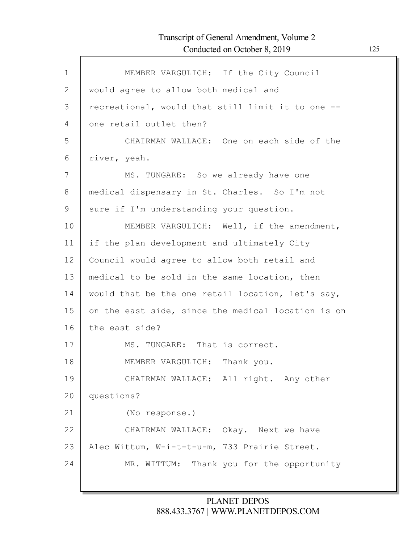| $\mathbf 1$ | MEMBER VARGULICH: If the City Council              |
|-------------|----------------------------------------------------|
| 2           | would agree to allow both medical and              |
| 3           | recreational, would that still limit it to one --  |
| 4           | one retail outlet then?                            |
| 5           | CHAIRMAN WALLACE: One on each side of the          |
| 6           | river, yeah.                                       |
| 7           | MS. TUNGARE: So we already have one                |
| 8           | medical dispensary in St. Charles. So I'm not      |
| 9           | sure if I'm understanding your question.           |
| 10          | MEMBER VARGULICH: Well, if the amendment,          |
| 11          | if the plan development and ultimately City        |
| 12          | Council would agree to allow both retail and       |
| 13          | medical to be sold in the same location, then      |
| 14          | would that be the one retail location, let's say,  |
| 15          | on the east side, since the medical location is on |
| 16          | the east side?                                     |
| 17          | MS. TUNGARE: That is correct.                      |
| 18          | MEMBER VARGULICH: Thank you.                       |
| 19          | CHAIRMAN WALLACE: All right. Any other             |
| 20          | questions?                                         |
| 21          | (No response.)                                     |
| 22          | CHAIRMAN WALLACE: Okay. Next we have               |
| 23          | Alec Wittum, W-i-t-t-u-m, 733 Prairie Street.      |
| 24          | MR. WITTUM: Thank you for the opportunity          |
|             |                                                    |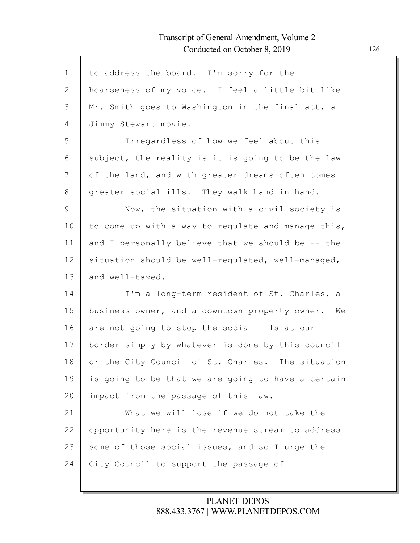| $\mathbf{1}$ | to address the board. I'm sorry for the              |
|--------------|------------------------------------------------------|
| 2            | hoarseness of my voice. I feel a little bit like     |
| 3            | Mr. Smith goes to Washington in the final act, a     |
| 4            | Jimmy Stewart movie.                                 |
| 5            | Irregardless of how we feel about this               |
| 6            | subject, the reality is it is going to be the law    |
| 7            | of the land, and with greater dreams often comes     |
| 8            | greater social ills. They walk hand in hand.         |
| 9            | Now, the situation with a civil society is           |
| 10           | to come up with a way to regulate and manage this,   |
| 11           | and I personally believe that we should be -- the    |
| 12           | situation should be well-regulated, well-managed,    |
| 13           | and well-taxed.                                      |
| 14           | I'm a long-term resident of St. Charles, a           |
| 15           | business owner, and a downtown property owner.<br>We |
| 16           | are not going to stop the social ills at our         |
| 17           | border simply by whatever is done by this council    |
| 18           | or the City Council of St. Charles. The situation    |
| 19           | is going to be that we are going to have a certain   |
| 20           | impact from the passage of this law.                 |
| 21           | What we will lose if we do not take the              |
| 22           | opportunity here is the revenue stream to address    |
| 23           | some of those social issues, and so I urge the       |
| 24           | City Council to support the passage of               |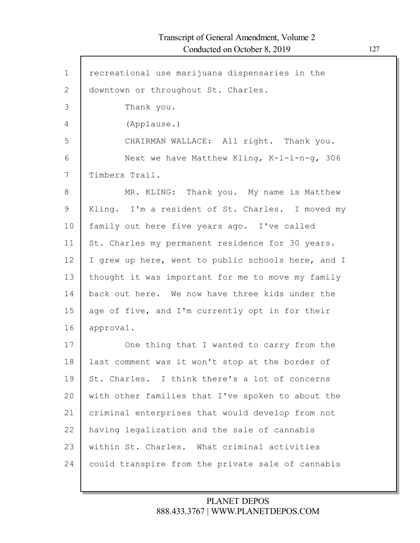Г

| $\mathbf{1}$ | recreational use marijuana dispensaries in the     |
|--------------|----------------------------------------------------|
| 2            | downtown or throughout St. Charles.                |
| 3            | Thank you.                                         |
| 4            | (Applause.)                                        |
| 5            | CHAIRMAN WALLACE: All right. Thank you.            |
| 6            | Next we have Matthew Kling, K-l-i-n-g, 306         |
| 7            | Timbers Trail.                                     |
| 8            | MR. KLING: Thank you. My name is Matthew           |
| 9            | Kling. I'm a resident of St. Charles. I moved my   |
| 10           | family out here five years ago. I've called        |
| 11           | St. Charles my permanent residence for 30 years.   |
| 12           | I grew up here, went to public schools here, and I |
| 13           | thought it was important for me to move my family  |
| 14           | back out here. We now have three kids under the    |
| 15           | age of five, and I'm currently opt in for their    |
| 16           | approval.                                          |
| 17           | One thing that I wanted to carry from the          |
| 18           | last comment was it won't stop at the border of    |
| 19           | St. Charles. I think there's a lot of concerns     |
| 20           | with other families that I've spoken to about the  |
| 21           | criminal enterprises that would develop from not   |
| 22           | having legalization and the sale of cannabis       |
| 23           | within St. Charles. What criminal activities       |
| 24           | could transpire from the private sale of cannabis  |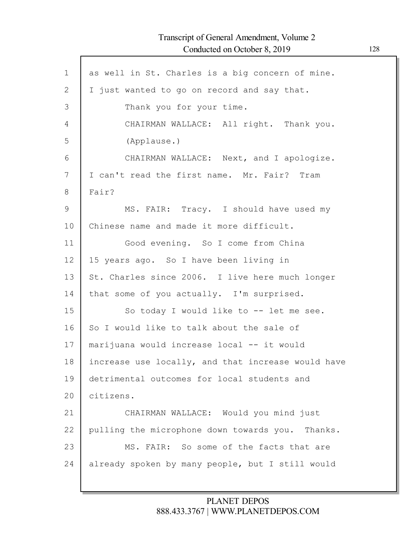Г

| $\mathbf 1$  | as well in St. Charles is a big concern of mine.   |
|--------------|----------------------------------------------------|
| $\mathbf{2}$ | I just wanted to go on record and say that.        |
| 3            | Thank you for your time.                           |
| 4            | CHAIRMAN WALLACE: All right. Thank you.            |
| 5            | (Applause.)                                        |
| 6            | CHAIRMAN WALLACE: Next, and I apologize.           |
| 7            | I can't read the first name. Mr. Fair? Tram        |
| $8\,$        | Fair?                                              |
| $\mathsf 9$  | MS. FAIR: Tracy. I should have used my             |
| 10           | Chinese name and made it more difficult.           |
| 11           | Good evening. So I come from China                 |
| 12           | 15 years ago. So I have been living in             |
| 13           | St. Charles since 2006. I live here much longer    |
| 14           | that some of you actually. I'm surprised.          |
| 15           | So today I would like to -- let me see.            |
| 16           | So I would like to talk about the sale of          |
| 17           | marijuana would increase local -- it would         |
| 18           | increase use locally, and that increase would have |
| 19           | detrimental outcomes for local students and        |
| 20           | citizens.                                          |
| 21           | CHAIRMAN WALLACE: Would you mind just              |
| 22           | pulling the microphone down towards you. Thanks.   |
| 23           | MS. FAIR: So some of the facts that are            |
| 24           | already spoken by many people, but I still would   |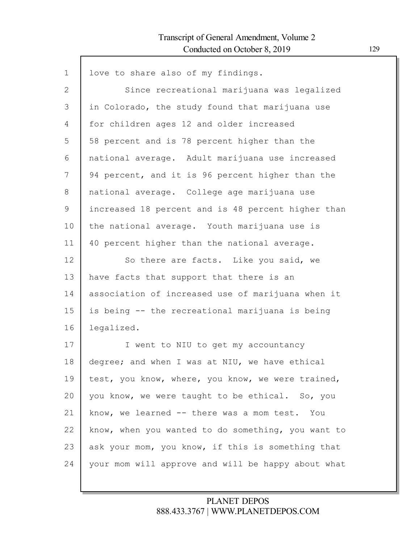| $\mathbf 1$ | love to share also of my findings.                 |
|-------------|----------------------------------------------------|
| 2           | Since recreational marijuana was legalized         |
| 3           | in Colorado, the study found that marijuana use    |
| 4           | for children ages 12 and older increased           |
| 5           | 58 percent and is 78 percent higher than the       |
| 6           | national average. Adult marijuana use increased    |
| 7           | 94 percent, and it is 96 percent higher than the   |
| 8           | national average. College age marijuana use        |
| 9           | increased 18 percent and is 48 percent higher than |
| 10          | the national average. Youth marijuana use is       |
| 11          | 40 percent higher than the national average.       |
| 12          | So there are facts. Like you said, we              |
| 13          | have facts that support that there is an           |
| 14          | association of increased use of marijuana when it  |
| 15          | is being -- the recreational marijuana is being    |
| 16          | legalized.                                         |
| 17          | I went to NIU to get my accountancy                |
| 18          | degree; and when I was at NIU, we have ethical     |
| 19          | test, you know, where, you know, we were trained,  |
| 20          | you know, we were taught to be ethical. So, you    |
| 21          | know, we learned -- there was a mom test. You      |
| 22          | know, when you wanted to do something, you want to |
| 23          | ask your mom, you know, if this is something that  |
| 24          | your mom will approve and will be happy about what |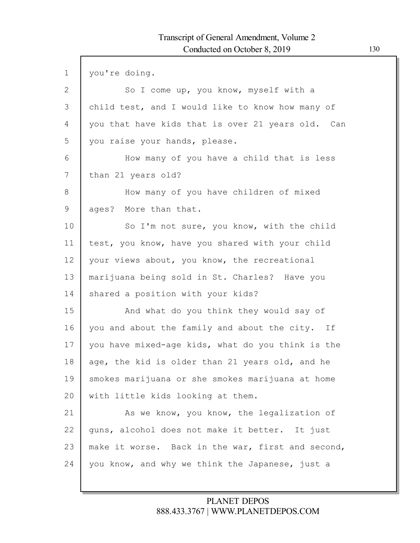| $\mathbf 1$ | you're doing.                                     |
|-------------|---------------------------------------------------|
| 2           | So I come up, you know, myself with a             |
| 3           | child test, and I would like to know how many of  |
| 4           | you that have kids that is over 21 years old. Can |
| 5           | you raise your hands, please.                     |
| 6           | How many of you have a child that is less         |
| 7           | than 21 years old?                                |
| 8           | How many of you have children of mixed            |
| 9           | ages? More than that.                             |
| 10          | So I'm not sure, you know, with the child         |
| 11          | test, you know, have you shared with your child   |
| 12          | your views about, you know, the recreational      |
| 13          | marijuana being sold in St. Charles? Have you     |
| 14          | shared a position with your kids?                 |
| 15          | And what do you think they would say of           |
| 16          | you and about the family and about the city. If   |
| 17          | you have mixed-age kids, what do you think is the |
| 18          | age, the kid is older than 21 years old, and he   |
| 19          | smokes marijuana or she smokes marijuana at home  |
| 20          | with little kids looking at them.                 |
| 21          | As we know, you know, the legalization of         |
| 22          | guns, alcohol does not make it better. It just    |
| 23          | make it worse. Back in the war, first and second, |
| 24          | you know, and why we think the Japanese, just a   |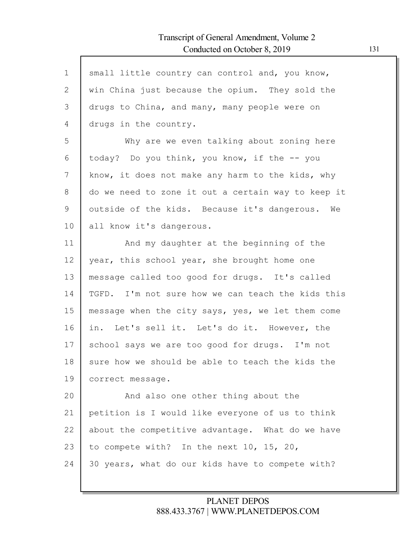| $\mathbf 1$  | small little country can control and, you know,    |
|--------------|----------------------------------------------------|
| $\mathbf{2}$ | win China just because the opium. They sold the    |
| 3            | drugs to China, and many, many people were on      |
| 4            | drugs in the country.                              |
| 5            | Why are we even talking about zoning here          |
| 6            | today? Do you think, you know, if the -- you       |
| 7            | know, it does not make any harm to the kids, why   |
| 8            | do we need to zone it out a certain way to keep it |
| 9            | outside of the kids. Because it's dangerous. We    |
| 10           | all know it's dangerous.                           |
| 11           | And my daughter at the beginning of the            |
| 12           | year, this school year, she brought home one       |
| 13           | message called too good for drugs. It's called     |
| 14           | TGFD. I'm not sure how we can teach the kids this  |
| 15           | message when the city says, yes, we let them come  |
| 16           | in. Let's sell it. Let's do it. However, the       |
| 17           | school says we are too good for drugs. I'm not     |
| 18           | sure how we should be able to teach the kids the   |
| 19           | correct message.                                   |
| 20           | And also one other thing about the                 |
| 21           | petition is I would like everyone of us to think   |
| 22           | about the competitive advantage. What do we have   |
| 23           | to compete with? In the next 10, 15, 20,           |
| 24           | 30 years, what do our kids have to compete with?   |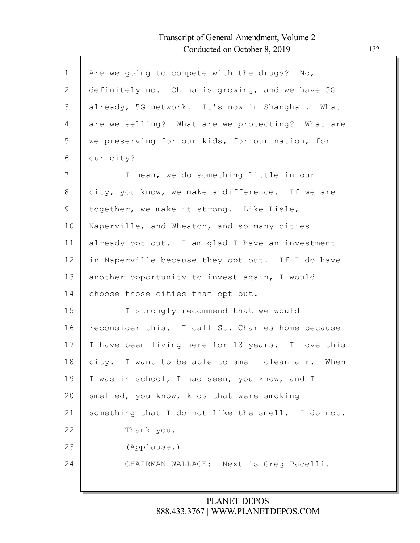| $\mathbf 1$  | Are we going to compete with the drugs? No,       |
|--------------|---------------------------------------------------|
| $\mathbf{2}$ | definitely no. China is growing, and we have 5G   |
| 3            | already, 5G network. It's now in Shanghai. What   |
| 4            | are we selling? What are we protecting? What are  |
| 5            | we preserving for our kids, for our nation, for   |
| 6            | our city?                                         |
| 7            | I mean, we do something little in our             |
| 8            | city, you know, we make a difference. If we are   |
| 9            | together, we make it strong. Like Lisle,          |
| 10           | Naperville, and Wheaton, and so many cities       |
| 11           | already opt out. I am glad I have an investment   |
| 12           | in Naperville because they opt out. If I do have  |
| 13           | another opportunity to invest again, I would      |
| 14           | choose those cities that opt out.                 |
| 15           | I strongly recommend that we would                |
| 16           | reconsider this. I call St. Charles home because  |
| 17           | I have been living here for 13 years. I love this |
| 18           | city. I want to be able to smell clean air. When  |
| 19           | I was in school, I had seen, you know, and I      |
| 20           | smelled, you know, kids that were smoking         |
| 21           | something that I do not like the smell. I do not. |
| 22           | Thank you.                                        |
| 23           | (Applause.)                                       |
| 24           | CHAIRMAN WALLACE: Next is Greg Pacelli.           |
|              |                                                   |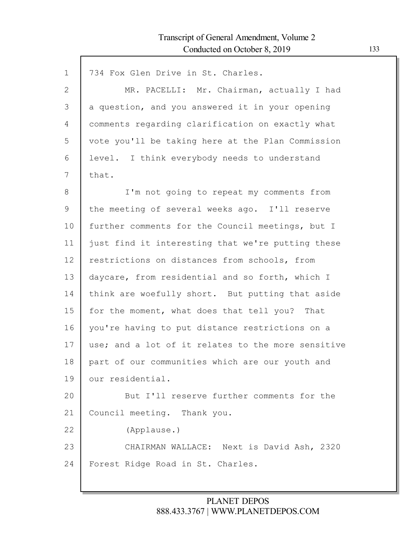| $\mathbf{1}$ | 734 Fox Glen Drive in St. Charles.                 |
|--------------|----------------------------------------------------|
| $\mathbf{2}$ | MR. PACELLI: Mr. Chairman, actually I had          |
| 3            | a question, and you answered it in your opening    |
| 4            | comments regarding clarification on exactly what   |
| 5            | vote you'll be taking here at the Plan Commission  |
| 6            | level. I think everybody needs to understand       |
| 7            | that.                                              |
| 8            | I'm not going to repeat my comments from           |
| 9            | the meeting of several weeks ago. I'll reserve     |
| 10           | further comments for the Council meetings, but I   |
| 11           | just find it interesting that we're putting these  |
| 12           | restrictions on distances from schools, from       |
| 13           | daycare, from residential and so forth, which I    |
| 14           | think are woefully short. But putting that aside   |
| 15           | for the moment, what does that tell you? That      |
| 16           | you're having to put distance restrictions on a    |
| 17           | use; and a lot of it relates to the more sensitive |
| 18           | part of our communities which are our youth and    |
| 19           | our residential.                                   |
| 20           | But I'll reserve further comments for the          |
| 21           | Council meeting. Thank you.                        |
| 22           | (Applause.)                                        |
| 23           | CHAIRMAN WALLACE: Next is David Ash, 2320          |
| 24           | Forest Ridge Road in St. Charles.                  |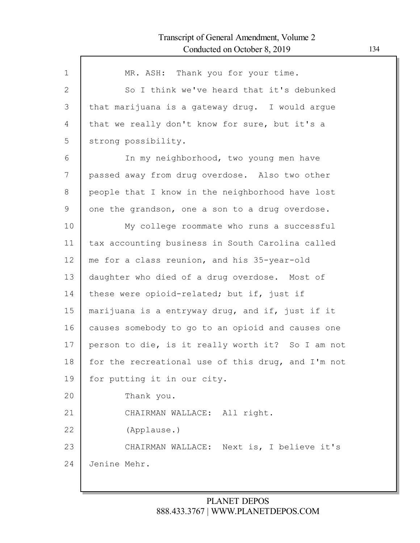| $\mathbf 1$  | MR. ASH: Thank you for your time.                  |
|--------------|----------------------------------------------------|
| $\mathbf{2}$ | So I think we've heard that it's debunked          |
| 3            | that marijuana is a gateway drug. I would argue    |
| 4            | that we really don't know for sure, but it's a     |
| 5            | strong possibility.                                |
| 6            | In my neighborhood, two young men have             |
| 7            | passed away from drug overdose. Also two other     |
| 8            | people that I know in the neighborhood have lost   |
| 9            | one the grandson, one a son to a drug overdose.    |
| 10           | My college roommate who runs a successful          |
| 11           | tax accounting business in South Carolina called   |
| 12           | me for a class reunion, and his 35-year-old        |
| 13           | daughter who died of a drug overdose. Most of      |
| 14           | these were opioid-related; but if, just if         |
| 15           | marijuana is a entryway drug, and if, just if it   |
| 16           | causes somebody to go to an opioid and causes one  |
| 17           | person to die, is it really worth it? So I am not  |
| 18           | for the recreational use of this drug, and I'm not |
| 19           | for putting it in our city.                        |
| 20           | Thank you.                                         |
| 21           | CHAIRMAN WALLACE: All right.                       |
| 22           | (Applause.)                                        |
| 23           | CHAIRMAN WALLACE: Next is, I believe it's          |
| 24           | Jenine Mehr.                                       |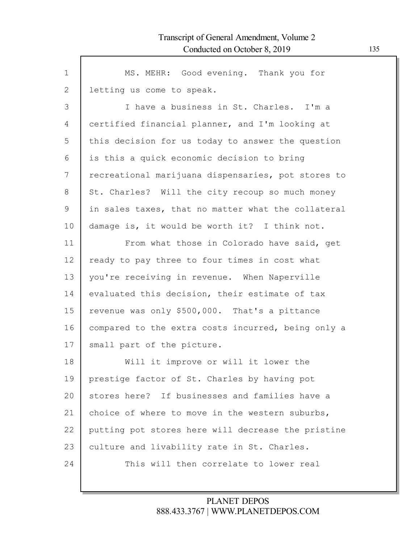| $\mathbf 1$ | MS. MEHR: Good evening. Thank you for              |
|-------------|----------------------------------------------------|
| 2           | letting us come to speak.                          |
| 3           | I have a business in St. Charles. I'm a            |
| 4           | certified financial planner, and I'm looking at    |
| 5           | this decision for us today to answer the question  |
| 6           | is this a quick economic decision to bring         |
| 7           | recreational marijuana dispensaries, pot stores to |
| 8           | St. Charles? Will the city recoup so much money    |
| 9           | in sales taxes, that no matter what the collateral |
| 10          | damage is, it would be worth it? I think not.      |
| 11          | From what those in Colorado have said, get         |
| 12          | ready to pay three to four times in cost what      |
| 13          | you're receiving in revenue. When Naperville       |
| 14          | evaluated this decision, their estimate of tax     |
| 15          | revenue was only \$500,000. That's a pittance      |
| 16          | compared to the extra costs incurred, being only a |
| 17          | small part of the picture.                         |
| 18          | Will it improve or will it lower the               |
| 19          | prestige factor of St. Charles by having pot       |
| 20          | stores here? If businesses and families have a     |
| 21          | choice of where to move in the western suburbs,    |
| 22          | putting pot stores here will decrease the pristine |
| 23          | culture and livability rate in St. Charles.        |
| 24          | This will then correlate to lower real             |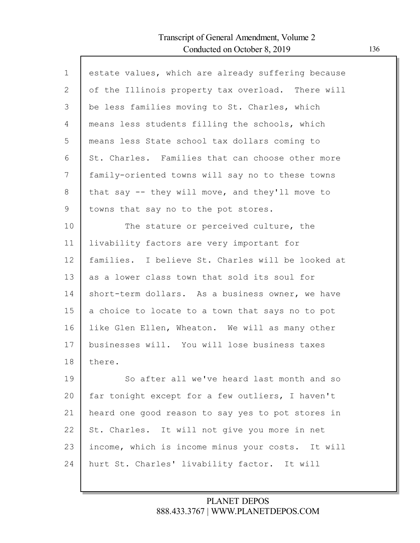| $\mathbf{1}$   | estate values, which are already suffering because |
|----------------|----------------------------------------------------|
| $\overline{2}$ | of the Illinois property tax overload. There will  |
| 3              | be less families moving to St. Charles, which      |
| 4              | means less students filling the schools, which     |
| 5              | means less State school tax dollars coming to      |
| 6              | St. Charles. Families that can choose other more   |
| 7              | family-oriented towns will say no to these towns   |
| 8              | that say $-$ they will move, and they'll move to   |
| 9              | towns that say no to the pot stores.               |
| 10             | The stature or perceived culture, the              |
| 11             | livability factors are very important for          |
| 12             | families. I believe St. Charles will be looked at  |
| 13             | as a lower class town that sold its soul for       |
| 14             | short-term dollars. As a business owner, we have   |
| 15             | a choice to locate to a town that says no to pot   |
| 16             | like Glen Ellen, Wheaton. We will as many other    |
| 17             | businesses will. You will lose business taxes      |
| 18             | there.                                             |
| 19             | So after all we've heard last month and so         |
| 20             | far tonight except for a few outliers, I haven't   |
| 21             | heard one good reason to say yes to pot stores in  |
| 22             | St. Charles. It will not give you more in net      |
| 23             | income, which is income minus your costs. It will  |
| 24             | hurt St. Charles' livability factor. It will       |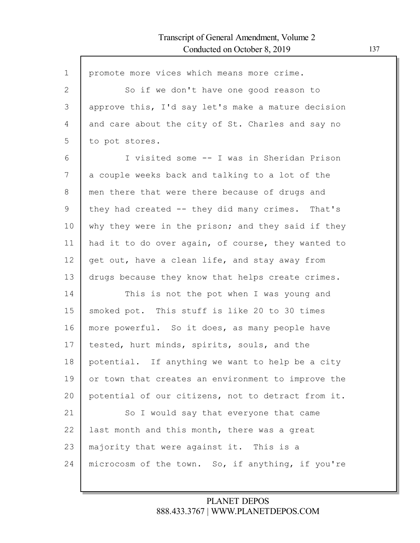| $\mathbf 1$  | promote more vices which means more crime.         |
|--------------|----------------------------------------------------|
| $\mathbf{2}$ | So if we don't have one good reason to             |
| 3            | approve this, I'd say let's make a mature decision |
| 4            | and care about the city of St. Charles and say no  |
| 5            | to pot stores.                                     |
|              |                                                    |
| 6            | I visited some -- I was in Sheridan Prison         |
| 7            | a couple weeks back and talking to a lot of the    |
| 8            | men there that were there because of drugs and     |
| 9            | they had created -- they did many crimes. That's   |
| 10           | why they were in the prison; and they said if they |
| 11           | had it to do over again, of course, they wanted to |
| 12           | get out, have a clean life, and stay away from     |
| 13           | drugs because they know that helps create crimes.  |
| 14           | This is not the pot when I was young and           |
| 15           | smoked pot. This stuff is like 20 to 30 times      |
| 16           | more powerful. So it does, as many people have     |
| 17           | tested, hurt minds, spirits, souls, and the        |
| 18           | potential. If anything we want to help be a city   |
| 19           | or town that creates an environment to improve the |
| 20           | potential of our citizens, not to detract from it. |
| 21           | So I would say that everyone that came             |
| 22           | last month and this month, there was a great       |
| 23           | majority that were against it. This is a           |
| 24           | microcosm of the town. So, if anything, if you're  |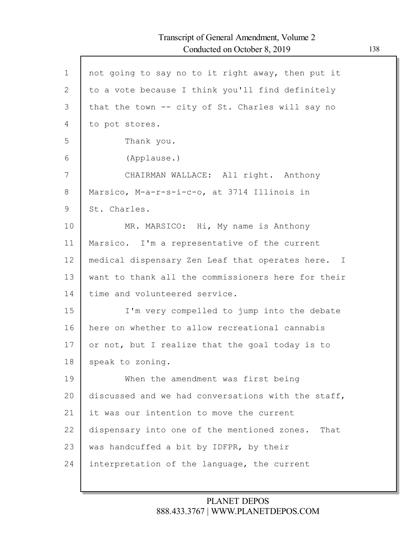Г

| $\mathbf 1$ | not going to say no to it right away, then put it   |
|-------------|-----------------------------------------------------|
| 2           | to a vote because I think you'll find definitely    |
| 3           | that the town -- city of St. Charles will say no    |
| 4           | to pot stores.                                      |
| 5           | Thank you.                                          |
| 6           | (Applause.)                                         |
| 7           | CHAIRMAN WALLACE: All right. Anthony                |
| 8           | Marsico, M-a-r-s-i-c-o, at 3714 Illinois in         |
| 9           | St. Charles.                                        |
| 10          | MR. MARSICO: Hi, My name is Anthony                 |
| 11          | Marsico. I'm a representative of the current        |
| 12          | medical dispensary Zen Leaf that operates here. I   |
| 13          | want to thank all the commissioners here for their  |
| 14          | time and volunteered service.                       |
| 15          | I'm very compelled to jump into the debate          |
| 16          | here on whether to allow recreational cannabis      |
| 17          | or not, but I realize that the goal today is to     |
| 18          | speak to zoning.                                    |
| 19          | When the amendment was first being                  |
| 20          | discussed and we had conversations with the staff,  |
| 21          | it was our intention to move the current            |
| 22          | dispensary into one of the mentioned zones.<br>That |
| 23          | was handcuffed a bit by IDFPR, by their             |
| 24          | interpretation of the language, the current         |
|             |                                                     |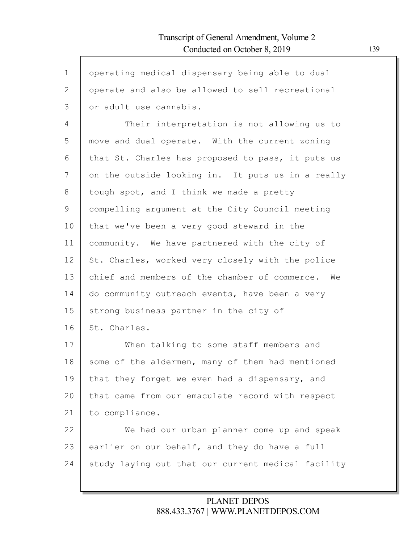| $\mathbf 1$ | operating medical dispensary being able to dual    |
|-------------|----------------------------------------------------|
| 2           | operate and also be allowed to sell recreational   |
| 3           | or adult use cannabis.                             |
| 4           | Their interpretation is not allowing us to         |
| 5           | move and dual operate. With the current zoning     |
| 6           | that St. Charles has proposed to pass, it puts us  |
| 7           | on the outside looking in. It puts us in a really  |
| 8           | tough spot, and I think we made a pretty           |
| 9           | compelling argument at the City Council meeting    |
| 10          | that we've been a very good steward in the         |
| 11          | community. We have partnered with the city of      |
| 12          | St. Charles, worked very closely with the police   |
| 13          | chief and members of the chamber of commerce. We   |
| 14          | do community outreach events, have been a very     |
| 15          | strong business partner in the city of             |
| 16          | St. Charles.                                       |
| 17          | When talking to some staff members and             |
| 18          | some of the aldermen, many of them had mentioned   |
| 19          | that they forget we even had a dispensary, and     |
| 20          | that came from our emaculate record with respect   |
| 21          | to compliance.                                     |
| 22          | We had our urban planner come up and speak         |
| 23          | earlier on our behalf, and they do have a full     |
| 24          | study laying out that our current medical facility |
|             |                                                    |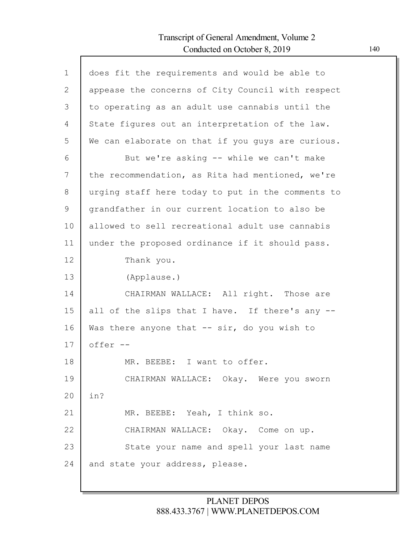Г

| $\mathbf{1}$  | does fit the requirements and would be able to    |
|---------------|---------------------------------------------------|
| $\mathbf{2}$  | appease the concerns of City Council with respect |
| 3             | to operating as an adult use cannabis until the   |
| 4             | State figures out an interpretation of the law.   |
| 5             | We can elaborate on that if you guys are curious. |
| 6             | But we're asking -- while we can't make           |
| 7             | the recommendation, as Rita had mentioned, we're  |
| 8             | urging staff here today to put in the comments to |
| $\mathcal{G}$ | grandfather in our current location to also be    |
| 10            | allowed to sell recreational adult use cannabis   |
| 11            | under the proposed ordinance if it should pass.   |
| 12            | Thank you.                                        |
| 13            | (Applause.)                                       |
| 14            | CHAIRMAN WALLACE: All right. Those are            |
| 15            | all of the slips that I have. If there's any --   |
| 16            | Was there anyone that $--$ sir, do you wish to    |
| 17            | offer --                                          |
| 18            | MR. BEEBE: I want to offer.                       |
| 19            | CHAIRMAN WALLACE: Okay. Were you sworn            |
| 20            | in?                                               |
| 21            | MR. BEEBE: Yeah, I think so.                      |
| 22            | CHAIRMAN WALLACE: Okay. Come on up.               |
| 23            | State your name and spell your last name          |
| 24            | and state your address, please.                   |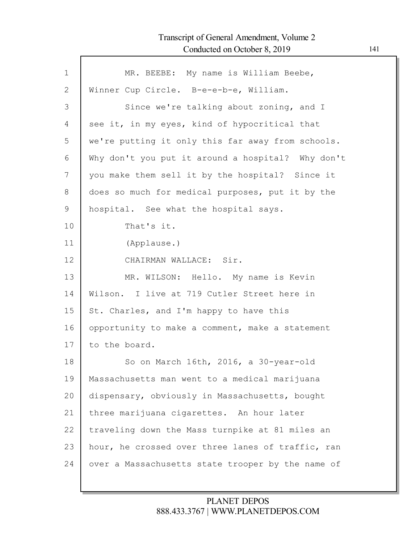Г

| $\mathbf{1}$ | MR. BEEBE: My name is William Beebe,              |
|--------------|---------------------------------------------------|
| 2            | Winner Cup Circle. B-e-e-b-e, William.            |
| 3            | Since we're talking about zoning, and I           |
| 4            | see it, in my eyes, kind of hypocritical that     |
| 5            | we're putting it only this far away from schools. |
| 6            | Why don't you put it around a hospital? Why don't |
| 7            | you make them sell it by the hospital? Since it   |
| 8            | does so much for medical purposes, put it by the  |
| $\mathsf 9$  | hospital. See what the hospital says.             |
| 10           | That's it.                                        |
| 11           | (Applause.)                                       |
| 12           | CHAIRMAN WALLACE: Sir.                            |
| 13           | MR. WILSON: Hello. My name is Kevin               |
| 14           | Wilson. I live at 719 Cutler Street here in       |
| 15           | St. Charles, and I'm happy to have this           |
| 16           | opportunity to make a comment, make a statement   |
| 17           | to the board.                                     |
| 18           |                                                   |
|              | So on March 16th, 2016, a 30-year-old             |
| 19           | Massachusetts man went to a medical marijuana     |
| 20           | dispensary, obviously in Massachusetts, bought    |
| 21           | three marijuana cigarettes. An hour later         |
| 22           | traveling down the Mass turnpike at 81 miles an   |
| 23           | hour, he crossed over three lanes of traffic, ran |
| 24           | over a Massachusetts state trooper by the name of |
|              |                                                   |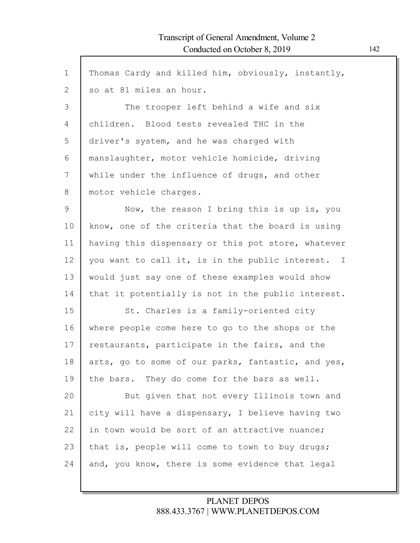| $\mathbf 1$  | Thomas Cardy and killed him, obviously, instantly, |
|--------------|----------------------------------------------------|
| $\mathbf{2}$ | so at 81 miles an hour.                            |
| 3            | The trooper left behind a wife and six             |
| 4            | children. Blood tests revealed THC in the          |
| 5            | driver's system, and he was charged with           |
| 6            | manslaughter, motor vehicle homicide, driving      |
| 7            | while under the influence of drugs, and other      |
| 8            | motor vehicle charges.                             |
| 9            | Now, the reason I bring this is up is, you         |
| 10           | know, one of the criteria that the board is using  |
| 11           | having this dispensary or this pot store, whatever |
| 12           | you want to call it, is in the public interest. I  |
| 13           | would just say one of these examples would show    |
| 14           | that it potentially is not in the public interest. |
| 15           | St. Charles is a family-oriented city              |
| 16           | where people come here to go to the shops or the   |
| 17           | restaurants, participate in the fairs, and the     |
| 18           | arts, go to some of our parks, fantastic, and yes, |
| 19           | the bars. They do come for the bars as well.       |
| 20           | But given that not every Illinois town and         |
| 21           | city will have a dispensary, I believe having two  |
| 22           | in town would be sort of an attractive nuance;     |
| 23           | that is, people will come to town to buy drugs;    |
| 24           | and, you know, there is some evidence that legal   |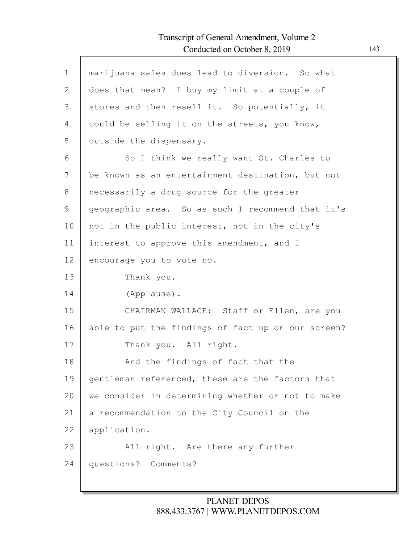$\mathsf{l}$ 

| $\mathbf 1$ | marijuana sales does lead to diversion. So what    |
|-------------|----------------------------------------------------|
| 2           | does that mean? I buy my limit at a couple of      |
| 3           | stores and then resell it. So potentially, it      |
| 4           | could be selling it on the streets, you know,      |
| 5           | outside the dispensary.                            |
| 6           | So I think we really want St. Charles to           |
| 7           | be known as an entertainment destination, but not  |
| 8           | necessarily a drug source for the greater          |
| 9           | geographic area. So as such I recommend that it's  |
| 10          | not in the public interest, not in the city's      |
| 11          | interest to approve this amendment, and I          |
| 12          | encourage you to vote no.                          |
| 13          | Thank you.                                         |
| 14          | (Applause).                                        |
| 15          | CHAIRMAN WALLACE: Staff or Ellen, are you          |
| 16          | able to put the findings of fact up on our screen? |
| 17          | Thank you. All right.                              |
| 18          | And the findings of fact that the                  |
| 19          | gentleman referenced, these are the factors that   |
| 20          | we consider in determining whether or not to make  |
| 21          | a recommendation to the City Council on the        |
| 22          | application.                                       |
| 23          | All right. Are there any further                   |
| 24          | questions? Comments?                               |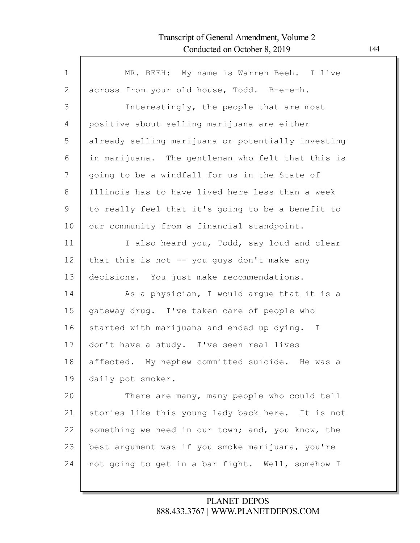| MR. BEEH: My name is Warren Beeh. I live           |
|----------------------------------------------------|
| across from your old house, Todd. B-e-e-h.         |
| Interestingly, the people that are most            |
| positive about selling marijuana are either        |
| already selling marijuana or potentially investing |
| in marijuana. The gentleman who felt that this is  |
| going to be a windfall for us in the State of      |
| Illinois has to have lived here less than a week   |
| to really feel that it's going to be a benefit to  |
| our community from a financial standpoint.         |
| I also heard you, Todd, say loud and clear         |
| that this is not $--$ you guys don't make any      |
| decisions. You just make recommendations.          |
| As a physician, I would argue that it is a         |
| gateway drug. I've taken care of people who        |
| started with marijuana and ended up dying. I       |
| don't have a study. I've seen real lives           |
| affected. My nephew committed suicide. He was a    |
| daily pot smoker.                                  |
| There are many, many people who could tell         |
| stories like this young lady back here. It is not  |
|                                                    |
| something we need in our town; and, you know, the  |
| best argument was if you smoke marijuana, you're   |
|                                                    |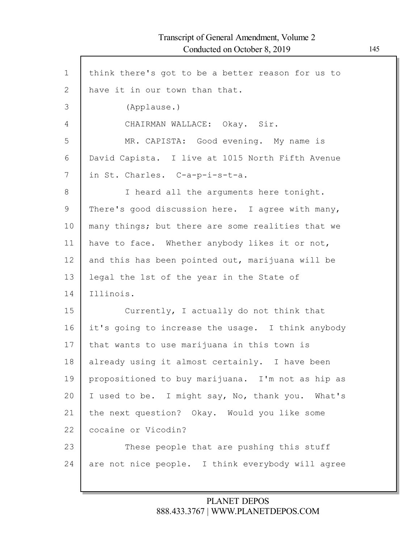Г

| think there's got to be a better reason for us to |
|---------------------------------------------------|
| have it in our town than that.                    |
| (Applause.)                                       |
| CHAIRMAN WALLACE: Okay. Sir.                      |
| MR. CAPISTA: Good evening. My name is             |
| David Capista. I live at 1015 North Fifth Avenue  |
| in St. Charles. C-a-p-i-s-t-a.                    |
| I heard all the arguments here tonight.           |
| There's good discussion here. I agree with many,  |
| many things; but there are some realities that we |
| have to face. Whether anybody likes it or not,    |
| and this has been pointed out, marijuana will be  |
| legal the 1st of the year in the State of         |
| Illinois.                                         |
| Currently, I actually do not think that           |
| it's going to increase the usage. I think anybody |
| that wants to use marijuana in this town is       |
| already using it almost certainly. I have been    |
| propositioned to buy marijuana. I'm not as hip as |
| I used to be. I might say, No, thank you. What's  |
| the next question? Okay. Would you like some      |
| cocaine or Vicodin?                               |
| These people that are pushing this stuff          |
| are not nice people. I think everybody will agree |
|                                                   |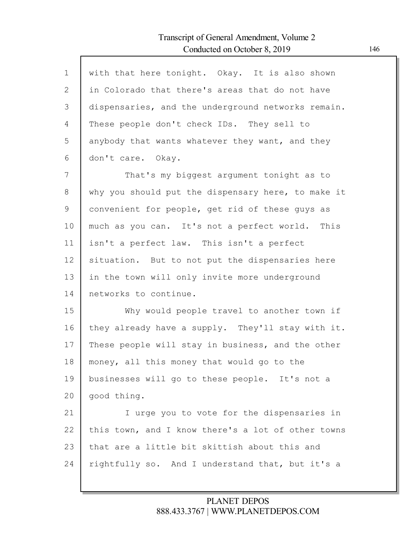| $\mathbf{1}$ | with that here tonight. Okay. It is also shown     |
|--------------|----------------------------------------------------|
| $\mathbf{2}$ | in Colorado that there's areas that do not have    |
| 3            | dispensaries, and the underground networks remain. |
| 4            | These people don't check IDs. They sell to         |
| 5            | anybody that wants whatever they want, and they    |
| 6            | don't care. Okay.                                  |
| 7            | That's my biggest argument tonight as to           |
| 8            | why you should put the dispensary here, to make it |
| 9            | convenient for people, get rid of these guys as    |
| 10           | much as you can. It's not a perfect world. This    |
| 11           | isn't a perfect law. This isn't a perfect          |
| 12           | situation. But to not put the dispensaries here    |
| 13           | in the town will only invite more underground      |
| 14           | networks to continue.                              |
| 15           | Why would people travel to another town if         |
| 16           | they already have a supply. They'll stay with it.  |
| 17           | These people will stay in business, and the other  |
| 18           | money, all this money that would go to the         |
| 19           | businesses will go to these people. It's not a     |
| 20           | good thing.                                        |
| 21           | I urge you to vote for the dispensaries in         |
| 22           | this town, and I know there's a lot of other towns |
| 23           | that are a little bit skittish about this and      |
| 24           | rightfully so. And I understand that, but it's a   |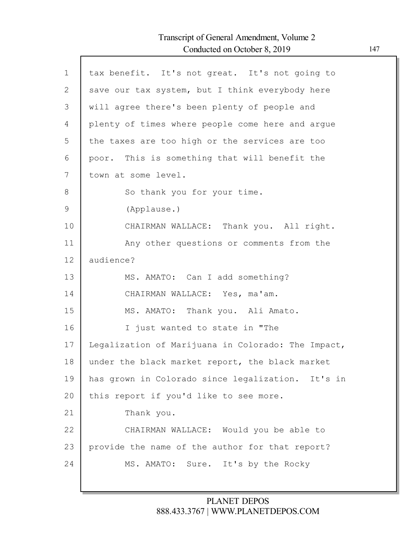Г

| $\mathbf 1$  | tax benefit. It's not great. It's not going to     |
|--------------|----------------------------------------------------|
| $\mathbf{2}$ | save our tax system, but I think everybody here    |
| 3            | will agree there's been plenty of people and       |
| 4            | plenty of times where people come here and argue   |
| 5            | the taxes are too high or the services are too     |
| 6            | poor. This is something that will benefit the      |
| 7            | town at some level.                                |
| 8            | So thank you for your time.                        |
| $\mathsf 9$  | (Applause.)                                        |
| 10           | CHAIRMAN WALLACE: Thank you. All right.            |
| 11           | Any other questions or comments from the           |
| 12           | audience?                                          |
| 13           | MS. AMATO: Can I add something?                    |
| 14           | CHAIRMAN WALLACE: Yes, ma'am.                      |
| 15           | MS. AMATO: Thank you. Ali Amato.                   |
| 16           | I just wanted to state in "The                     |
| 17           | Legalization of Marijuana in Colorado: The Impact, |
| 18           | under the black market report, the black market    |
| 19           | has grown in Colorado since legalization. It's in  |
| 20           | this report if you'd like to see more.             |
| 21           | Thank you.                                         |
| 22           | CHAIRMAN WALLACE: Would you be able to             |
| 23           | provide the name of the author for that report?    |
| 24           | MS. AMATO: Sure. It's by the Rocky                 |
|              |                                                    |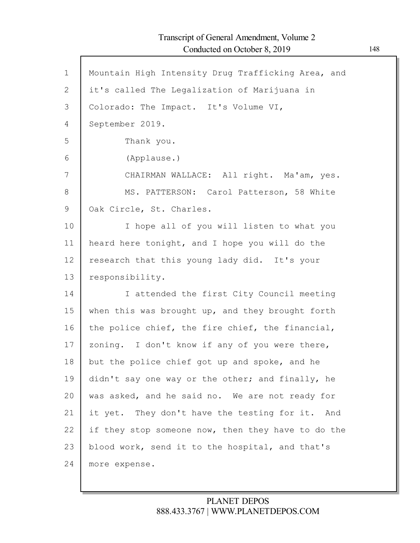| $\mathbf 1$  | Mountain High Intensity Drug Trafficking Area, and |
|--------------|----------------------------------------------------|
| $\mathbf{2}$ | it's called The Legalization of Marijuana in       |
| 3            | Colorado: The Impact. It's Volume VI,              |
| 4            | September 2019.                                    |
| 5            | Thank you.                                         |
| 6            | (Applause.)                                        |
| 7            | CHAIRMAN WALLACE: All right. Ma'am, yes.           |
| 8            | MS. PATTERSON: Carol Patterson, 58 White           |
| 9            | Oak Circle, St. Charles.                           |
| 10           | I hope all of you will listen to what you          |
| 11           | heard here tonight, and I hope you will do the     |
| 12           | research that this young lady did. It's your       |
| 13           | responsibility.                                    |
| 14           | I attended the first City Council meeting          |
| 15           | when this was brought up, and they brought forth   |
| 16           | the police chief, the fire chief, the financial,   |
| 17           | zoning. I don't know if any of you were there,     |
| 18           | but the police chief got up and spoke, and he      |
| 19           | didn't say one way or the other; and finally, he   |
| 20           | was asked, and he said no. We are not ready for    |
| 21           | it yet. They don't have the testing for it. And    |
| 22           | if they stop someone now, then they have to do the |
| 23           | blood work, send it to the hospital, and that's    |
| 24           | more expense.                                      |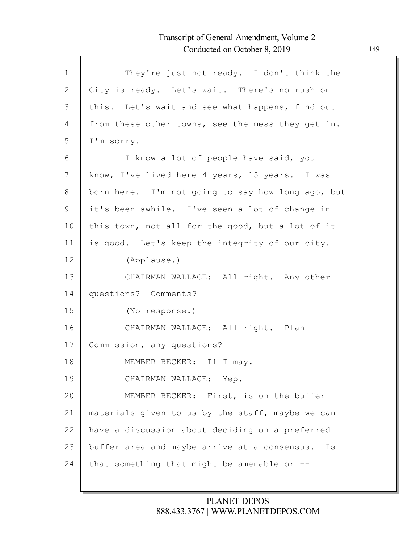| $\mathbf{1}$  | They're just not ready. I don't think the          |
|---------------|----------------------------------------------------|
| $\mathbf{2}$  | City is ready. Let's wait. There's no rush on      |
| 3             | this. Let's wait and see what happens, find out    |
| 4             | from these other towns, see the mess they get in.  |
| 5             | I'm sorry.                                         |
| 6             | I know a lot of people have said, you              |
| 7             | know, I've lived here 4 years, 15 years. I was     |
| 8             | born here. I'm not going to say how long ago, but  |
| $\mathcal{G}$ | it's been awhile. I've seen a lot of change in     |
| 10            | this town, not all for the good, but a lot of it   |
| 11            | is good. Let's keep the integrity of our city.     |
| 12            | (Applause.)                                        |
| 13            | CHAIRMAN WALLACE: All right. Any other             |
| 14            | questions? Comments?                               |
| 15            | (No response.)                                     |
| 16            | CHAIRMAN WALLACE: All right. Plan                  |
| 17            | Commission, any questions?                         |
| 18            | MEMBER BECKER: If I may.                           |
| 19            | CHAIRMAN WALLACE: Yep.                             |
| 20            | MEMBER BECKER: First, is on the buffer             |
| 21            | materials given to us by the staff, maybe we can   |
| 22            | have a discussion about deciding on a preferred    |
| 23            | buffer area and maybe arrive at a consensus.<br>Is |
| 24            | that something that might be amenable or --        |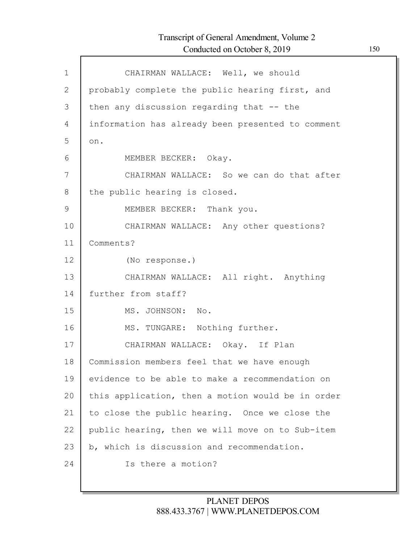| $\mathbf{1}$ | CHAIRMAN WALLACE: Well, we should                 |
|--------------|---------------------------------------------------|
| 2            | probably complete the public hearing first, and   |
| 3            | then any discussion regarding that -- the         |
| 4            | information has already been presented to comment |
| 5            | on.                                               |
| 6            | MEMBER BECKER: Okay.                              |
| 7            | CHAIRMAN WALLACE: So we can do that after         |
| 8            | the public hearing is closed.                     |
| 9            | MEMBER BECKER: Thank you.                         |
| 10           | CHAIRMAN WALLACE: Any other questions?            |
| 11           | Comments?                                         |
| 12           | (No response.)                                    |
| 13           | CHAIRMAN WALLACE: All right. Anything             |
| 14           | further from staff?                               |
| 15           | MS. JOHNSON: No.                                  |
| 16           | MS. TUNGARE: Nothing further.                     |
| 17           | CHAIRMAN WALLACE: Okay. If Plan                   |
| 18           | Commission members feel that we have enough       |
| 19           | evidence to be able to make a recommendation on   |
| 20           | this application, then a motion would be in order |
| 21           | to close the public hearing. Once we close the    |
| 22           | public hearing, then we will move on to Sub-item  |
| 23           | b, which is discussion and recommendation.        |
| 24           | Is there a motion?                                |
|              |                                                   |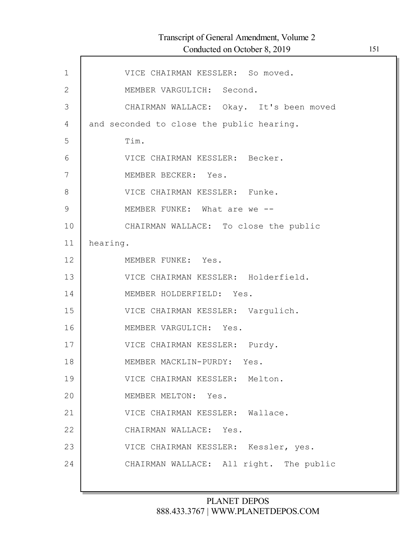| $\mathbf 1$   | VICE CHAIRMAN KESSLER: So moved.          |
|---------------|-------------------------------------------|
| $\mathbf{2}$  | MEMBER VARGULICH: Second.                 |
| 3             | CHAIRMAN WALLACE: Okay. It's been moved   |
| 4             | and seconded to close the public hearing. |
| 5             | Tim.                                      |
| 6             | VICE CHAIRMAN KESSLER: Becker.            |
| 7             | MEMBER BECKER: Yes.                       |
| 8             | VICE CHAIRMAN KESSLER: Funke.             |
| $\mathcal{G}$ | MEMBER FUNKE: What are we --              |
| 10            | CHAIRMAN WALLACE: To close the public     |
| 11            | hearing.                                  |
| 12            | MEMBER FUNKE: Yes.                        |
| 13            | VICE CHAIRMAN KESSLER: Holderfield.       |
| 14            | MEMBER HOLDERFIELD: Yes.                  |
| 15            | VICE CHAIRMAN KESSLER: Vargulich.         |
| 16            | MEMBER VARGULICH: Yes.                    |
| 17            | VICE CHAIRMAN KESSLER: Purdy.             |
| 18            | MEMBER MACKLIN-PURDY: Yes.                |
| 19            | VICE CHAIRMAN KESSLER: Melton.            |
| 20            | MEMBER MELTON: Yes.                       |
| 21            | VICE CHAIRMAN KESSLER: Wallace.           |
| 22            | CHAIRMAN WALLACE: Yes.                    |
| 23            | VICE CHAIRMAN KESSLER: Kessler, yes.      |
| 24            | CHAIRMAN WALLACE: All right. The public   |
|               |                                           |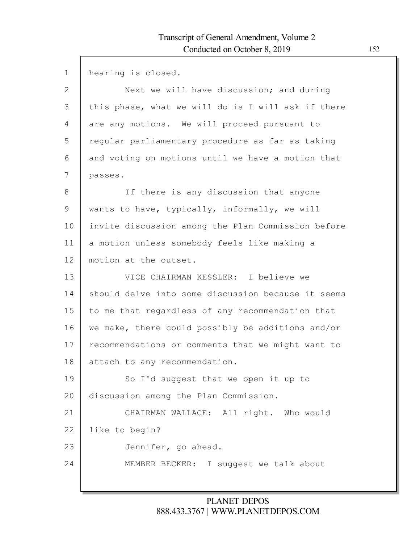| $\mathbf{1}$ | hearing is closed.                                 |
|--------------|----------------------------------------------------|
| 2            | Next we will have discussion; and during           |
| 3            | this phase, what we will do is I will ask if there |
| 4            | are any motions. We will proceed pursuant to       |
| 5            | reqular parliamentary procedure as far as taking   |
| 6            | and voting on motions until we have a motion that  |
| 7            | passes.                                            |
| 8            | If there is any discussion that anyone             |
| $\mathsf 9$  | wants to have, typically, informally, we will      |
| 10           | invite discussion among the Plan Commission before |
| 11           | a motion unless somebody feels like making a       |
| 12           | motion at the outset.                              |
| 13           | VICE CHAIRMAN KESSLER: I believe we                |
| 14           | should delve into some discussion because it seems |
| 15           | to me that regardless of any recommendation that   |
| 16           | we make, there could possibly be additions and/or  |
| 17           | recommendations or comments that we might want to  |
| 18           | attach to any recommendation.                      |
| 19           | So I'd suggest that we open it up to               |
| 20           | discussion among the Plan Commission.              |
| 21           | CHAIRMAN WALLACE: All right. Who would             |
| 22           | like to begin?                                     |
| 23           | Jennifer, go ahead.                                |
| 24           | MEMBER BECKER: I suggest we talk about             |
|              |                                                    |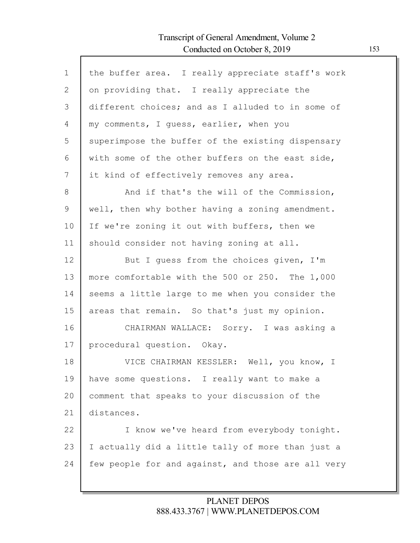| $\mathbf{1}$ | the buffer area. I really appreciate staff's work  |
|--------------|----------------------------------------------------|
| $\mathbf{2}$ | on providing that. I really appreciate the         |
| 3            | different choices; and as I alluded to in some of  |
| 4            | my comments, I guess, earlier, when you            |
| 5            | superimpose the buffer of the existing dispensary  |
| 6            | with some of the other buffers on the east side,   |
| 7            | it kind of effectively removes any area.           |
| 8            | And if that's the will of the Commission,          |
| $\mathsf 9$  | well, then why bother having a zoning amendment.   |
| 10           | If we're zoning it out with buffers, then we       |
| 11           | should consider not having zoning at all.          |
| 12           | But I quess from the choices given, I'm            |
| 13           | more comfortable with the 500 or 250. The 1,000    |
| 14           | seems a little large to me when you consider the   |
| 15           | areas that remain. So that's just my opinion.      |
| 16           | CHAIRMAN WALLACE: Sorry. I was asking a            |
| 17           | procedural question. Okay.                         |
| 18           | VICE CHAIRMAN KESSLER: Well, you know, I           |
| 19           | have some questions. I really want to make a       |
| 20           | comment that speaks to your discussion of the      |
| 21           | distances.                                         |
| 22           | I know we've heard from everybody tonight.         |
| 23           | I actually did a little tally of more than just a  |
| 24           | few people for and against, and those are all very |
|              |                                                    |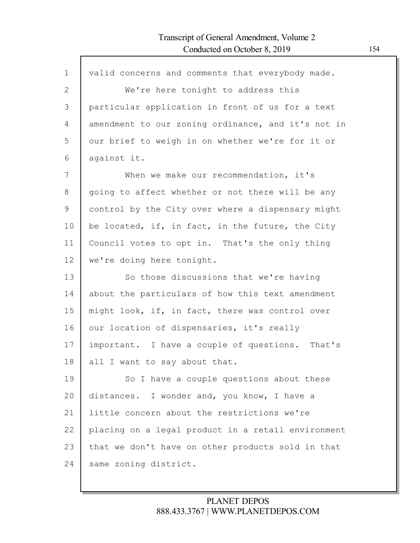| $\mathbf 1$ | valid concerns and comments that everybody made.   |
|-------------|----------------------------------------------------|
| 2           | We're here tonight to address this                 |
| 3           | particular application in front of us for a text   |
| 4           | amendment to our zoning ordinance, and it's not in |
| 5           | our brief to weigh in on whether we're for it or   |
| 6           | against it.                                        |
| 7           | When we make our recommendation, it's              |
| $8\,$       | going to affect whether or not there will be any   |
| 9           | control by the City over where a dispensary might  |
| 10          | be located, if, in fact, in the future, the City   |
| 11          | Council votes to opt in. That's the only thing     |
| 12          | we're doing here tonight.                          |
| 13          | So those discussions that we're having             |
| 14          | about the particulars of how this text amendment   |
| 15          | might look, if, in fact, there was control over    |
| 16          | our location of dispensaries, it's really          |
| 17          | important. I have a couple of questions. That's    |
| 18          | all I want to say about that.                      |
| 19          | So I have a couple questions about these           |
| 20          | distances. I wonder and, you know, I have a        |
| 21          | little concern about the restrictions we're        |
| 22          | placing on a legal product in a retail environment |
| 23          | that we don't have on other products sold in that  |
| 24          |                                                    |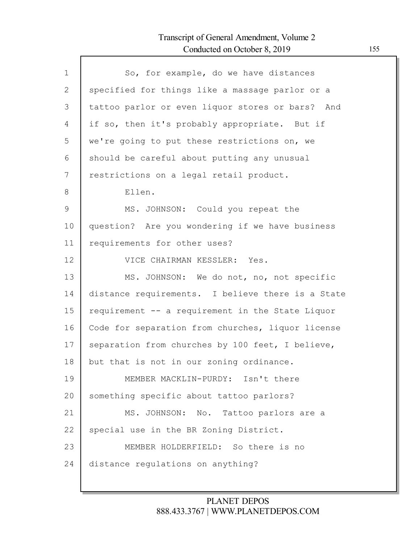Г

| $\mathbf 1$ | So, for example, do we have distances             |
|-------------|---------------------------------------------------|
| 2           | specified for things like a massage parlor or a   |
| 3           | tattoo parlor or even liquor stores or bars? And  |
| 4           | if so, then it's probably appropriate. But if     |
| 5           | we're going to put these restrictions on, we      |
| 6           | should be careful about putting any unusual       |
| 7           | restrictions on a legal retail product.           |
| 8           | Ellen.                                            |
| 9           | MS. JOHNSON: Could you repeat the                 |
| 10          | question? Are you wondering if we have business   |
| 11          | requirements for other uses?                      |
| 12          | VICE CHAIRMAN KESSLER: Yes.                       |
| 13          | MS. JOHNSON: We do not, no, not specific          |
| 14          | distance requirements. I believe there is a State |
| 15          | requirement -- a requirement in the State Liquor  |
| 16          |                                                   |
|             | Code for separation from churches, liquor license |
| 17          | separation from churches by 100 feet, I believe,  |
| 18          | but that is not in our zoning ordinance.          |
| 19          | MEMBER MACKLIN-PURDY: Isn't there                 |
| 20          | something specific about tattoo parlors?          |
| 21          | MS. JOHNSON: No. Tattoo parlors are a             |
| 22          | special use in the BR Zoning District.            |
| 23          | MEMBER HOLDERFIELD: So there is no                |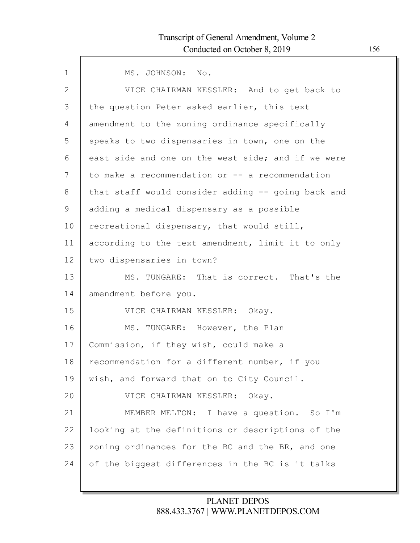| $\mathbf{1}$   | MS. JOHNSON: No.                                   |
|----------------|----------------------------------------------------|
| $\overline{2}$ | VICE CHAIRMAN KESSLER: And to get back to          |
| 3              | the question Peter asked earlier, this text        |
| 4              | amendment to the zoning ordinance specifically     |
| 5              | speaks to two dispensaries in town, one on the     |
| 6              | east side and one on the west side; and if we were |
| 7              | to make a recommendation or $-$ a recommendation   |
| 8              | that staff would consider adding -- going back and |
| 9              | adding a medical dispensary as a possible          |
| 10             | recreational dispensary, that would still,         |
| 11             | according to the text amendment, limit it to only  |
| 12             | two dispensaries in town?                          |
| 13             | MS. TUNGARE: That is correct. That's the           |
| 14             | amendment before you.                              |
| 15             | VICE CHAIRMAN KESSLER: Okay.                       |
| 16             | MS. TUNGARE: However, the Plan                     |
| 17             | Commission, if they wish, could make a             |
| 18             | recommendation for a different number, if you      |
| 19             | wish, and forward that on to City Council.         |
| 20             | VICE CHAIRMAN KESSLER: Okay.                       |
| 21             | MEMBER MELTON: I have a question. So I'm           |
| 22             | looking at the definitions or descriptions of the  |
| 23             | zoning ordinances for the BC and the BR, and one   |
| 24             | of the biggest differences in the BC is it talks   |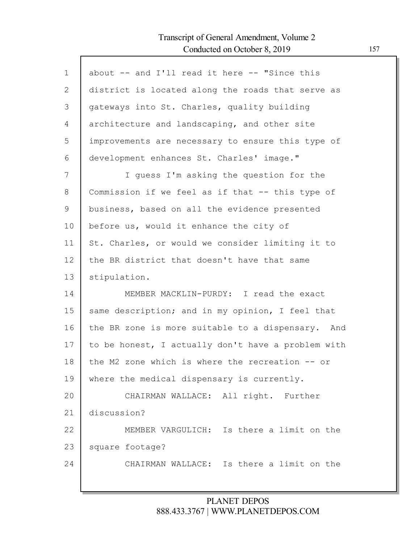Г

| $\mathbf 1$ | about -- and I'll read it here -- "Since this      |
|-------------|----------------------------------------------------|
| 2           | district is located along the roads that serve as  |
| 3           | gateways into St. Charles, quality building        |
| 4           | architecture and landscaping, and other site       |
| 5           | improvements are necessary to ensure this type of  |
| 6           | development enhances St. Charles' image."          |
| 7           | I guess I'm asking the question for the            |
| 8           | Commission if we feel as if that -- this type of   |
| 9           | business, based on all the evidence presented      |
| 10          | before us, would it enhance the city of            |
| 11          | St. Charles, or would we consider limiting it to   |
| 12          | the BR district that doesn't have that same        |
| 13          | stipulation.                                       |
| 14          | MEMBER MACKLIN-PURDY: I read the exact             |
| 15          | same description; and in my opinion, I feel that   |
| 16          | the BR zone is more suitable to a dispensary. And  |
| 17          | to be honest, I actually don't have a problem with |
| 18          | the M2 zone which is where the recreation $-$ or   |
| 19          | where the medical dispensary is currently.         |
| 20          | CHAIRMAN WALLACE: All right. Further               |
| 21          | discussion?                                        |
| 22          | MEMBER VARGULICH: Is there a limit on the          |
| 23          | square footage?                                    |
| 24          | CHAIRMAN WALLACE: Is there a limit on the          |
|             |                                                    |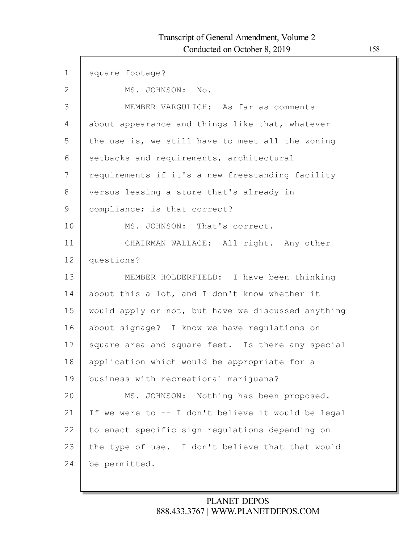| $\mathbf 1$  | square footage?                                    |
|--------------|----------------------------------------------------|
| $\mathbf{2}$ | MS. JOHNSON: No.                                   |
| 3            | MEMBER VARGULICH: As far as comments               |
| 4            | about appearance and things like that, whatever    |
| 5            | the use is, we still have to meet all the zoning   |
| 6            | setbacks and requirements, architectural           |
| 7            | requirements if it's a new freestanding facility   |
| 8            | versus leasing a store that's already in           |
| 9            | compliance; is that correct?                       |
| 10           | MS. JOHNSON: That's correct.                       |
| 11           | CHAIRMAN WALLACE: All right. Any other             |
| 12           | questions?                                         |
| 13           | MEMBER HOLDERFIELD: I have been thinking           |
| 14           | about this a lot, and I don't know whether it      |
| 15           | would apply or not, but have we discussed anything |
| 16           | about signage? I know we have regulations on       |
| 17           | square area and square feet. Is there any special  |
| 18           | application which would be appropriate for a       |
| 19           | business with recreational marijuana?              |
| 20           | MS. JOHNSON: Nothing has been proposed.            |
| 21           | If we were to -- I don't believe it would be legal |
| 22           | to enact specific sign regulations depending on    |
| 23           | the type of use. I don't believe that that would   |
| 24           | be permitted.                                      |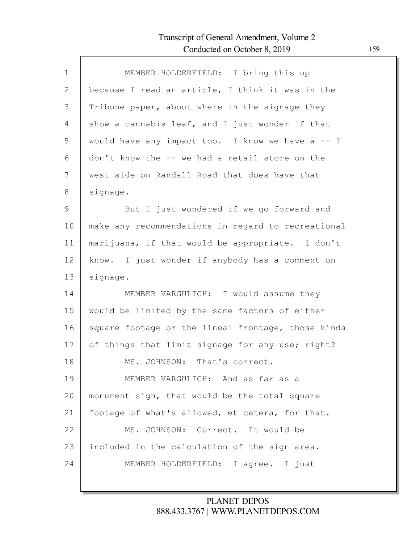| $\mathbf 1$ | MEMBER HOLDERFIELD: I bring this up                |
|-------------|----------------------------------------------------|
| 2           | because I read an article, I think it was in the   |
| 3           | Tribune paper, about where in the signage they     |
| 4           | show a cannabis leaf, and I just wonder if that    |
| 5           | would have any impact too. I know we have a -- I   |
| 6           | don't know the -- we had a retail store on the     |
| 7           | west side on Randall Road that does have that      |
| 8           | signage.                                           |
| 9           | But I just wondered if we go forward and           |
| 10          | make any recommendations in regard to recreational |
| 11          | marijuana, if that would be appropriate. I don't   |
| 12          | know. I just wonder if anybody has a comment on    |
| 13          | signage.                                           |
| 14          | MEMBER VARGULICH: I would assume they              |
| 15          | would be limited by the same factors of either     |
| 16          | square footage or the lineal frontage, those kinds |
| 17          | of things that limit signage for any use; right?   |
| 18          | MS. JOHNSON: That's correct.                       |
| 19          | MEMBER VARGULICH: And as far as a                  |
| 20          | monument sign, that would be the total square      |
| 21          | footage of what's allowed, et cetera, for that.    |
| 22          | MS. JOHNSON: Correct. It would be                  |
| 23          | included in the calculation of the sign area.      |
| 24          | MEMBER HOLDERFIELD: I agree. I just                |
|             |                                                    |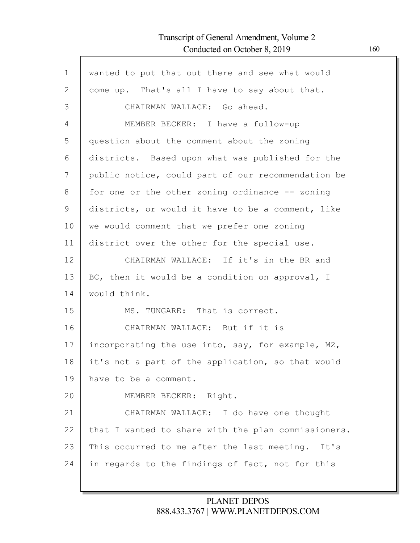Г

| $\mathbf 1$ | wanted to put that out there and see what would     |
|-------------|-----------------------------------------------------|
| 2           | come up. That's all I have to say about that.       |
| 3           | CHAIRMAN WALLACE: Go ahead.                         |
| 4           | MEMBER BECKER: I have a follow-up                   |
| 5           | question about the comment about the zoning         |
| 6           | districts. Based upon what was published for the    |
| 7           | public notice, could part of our recommendation be  |
| 8           | for one or the other zoning ordinance -- zoning     |
| 9           | districts, or would it have to be a comment, like   |
| 10          | we would comment that we prefer one zoning          |
| 11          | district over the other for the special use.        |
| 12          | CHAIRMAN WALLACE: If it's in the BR and             |
| 13          | BC, then it would be a condition on approval, I     |
| 14          | would think.                                        |
| 15          | MS. TUNGARE: That is correct.                       |
| 16          | CHAIRMAN WALLACE: But if it is                      |
| 17          | incorporating the use into, say, for example, M2,   |
| 18          | it's not a part of the application, so that would   |
| 19          | have to be a comment.                               |
| 20          | MEMBER BECKER: Right.                               |
| 21          | CHAIRMAN WALLACE: I do have one thought             |
| 22          | that I wanted to share with the plan commissioners. |
| 23          | This occurred to me after the last meeting. It's    |
| 24          | in regards to the findings of fact, not for this    |
|             |                                                     |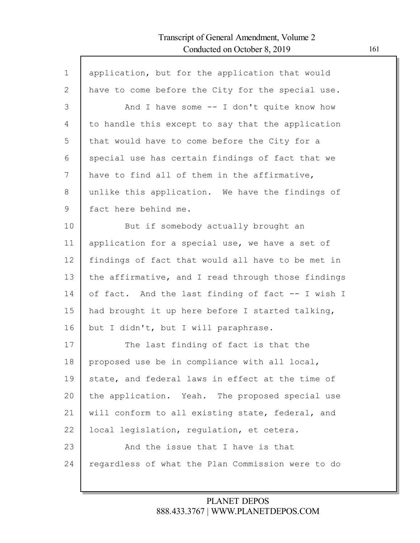Г

| $\mathbf 1$ | application, but for the application that would    |
|-------------|----------------------------------------------------|
| 2           | have to come before the City for the special use.  |
| 3           | And I have some -- I don't quite know how          |
| 4           | to handle this except to say that the application  |
| 5           | that would have to come before the City for a      |
| 6           | special use has certain findings of fact that we   |
| 7           | have to find all of them in the affirmative,       |
| 8           | unlike this application. We have the findings of   |
| 9           | fact here behind me.                               |
| 10          | But if somebody actually brought an                |
| 11          | application for a special use, we have a set of    |
| 12          | findings of fact that would all have to be met in  |
| 13          | the affirmative, and I read through those findings |
| 14          | of fact. And the last finding of fact -- I wish I  |
| 15          | had brought it up here before I started talking,   |
| 16          | but I didn't, but I will paraphrase.               |
| 17          | The last finding of fact is that the               |
| 18          | proposed use be in compliance with all local,      |
| 19          | state, and federal laws in effect at the time of   |
| 20          | the application. Yeah. The proposed special use    |
| 21          | will conform to all existing state, federal, and   |
| 22          | local legislation, regulation, et cetera.          |
| 23          | And the issue that I have is that                  |
| 24          | regardless of what the Plan Commission were to do  |
|             |                                                    |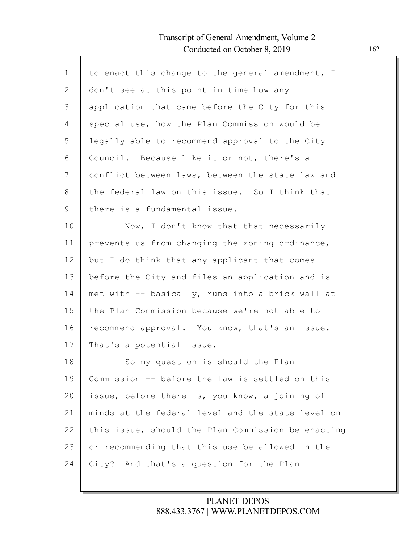Г

| $\mathbf{1}$ | to enact this change to the general amendment, I   |
|--------------|----------------------------------------------------|
| $\mathbf{2}$ | don't see at this point in time how any            |
| 3            | application that came before the City for this     |
| 4            | special use, how the Plan Commission would be      |
| 5            | legally able to recommend approval to the City     |
| 6            | Council. Because like it or not, there's a         |
| 7            | conflict between laws, between the state law and   |
| 8            | the federal law on this issue. So I think that     |
| $\mathsf 9$  | there is a fundamental issue.                      |
| 10           | Now, I don't know that that necessarily            |
| 11           | prevents us from changing the zoning ordinance,    |
| 12           | but I do think that any applicant that comes       |
| 13           | before the City and files an application and is    |
| 14           | met with -- basically, runs into a brick wall at   |
| 15           | the Plan Commission because we're not able to      |
| 16           | recommend approval. You know, that's an issue.     |
| 17           | That's a potential issue.                          |
| 18           | So my question is should the Plan                  |
| 19           | Commission -- before the law is settled on this    |
| 20           | issue, before there is, you know, a joining of     |
| 21           | minds at the federal level and the state level on  |
| 22           | this issue, should the Plan Commission be enacting |
| 23           | or recommending that this use be allowed in the    |
| 24           | City? And that's a question for the Plan           |
|              |                                                    |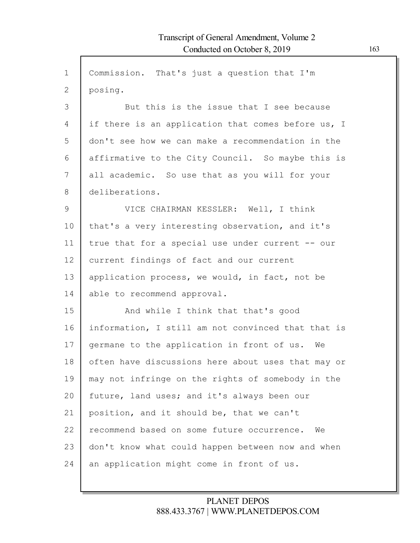| $\mathbf{1}$  | Commission. That's just a question that I'm        |
|---------------|----------------------------------------------------|
| $\mathbf{2}$  | posing.                                            |
| 3             | But this is the issue that I see because           |
| 4             | if there is an application that comes before us, I |
| 5             | don't see how we can make a recommendation in the  |
| 6             | affirmative to the City Council. So maybe this is  |
| 7             | all academic. So use that as you will for your     |
| 8             | deliberations.                                     |
| $\mathcal{G}$ | VICE CHAIRMAN KESSLER: Well, I think               |
| 10            | that's a very interesting observation, and it's    |
| 11            | true that for a special use under current -- our   |
| 12            | current findings of fact and our current           |
| 13            | application process, we would, in fact, not be     |
| 14            | able to recommend approval.                        |
| 15            | And while I think that that's good                 |
| 16            | information, I still am not convinced that that is |
| 17            | germane to the application in front of us. We      |
| 18            | often have discussions here about uses that may or |
| 19            | may not infringe on the rights of somebody in the  |
| 20            | future, land uses; and it's always been our        |
| 21            | position, and it should be, that we can't          |
| 22            | recommend based on some future occurrence.<br>We   |
| 23            | don't know what could happen between now and when  |
| 24            | an application might come in front of us.          |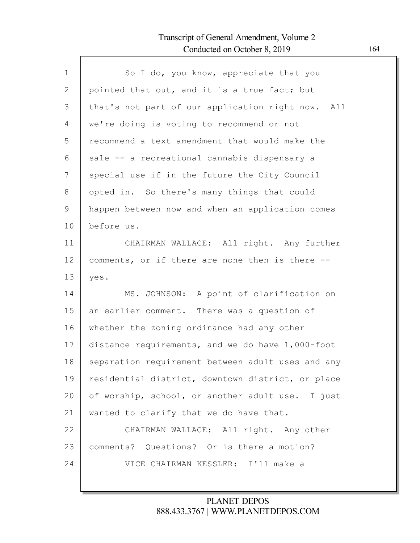| $\mathbf{1}$ | So I do, you know, appreciate that you            |
|--------------|---------------------------------------------------|
| 2            | pointed that out, and it is a true fact; but      |
| 3            | that's not part of our application right now. All |
| 4            | we're doing is voting to recommend or not         |
| 5            | recommend a text amendment that would make the    |
| 6            | sale -- a recreational cannabis dispensary a      |
| 7            | special use if in the future the City Council     |
| 8            | opted in. So there's many things that could       |
| $\mathsf 9$  | happen between now and when an application comes  |
| 10           | before us.                                        |
| 11           | CHAIRMAN WALLACE: All right. Any further          |
| 12           | comments, or if there are none then is there --   |
| 13           | yes.                                              |
| 14           | MS. JOHNSON: A point of clarification on          |
| 15           | an earlier comment. There was a question of       |
| 16           | whether the zoning ordinance had any other        |
| 17           | distance requirements, and we do have 1,000-foot  |
| 18           | separation requirement between adult uses and any |
| 19           | residential district, downtown district, or place |
| 20           | of worship, school, or another adult use. I just  |
| 21           | wanted to clarify that we do have that.           |
| 22           | CHAIRMAN WALLACE: All right. Any other            |
| 23           | comments? Questions? Or is there a motion?        |
| 24           | VICE CHAIRMAN KESSLER: I'll make a                |
|              |                                                   |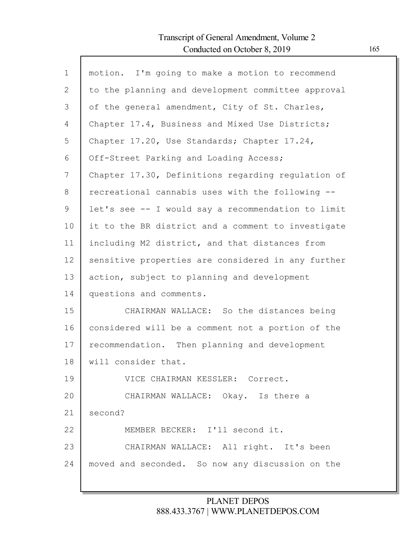Г

| $\mathbf 1$ | motion. I'm going to make a motion to recommend    |
|-------------|----------------------------------------------------|
| 2           | to the planning and development committee approval |
| 3           | of the general amendment, City of St. Charles,     |
| 4           | Chapter 17.4, Business and Mixed Use Districts;    |
| 5           | Chapter 17.20, Use Standards; Chapter 17.24,       |
| 6           | Off-Street Parking and Loading Access;             |
| 7           | Chapter 17.30, Definitions regarding regulation of |
| 8           | recreational cannabis uses with the following --   |
| 9           | let's see -- I would say a recommendation to limit |
| 10          | it to the BR district and a comment to investigate |
| 11          | including M2 district, and that distances from     |
| 12          | sensitive properties are considered in any further |
| 13          | action, subject to planning and development        |
| 14          | questions and comments.                            |
| 15          | CHAIRMAN WALLACE: So the distances being           |
| 16          | considered will be a comment not a portion of the  |
| 17          | recommendation. Then planning and development      |
| 18          | will consider that.                                |
| 19          | VICE CHAIRMAN KESSLER: Correct.                    |
| 20          | CHAIRMAN WALLACE: Okay. Is there a                 |
| 21          | second?                                            |
| 22          | MEMBER BECKER: I'll second it.                     |
| 23          | CHAIRMAN WALLACE: All right. It's been             |
| 24          | moved and seconded. So now any discussion on the   |
|             |                                                    |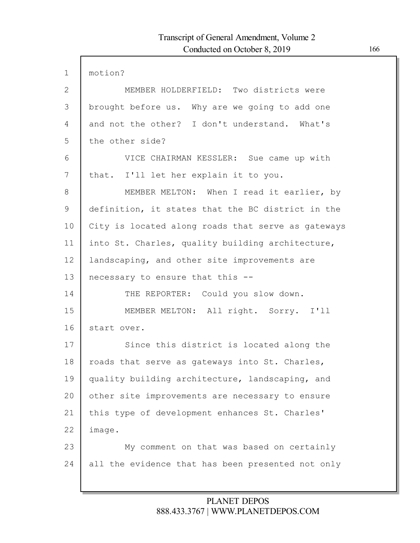| $\mathbf{1}$ | motion?                                            |
|--------------|----------------------------------------------------|
| $\mathbf{2}$ | MEMBER HOLDERFIELD: Two districts were             |
| 3            | brought before us. Why are we going to add one     |
| 4            | and not the other? I don't understand. What's      |
| 5            | the other side?                                    |
| 6            | VICE CHAIRMAN KESSLER: Sue came up with            |
| 7            | that. I'll let her explain it to you.              |
| 8            | MEMBER MELTON: When I read it earlier, by          |
| 9            | definition, it states that the BC district in the  |
| 10           | City is located along roads that serve as gateways |
| 11           | into St. Charles, quality building architecture,   |
| 12           | landscaping, and other site improvements are       |
| 13           | necessary to ensure that this --                   |
| 14           | THE REPORTER: Could you slow down.                 |
| 15           | MEMBER MELTON: All right. Sorry. I'll              |
| 16           | start over.                                        |
| 17           | Since this district is located along the           |
| 18           | roads that serve as gateways into St. Charles,     |
| 19           | quality building architecture, landscaping, and    |
| 20           | other site improvements are necessary to ensure    |
| 21           | this type of development enhances St. Charles'     |
| 22           | image.                                             |
| 23           | My comment on that was based on certainly          |
| 24           | all the evidence that has been presented not only  |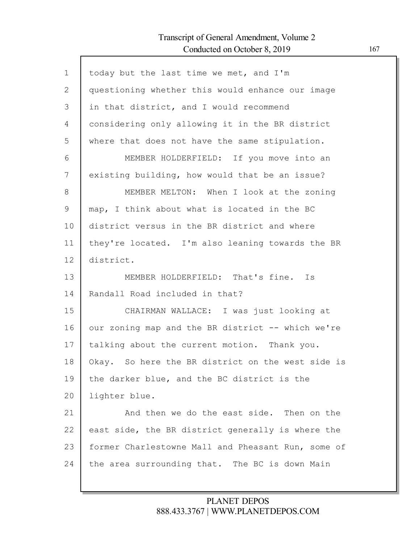Г

| $\mathbf 1$  | today but the last time we met, and I'm            |
|--------------|----------------------------------------------------|
| $\mathbf{2}$ | questioning whether this would enhance our image   |
| 3            | in that district, and I would recommend            |
| 4            | considering only allowing it in the BR district    |
| 5            | where that does not have the same stipulation.     |
| 6            | MEMBER HOLDERFIELD: If you move into an            |
| 7            | existing building, how would that be an issue?     |
| 8            | MEMBER MELTON: When I look at the zoning           |
| 9            | map, I think about what is located in the BC       |
| 10           | district versus in the BR district and where       |
| 11           | they're located. I'm also leaning towards the BR   |
| 12           | district.                                          |
| 13           | MEMBER HOLDERFIELD: That's fine. Is                |
| 14           | Randall Road included in that?                     |
| 15           | CHAIRMAN WALLACE: I was just looking at            |
| 16           | our zoning map and the BR district -- which we're  |
| 17           | talking about the current motion. Thank you.       |
| 18           | Okay. So here the BR district on the west side is  |
| 19           | the darker blue, and the BC district is the        |
| 20           | lighter blue.                                      |
| 21           | And then we do the east side. Then on the          |
| 22           | east side, the BR district generally is where the  |
| 23           | former Charlestowne Mall and Pheasant Run, some of |
| 24           | the area surrounding that. The BC is down Main     |
|              |                                                    |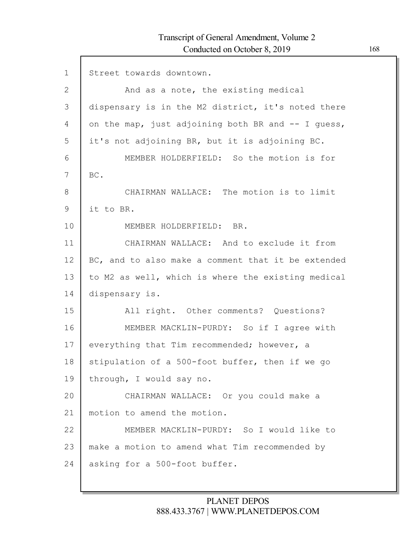$\Gamma$ 

| $\mathbf 1$    | Street towards downtown.                           |
|----------------|----------------------------------------------------|
| $\overline{2}$ | And as a note, the existing medical                |
| 3              | dispensary is in the M2 district, it's noted there |
| 4              | on the map, just adjoining both BR and -- I quess, |
| 5              | it's not adjoining BR, but it is adjoining BC.     |
| 6              | MEMBER HOLDERFIELD: So the motion is for           |
| 7              | BC.                                                |
| 8              | CHAIRMAN WALLACE: The motion is to limit           |
| 9              | it to BR.                                          |
| 10             | MEMBER HOLDERFIELD: BR.                            |
| 11             | CHAIRMAN WALLACE: And to exclude it from           |
| 12             | BC, and to also make a comment that it be extended |
| 13             | to M2 as well, which is where the existing medical |
| 14             | dispensary is.                                     |
| 15             | All right. Other comments? Questions?              |
| 16             | MEMBER MACKLIN-PURDY: So if I agree with           |
| 17             | everything that Tim recommended; however, a        |
| 18             | stipulation of a 500-foot buffer, then if we go    |
| 19             | through, I would say no.                           |
| 20             | CHAIRMAN WALLACE: Or you could make a              |
| 21             | motion to amend the motion.                        |
| 22             | MEMBER MACKLIN-PURDY: So I would like to           |
| 23             | make a motion to amend what Tim recommended by     |
| 24             | asking for a 500-foot buffer.                      |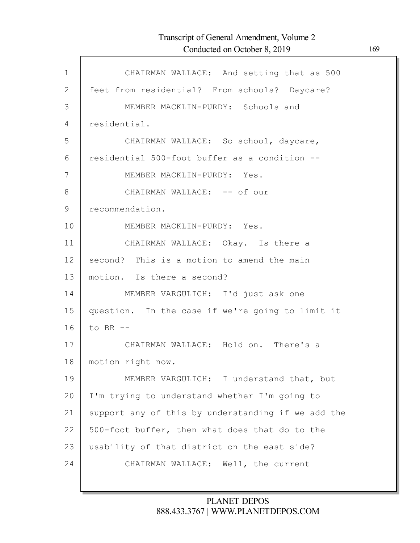Г

| $\mathbf{1}$ | CHAIRMAN WALLACE: And setting that as 500          |
|--------------|----------------------------------------------------|
| $\mathbf{2}$ | feet from residential? From schools? Daycare?      |
| 3            | MEMBER MACKLIN-PURDY: Schools and                  |
| 4            | residential.                                       |
| 5            | CHAIRMAN WALLACE: So school, daycare,              |
| 6            | residential 500-foot buffer as a condition --      |
| 7            | MEMBER MACKLIN-PURDY: Yes.                         |
| 8            | CHAIRMAN WALLACE: -- of our                        |
| $\mathsf 9$  | recommendation.                                    |
| 10           | MEMBER MACKLIN-PURDY: Yes.                         |
| 11           | CHAIRMAN WALLACE: Okay. Is there a                 |
| 12           | second? This is a motion to amend the main         |
| 13           | motion. Is there a second?                         |
| 14           | MEMBER VARGULICH: I'd just ask one                 |
| 15           | question. In the case if we're going to limit it   |
| 16           | to BR $-$                                          |
| 17           | CHAIRMAN WALLACE: Hold on. There's a               |
| 18           | motion right now.                                  |
| 19           | MEMBER VARGULICH: I understand that, but           |
| 20           | I'm trying to understand whether I'm going to      |
| 21           | support any of this by understanding if we add the |
| 22           | 500-foot buffer, then what does that do to the     |
| 23           | usability of that district on the east side?       |
| 24           | CHAIRMAN WALLACE: Well, the current                |
|              |                                                    |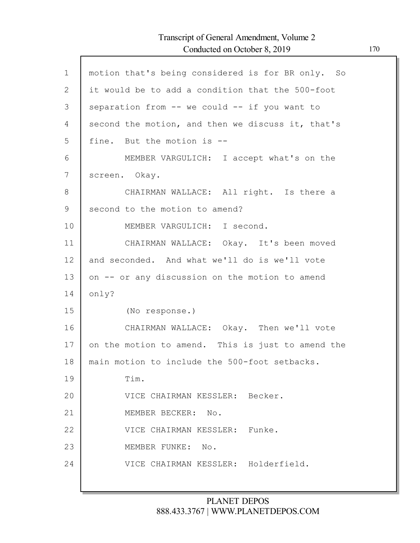| $\mathbf 1$  | motion that's being considered is for BR only. So |
|--------------|---------------------------------------------------|
| $\mathbf{2}$ | it would be to add a condition that the 500-foot  |
| 3            | separation from -- we could -- if you want to     |
| 4            | second the motion, and then we discuss it, that's |
| 5            | fine. But the motion is --                        |
| 6            | MEMBER VARGULICH: I accept what's on the          |
| 7            | screen. Okay.                                     |
| 8            | CHAIRMAN WALLACE: All right. Is there a           |
| 9            | second to the motion to amend?                    |
| 10           | MEMBER VARGULICH: I second.                       |
| 11           | CHAIRMAN WALLACE: Okay. It's been moved           |
| 12           | and seconded. And what we'll do is we'll vote     |
| 13           | on -- or any discussion on the motion to amend    |
| 14           | only?                                             |
| 15           | (No response.)                                    |
| 16           | CHAIRMAN WALLACE: Okay. Then we'll vote           |
| 17           | on the motion to amend. This is just to amend the |
| 18           | main motion to include the 500-foot setbacks.     |
| 19           | Tim.                                              |
| 20           | VICE CHAIRMAN KESSLER: Becker.                    |
| 21           | MEMBER BECKER:<br>No.                             |
| 22           | Funke.<br>VICE CHAIRMAN KESSLER:                  |
| 23           | MEMBER FUNKE:<br>No.                              |
| 24           | VICE CHAIRMAN KESSLER: Holderfield.               |
|              |                                                   |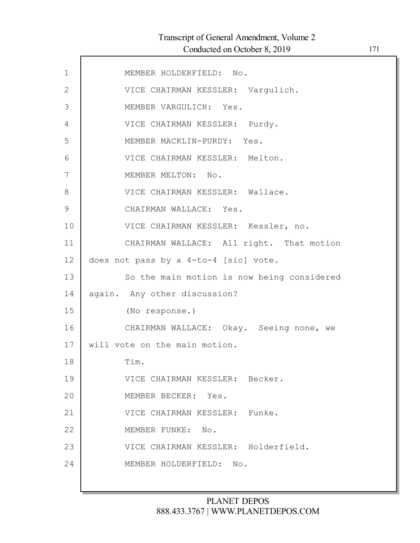| $\mathbf 1$   | MEMBER HOLDERFIELD: No.                    |
|---------------|--------------------------------------------|
| $\mathbf{2}$  | VICE CHAIRMAN KESSLER: Vargulich.          |
| 3             | MEMBER VARGULICH: Yes.                     |
| 4             | VICE CHAIRMAN KESSLER: Purdy.              |
| 5             | MEMBER MACKLIN-PURDY: Yes.                 |
| 6             | VICE CHAIRMAN KESSLER: Melton.             |
| 7             | MEMBER MELTON: No.                         |
| 8             | VICE CHAIRMAN KESSLER: Wallace.            |
| $\mathcal{G}$ | CHAIRMAN WALLACE: Yes.                     |
| 10            | VICE CHAIRMAN KESSLER: Kessler, no.        |
| 11            | CHAIRMAN WALLACE: All right. That motion   |
| 12            | does not pass by a 4-to-4 [sic] vote.      |
| 13            | So the main motion is now being considered |
| 14            | again. Any other discussion?               |
| 15            | (No response.)                             |
| 16            | CHAIRMAN WALLACE: Okay. Seeing none, we    |
| 17            | will vote on the main motion.              |
| 18            | Tim.                                       |
| 19            | VICE CHAIRMAN KESSLER: Becker.             |
| 20            | MEMBER BECKER: Yes.                        |
| 21            | VICE CHAIRMAN KESSLER: Funke.              |
| 22            | MEMBER FUNKE: No.                          |
| 23            | VICE CHAIRMAN KESSLER: Holderfield.        |
| 24            | MEMBER HOLDERFIELD: No.                    |
|               |                                            |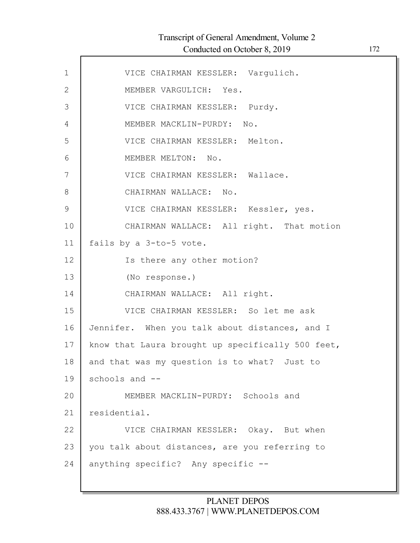| $\mathbf 1$    | VICE CHAIRMAN KESSLER: Varqulich.                 |
|----------------|---------------------------------------------------|
| 2              | MEMBER VARGULICH: Yes.                            |
| 3              | VICE CHAIRMAN KESSLER: Purdy.                     |
| $\overline{4}$ | MEMBER MACKLIN-PURDY: No.                         |
| 5              | VICE CHAIRMAN KESSLER: Melton.                    |
| 6              | MEMBER MELTON: No.                                |
| 7              | VICE CHAIRMAN KESSLER: Wallace.                   |
| 8              | CHAIRMAN WALLACE: No.                             |
| $\mathcal{G}$  | VICE CHAIRMAN KESSLER: Kessler, yes.              |
| 10             | CHAIRMAN WALLACE: All right. That motion          |
| 11             | fails by a 3-to-5 vote.                           |
| 12             | Is there any other motion?                        |
| 13             | (No response.)                                    |
| 14             | CHAIRMAN WALLACE: All right.                      |
| 15             | VICE CHAIRMAN KESSLER: So let me ask              |
| 16             | Jennifer. When you talk about distances, and I    |
| 17             | know that Laura brought up specifically 500 feet, |
| 18             | and that was my question is to what? Just to      |
| 19             | schools and --                                    |
| 20             | MEMBER MACKLIN-PURDY: Schools and                 |
| 21             | residential.                                      |
| 22             | VICE CHAIRMAN KESSLER: Okay. But when             |
| 23             | you talk about distances, are you referring to    |
| 24             | anything specific? Any specific --                |
|                |                                                   |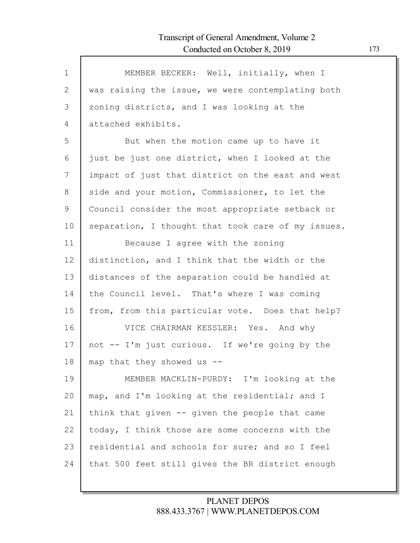| $\mathbf{1}$ | MEMBER BECKER: Well, initially, when I             |
|--------------|----------------------------------------------------|
| 2            | was raising the issue, we were contemplating both  |
| 3            | zoning districts, and I was looking at the         |
| 4            | attached exhibits.                                 |
| 5            | But when the motion came up to have it             |
| 6            | just be just one district, when I looked at the    |
| 7            | impact of just that district on the east and west  |
| 8            | side and your motion, Commissioner, to let the     |
| 9            | Council consider the most appropriate setback or   |
| 10           | separation, I thought that took care of my issues. |
| 11           | Because I agree with the zoning                    |
| 12           | distinction, and I think that the width or the     |
| 13           | distances of the separation could be handled at    |
| 14           | the Council level. That's where I was coming       |
| 15           | from, from this particular vote. Does that help?   |
| 16           | VICE CHAIRMAN KESSLER: Yes. And why                |
| 17           | not -- I'm just curious. If we're going by the     |
| 18           | map that they showed us --                         |
| 19           | MEMBER MACKLIN-PURDY: I'm looking at the           |
| 20           | map, and I'm looking at the residential; and I     |
| 21           | think that given -- given the people that came     |
| 22           | today, I think those are some concerns with the    |
| 23           | residential and schools for sure; and so I feel    |
| 24           | that 500 feet still gives the BR district enough   |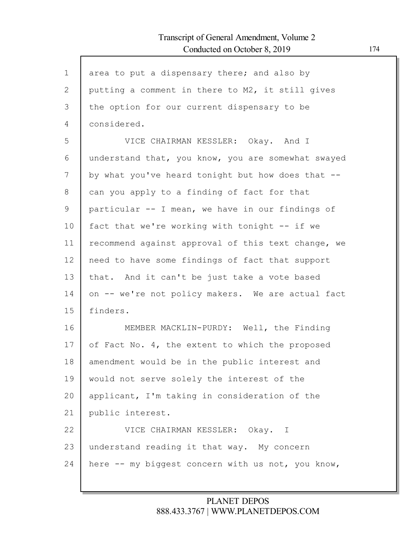| $\mathbf 1$    | area to put a dispensary there; and also by        |
|----------------|----------------------------------------------------|
| $\overline{2}$ | putting a comment in there to M2, it still gives   |
| 3              | the option for our current dispensary to be        |
| 4              | considered.                                        |
| 5              | VICE CHAIRMAN KESSLER: Okay. And I                 |
| 6              | understand that, you know, you are somewhat swayed |
| 7              | by what you've heard tonight but how does that --  |
| 8              | can you apply to a finding of fact for that        |
| 9              | particular -- I mean, we have in our findings of   |
| 10             | fact that we're working with tonight -- if we      |
| 11             | recommend against approval of this text change, we |
| 12             | need to have some findings of fact that support    |
| 13             | that. And it can't be just take a vote based       |
| 14             | on -- we're not policy makers. We are actual fact  |
| 15             | finders.                                           |
| 16             | MEMBER MACKLIN-PURDY: Well, the Finding            |
| 17             | of Fact No. 4, the extent to which the proposed    |
| 18             | amendment would be in the public interest and      |
| 19             | would not serve solely the interest of the         |
| 20             | applicant, I'm taking in consideration of the      |
| 21             | public interest.                                   |
| 22             | VICE CHAIRMAN KESSLER: Okay. I                     |
| 23             | understand reading it that way. My concern         |
| 24             | here -- my biggest concern with us not, you know,  |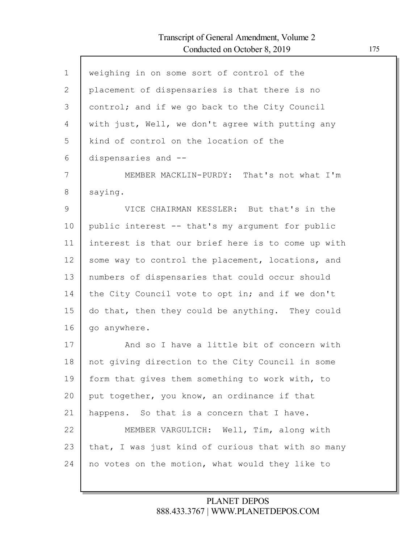$\Gamma$ 

| $\mathbf 1$  | weighing in on some sort of control of the         |
|--------------|----------------------------------------------------|
| $\mathbf{2}$ | placement of dispensaries is that there is no      |
| 3            | control; and if we go back to the City Council     |
| 4            | with just, Well, we don't agree with putting any   |
| 5            | kind of control on the location of the             |
| 6            | dispensaries and --                                |
| 7            | MEMBER MACKLIN-PURDY: That's not what I'm          |
| 8            | saying.                                            |
| 9            | VICE CHAIRMAN KESSLER: But that's in the           |
| 10           | public interest -- that's my argument for public   |
| 11           | interest is that our brief here is to come up with |
| 12           | some way to control the placement, locations, and  |
| 13           | numbers of dispensaries that could occur should    |
| 14           | the City Council vote to opt in; and if we don't   |
| 15           | do that, then they could be anything. They could   |
| 16           | go anywhere.                                       |
| 17           | And so I have a little bit of concern with         |
| 18           | not giving direction to the City Council in some   |
| 19           | form that gives them something to work with, to    |
| 20           | put together, you know, an ordinance if that       |
| 21           | happens. So that is a concern that I have.         |
| 22           | MEMBER VARGULICH: Well, Tim, along with            |
| 23           | that, I was just kind of curious that with so many |
| 24           | no votes on the motion, what would they like to    |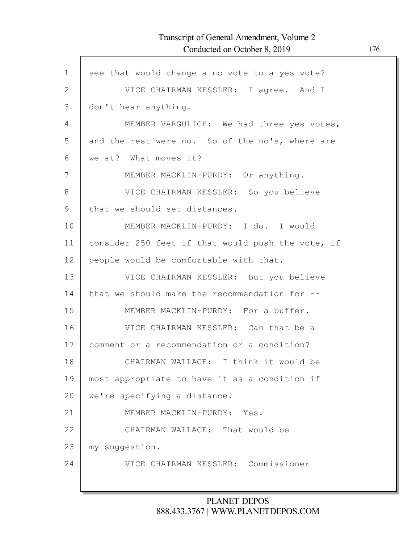| $\mathbf 1$  | see that would change a no vote to a yes vote?    |
|--------------|---------------------------------------------------|
| $\mathbf{2}$ | VICE CHAIRMAN KESSLER: I agree. And I             |
| 3            | don't hear anything.                              |
| 4            | MEMBER VARGULICH: We had three yes votes,         |
| 5            | and the rest were no. So of the no's, where are   |
| 6            | we at? What moves it?                             |
| 7            | MEMBER MACKLIN-PURDY: Or anything.                |
| 8            | VICE CHAIRMAN KESSLER: So you believe             |
| $\mathsf 9$  | that we should set distances.                     |
| 10           | MEMBER MACKLIN-PURDY: I do. I would               |
| 11           | consider 250 feet if that would push the vote, if |
| 12           | people would be comfortable with that.            |
| 13           | VICE CHAIRMAN KESSLER: But you believe            |
| 14           | that we should make the recommendation for --     |
| 15           | MEMBER MACKLIN-PURDY: For a buffer.               |
| 16           | VICE CHAIRMAN KESSLER: Can that be a              |
| 17           | comment or a recommendation or a condition?       |
| 18           | CHAIRMAN WALLACE: I think it would be             |
| 19           | most appropriate to have it as a condition if     |
| 20           | we're specifying a distance.                      |
| 21           | MEMBER MACKLIN-PURDY: Yes.                        |
| 22           | CHAIRMAN WALLACE: That would be                   |
| 23           | my suggestion.                                    |
| 24           | VICE CHAIRMAN KESSLER: Commissioner               |
|              |                                                   |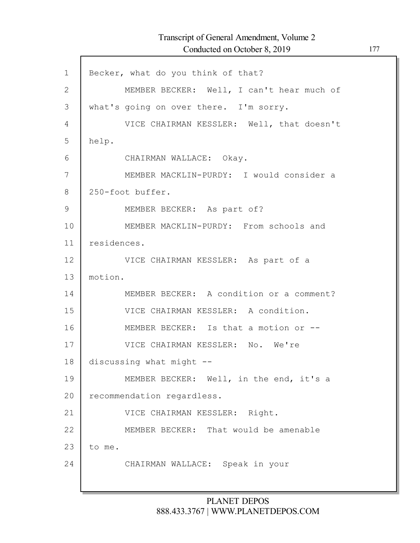| $\mathbf 1$   | Becker, what do you think of that?        |
|---------------|-------------------------------------------|
| $\mathbf{2}$  | MEMBER BECKER: Well, I can't hear much of |
| 3             | what's going on over there. I'm sorry.    |
| 4             | VICE CHAIRMAN KESSLER: Well, that doesn't |
| 5             | help.                                     |
| 6             | CHAIRMAN WALLACE: Okay.                   |
| 7             | MEMBER MACKLIN-PURDY: I would consider a  |
| 8             | 250-foot buffer.                          |
| $\mathcal{G}$ | MEMBER BECKER: As part of?                |
| 10            | MEMBER MACKLIN-PURDY: From schools and    |
| 11            | residences.                               |
| 12            | VICE CHAIRMAN KESSLER: As part of a       |
| 13            | motion.                                   |
| 14            | MEMBER BECKER: A condition or a comment?  |
| 15            | VICE CHAIRMAN KESSLER: A condition.       |
| 16            | MEMBER BECKER: Is that a motion or --     |
| 17            | VICE CHAIRMAN KESSLER: No. We're          |
| 18            | discussing what might --                  |
| 19            | MEMBER BECKER: Well, in the end, it's a   |
| 20            | recommendation regardless.                |
| 21            | VICE CHAIRMAN KESSLER: Right.             |
| 22            | MEMBER BECKER: That would be amenable     |
| 23            | to me.                                    |
| 24            | CHAIRMAN WALLACE: Speak in your           |
|               |                                           |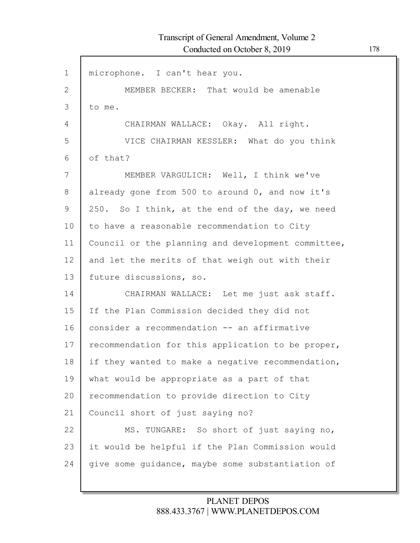| $\mathbf 1$   | microphone. I can't hear you.                      |
|---------------|----------------------------------------------------|
| 2             | MEMBER BECKER: That would be amenable              |
| 3             | to me.                                             |
| 4             | CHAIRMAN WALLACE: Okay. All right.                 |
| 5             | VICE CHAIRMAN KESSLER: What do you think           |
| 6             | of that?                                           |
| 7             | MEMBER VARGULICH: Well, I think we've              |
| 8             | already gone from 500 to around 0, and now it's    |
| $\mathcal{G}$ | 250. So I think, at the end of the day, we need    |
| 10            | to have a reasonable recommendation to City        |
| 11            | Council or the planning and development committee, |
| 12            | and let the merits of that weigh out with their    |
| 13            | future discussions, so.                            |
| 14            | CHAIRMAN WALLACE: Let me just ask staff.           |
| 15            | If the Plan Commission decided they did not        |
| 16            | consider a recommendation -- an affirmative        |
| 17            | recommendation for this application to be proper,  |
| 18            | if they wanted to make a negative recommendation,  |
| 19            | what would be appropriate as a part of that        |
| 20            | recommendation to provide direction to City        |
| 21            | Council short of just saying no?                   |
| 22            | MS. TUNGARE: So short of just saying no,           |
| 23            | it would be helpful if the Plan Commission would   |
| 24            | give some guidance, maybe some substantiation of   |
|               |                                                    |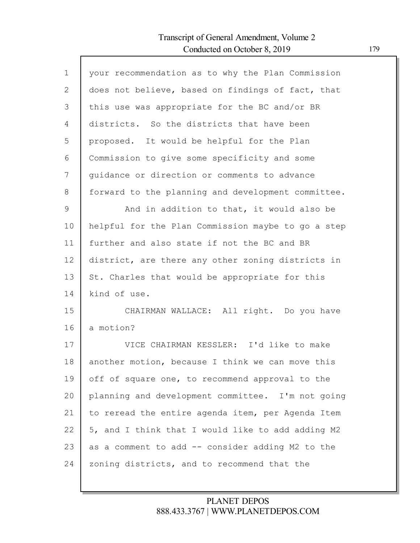$\Gamma$ 

| $\mathbf 1$  | your recommendation as to why the Plan Commission  |
|--------------|----------------------------------------------------|
| $\mathbf{2}$ | does not believe, based on findings of fact, that  |
| 3            | this use was appropriate for the BC and/or BR      |
| 4            | districts. So the districts that have been         |
| 5            | proposed. It would be helpful for the Plan         |
| 6            | Commission to give some specificity and some       |
| 7            | quidance or direction or comments to advance       |
| 8            | forward to the planning and development committee. |
| 9            | And in addition to that, it would also be          |
| 10           | helpful for the Plan Commission maybe to go a step |
| 11           | further and also state if not the BC and BR        |
| 12           | district, are there any other zoning districts in  |
| 13           | St. Charles that would be appropriate for this     |
| 14           | kind of use.                                       |
| 15           | CHAIRMAN WALLACE: All right. Do you have           |
| 16           | a motion?                                          |
| 17           | VICE CHAIRMAN KESSLER: I'd like to make            |
| 18           | another motion, because I think we can move this   |
| 19           | off of square one, to recommend approval to the    |
| 20           | planning and development committee. I'm not going  |
| 21           | to reread the entire agenda item, per Agenda Item  |
| 22           | 5, and I think that I would like to add adding M2  |
| 23           | as a comment to add -- consider adding M2 to the   |
| 24           | zoning districts, and to recommend that the        |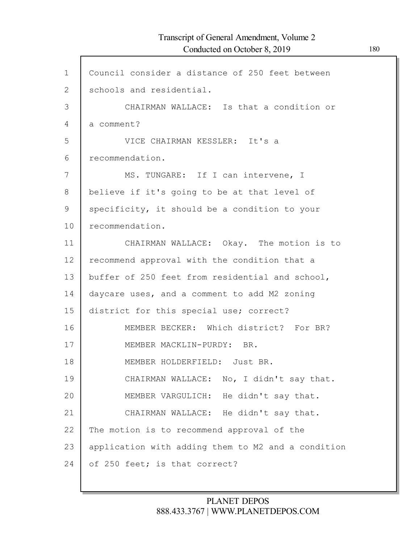## Transcript of General Amendment, Volume 2 Conducted on October 8, 2019 180

| $\mathbf{1}$   | Council consider a distance of 250 feet between    |
|----------------|----------------------------------------------------|
| $\overline{2}$ | schools and residential.                           |
| 3              | CHAIRMAN WALLACE: Is that a condition or           |
| 4              | a comment?                                         |
| 5              | VICE CHAIRMAN KESSLER: It's a                      |
| 6              | recommendation.                                    |
| 7              | MS. TUNGARE: If I can intervene, I                 |
| 8              | believe if it's going to be at that level of       |
| 9              | specificity, it should be a condition to your      |
| 10             | recommendation.                                    |
| 11             | CHAIRMAN WALLACE: Okay. The motion is to           |
| 12             | recommend approval with the condition that a       |
| 13             | buffer of 250 feet from residential and school,    |
| 14             | daycare uses, and a comment to add M2 zoning       |
| 15             | district for this special use; correct?            |
| 16             | MEMBER BECKER: Which district? For BR?             |
| 17             | MEMBER MACKLIN-PURDY: BR.                          |
| 18             | MEMBER HOLDERFIELD: Just BR.                       |
| 19             | CHAIRMAN WALLACE: No, I didn't say that.           |
| 20             | MEMBER VARGULICH: He didn't say that.              |
| 21             | CHAIRMAN WALLACE: He didn't say that.              |
| 22             | The motion is to recommend approval of the         |
| 23             | application with adding them to M2 and a condition |
| 24             | of 250 feet; is that correct?                      |
|                |                                                    |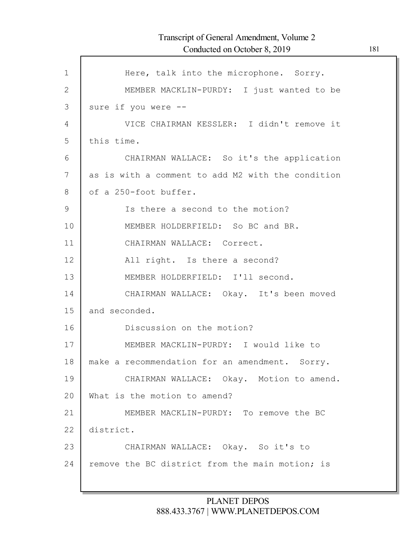| $\mathbf{1}$  | Here, talk into the microphone. Sorry.            |
|---------------|---------------------------------------------------|
| $\mathbf{2}$  | MEMBER MACKLIN-PURDY: I just wanted to be         |
| 3             | sure if you were --                               |
| 4             | VICE CHAIRMAN KESSLER: I didn't remove it         |
| 5             | this time.                                        |
| 6             | CHAIRMAN WALLACE: So it's the application         |
| 7             | as is with a comment to add M2 with the condition |
| 8             | of a 250-foot buffer.                             |
| $\mathcal{G}$ | Is there a second to the motion?                  |
| 10            | MEMBER HOLDERFIELD: So BC and BR.                 |
| 11            | CHAIRMAN WALLACE: Correct.                        |
| 12            | All right. Is there a second?                     |
| 13            | MEMBER HOLDERFIELD: I'll second.                  |
| 14            | CHAIRMAN WALLACE: Okay. It's been moved           |
| 15            | and seconded.                                     |
| 16            | Discussion on the motion?                         |
| 17            | MEMBER MACKLIN-PURDY: I would like to             |
| 18            | make a recommendation for an amendment. Sorry.    |
| 19            | CHAIRMAN WALLACE: Okay. Motion to amend.          |
| 20            | What is the motion to amend?                      |
| 21            | MEMBER MACKLIN-PURDY: To remove the BC            |
| 22            | district.                                         |
| 23            | CHAIRMAN WALLACE: Okay. So it's to                |
| 24            | remove the BC district from the main motion; is   |
|               |                                                   |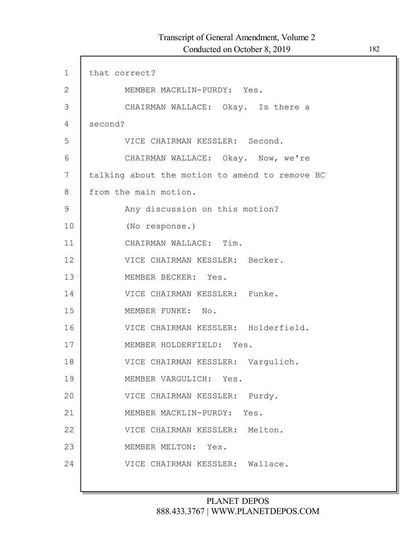| $\mathbf 1$  | that correct?                                  |
|--------------|------------------------------------------------|
| $\mathbf{2}$ | MEMBER MACKLIN-PURDY: Yes.                     |
| 3            | CHAIRMAN WALLACE: Okay. Is there a             |
| 4            | second?                                        |
| 5            | VICE CHAIRMAN KESSLER: Second.                 |
| 6            | CHAIRMAN WALLACE: Okay. Now, we're             |
| 7            | talking about the motion to amend to remove BC |
| 8            | from the main motion.                          |
| 9            | Any discussion on this motion?                 |
| 10           | (No response.)                                 |
| 11           | CHAIRMAN WALLACE: Tim.                         |
| 12           | VICE CHAIRMAN KESSLER: Becker.                 |
| 13           | MEMBER BECKER: Yes.                            |
| 14           | VICE CHAIRMAN KESSLER: Funke.                  |
| 15           | MEMBER FUNKE: No.                              |
| 16           | VICE CHAIRMAN KESSLER: Holderfield.            |
| 17           | MEMBER HOLDERFIELD: Yes.                       |
| 18           | VICE CHAIRMAN KESSLER: Vargulich.              |
| 19           | MEMBER VARGULICH: Yes.                         |
| 20           | VICE CHAIRMAN KESSLER: Purdy.                  |
| 21           | MEMBER MACKLIN-PURDY:<br>Yes.                  |
| 22           | VICE CHAIRMAN KESSLER: Melton.                 |
| 23           | MEMBER MELTON: Yes.                            |
| 24           | VICE CHAIRMAN KESSLER: Wallace.                |
|              |                                                |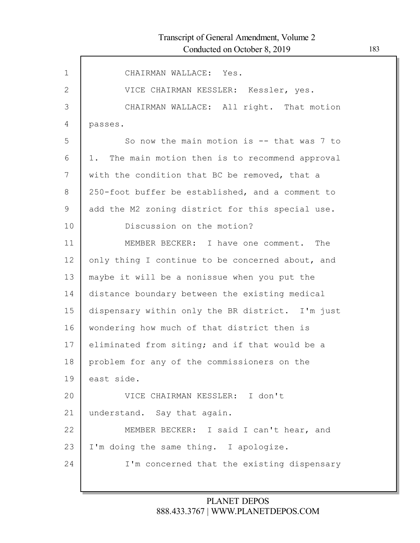| $\mathbf 1$ | CHAIRMAN WALLACE: Yes.                           |
|-------------|--------------------------------------------------|
| 2           | VICE CHAIRMAN KESSLER: Kessler, yes.             |
| 3           | CHAIRMAN WALLACE: All right. That motion         |
| 4           | passes.                                          |
| 5           | So now the main motion is $-$ that was 7 to      |
| 6           | 1. The main motion then is to recommend approval |
| 7           | with the condition that BC be removed, that a    |
| $8\,$       | 250-foot buffer be established, and a comment to |
| 9           | add the M2 zoning district for this special use. |
| 10          | Discussion on the motion?                        |
| 11          | MEMBER BECKER: I have one comment. The           |
| 12          | only thing I continue to be concerned about, and |
| 13          | maybe it will be a nonissue when you put the     |
| 14          | distance boundary between the existing medical   |
| 15          | dispensary within only the BR district. I'm just |
| 16          | wondering how much of that district then is      |
| 17          | eliminated from siting; and if that would be a   |
| 18          | problem for any of the commissioners on the      |
| 19          | east side.                                       |
| 20          | VICE CHAIRMAN KESSLER: I don't                   |
| 21          | understand. Say that again.                      |
| 22          | MEMBER BECKER: I said I can't hear, and          |
| 23          | I'm doing the same thing. I apologize.           |
| 24          | I'm concerned that the existing dispensary       |
|             |                                                  |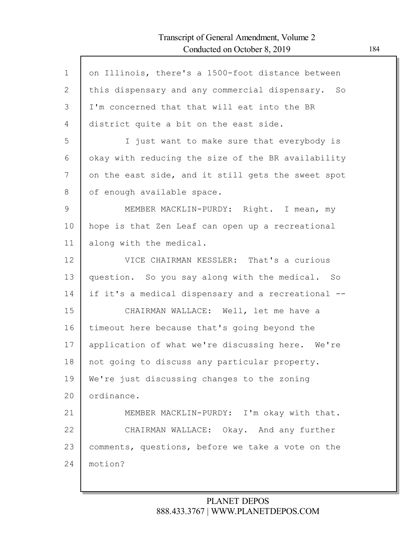## Transcript of General Amendment, Volume 2 Conducted on October 8, 2019 184

| $\mathbf{1}$ |                                                    |
|--------------|----------------------------------------------------|
|              | on Illinois, there's a 1500-foot distance between  |
| 2            | this dispensary and any commercial dispensary. So  |
| 3            | I'm concerned that that will eat into the BR       |
| 4            | district quite a bit on the east side.             |
| 5            | I just want to make sure that everybody is         |
| 6            | okay with reducing the size of the BR availability |
| 7            | on the east side, and it still gets the sweet spot |
| 8            | of enough available space.                         |
| 9            | MEMBER MACKLIN-PURDY: Right. I mean, my            |
| 10           | hope is that Zen Leaf can open up a recreational   |
| 11           | along with the medical.                            |
| 12           | VICE CHAIRMAN KESSLER: That's a curious            |
| 13           | question. So you say along with the medical. So    |
| 14           | if it's a medical dispensary and a recreational -- |
| 15           | CHAIRMAN WALLACE: Well, let me have a              |
| 16           | timeout here because that's going beyond the       |
| 17           | application of what we're discussing here. We're   |
| 18           | not going to discuss any particular property.      |
| 19           | We're just discussing changes to the zoning        |
| 20           | ordinance.                                         |
| 21           | MEMBER MACKLIN-PURDY: I'm okay with that.          |
| 22           | CHAIRMAN WALLACE: Okay. And any further            |
| 23           | comments, questions, before we take a vote on the  |
| 24           | motion?                                            |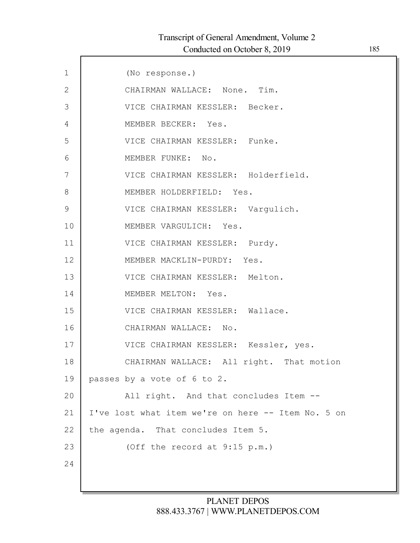| $\mathbf 1$  | (No response.)                                     |
|--------------|----------------------------------------------------|
| $\mathbf{2}$ | CHAIRMAN WALLACE: None. Tim.                       |
| 3            | VICE CHAIRMAN KESSLER: Becker.                     |
| 4            | MEMBER BECKER: Yes.                                |
| 5            | VICE CHAIRMAN KESSLER: Funke.                      |
| 6            | MEMBER FUNKE: No.                                  |
| 7            | VICE CHAIRMAN KESSLER: Holderfield.                |
| 8            | MEMBER HOLDERFIELD: Yes.                           |
| $\mathsf 9$  | VICE CHAIRMAN KESSLER: Vargulich.                  |
| 10           | MEMBER VARGULICH: Yes.                             |
| 11           | VICE CHAIRMAN KESSLER: Purdy.                      |
| 12           | MEMBER MACKLIN-PURDY: Yes.                         |
| 13           | VICE CHAIRMAN KESSLER: Melton.                     |
| 14           | MEMBER MELTON: Yes.                                |
| 15           | VICE CHAIRMAN KESSLER: Wallace.                    |
| 16           | CHAIRMAN WALLACE: No.                              |
| 17           | VICE CHAIRMAN KESSLER: Kessler, yes.               |
| 18           | CHAIRMAN WALLACE: All right. That motion           |
| 19           | passes by a vote of 6 to 2.                        |
| 20           | All right. And that concludes Item --              |
| 21           | I've lost what item we're on here -- Item No. 5 on |
| 22           | the agenda. That concludes Item 5.                 |
| 23           | (Off the record at 9:15 p.m.)                      |
| 24           |                                                    |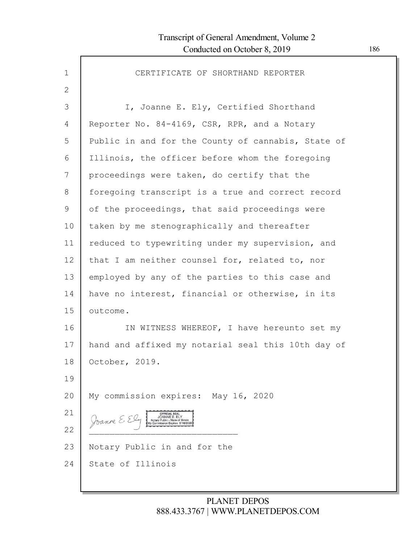| $\mathbf 1$  | CERTIFICATE OF SHORTHAND REPORTER                  |
|--------------|----------------------------------------------------|
| $\mathbf{2}$ |                                                    |
| 3            | I, Joanne E. Ely, Certified Shorthand              |
| 4            | Reporter No. 84-4169, CSR, RPR, and a Notary       |
| 5            | Public in and for the County of cannabis, State of |
| 6            | Illinois, the officer before whom the foregoing    |
| 7            | proceedings were taken, do certify that the        |
| 8            | foregoing transcript is a true and correct record  |
| 9            | of the proceedings, that said proceedings were     |
| 10           | taken by me stenographically and thereafter        |
| 11           | reduced to typewriting under my supervision, and   |
| 12           | that I am neither counsel for, related to, nor     |
| 13           | employed by any of the parties to this case and    |
| 14           | have no interest, financial or otherwise, in its   |
| 15           | outcome.                                           |
| 16           | IN WITNESS WHEREOF, I have hereunto set my         |
| 17           | hand and affixed my notarial seal this 10th day of |
| 18           | October, 2019.                                     |
| 19           |                                                    |
| 20           | My commission expires: May 16, 2020                |
| 21           | OFFICIAL SEAL<br>JOANNE E. ELY<br>Joanne E.        |
| 22           |                                                    |
| 23           | Notary Public in and for the                       |
| 24           | State of Illinois                                  |
|              |                                                    |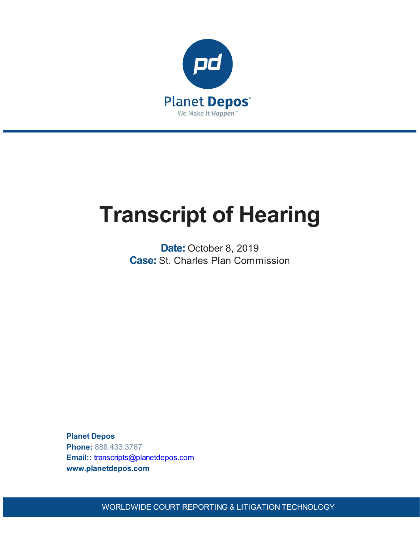

# **Transcript of Hearing**

**Date:** October 8, 2019 **Case:** St. Charles Plan Commission

**Planet Depos Phone:** 888.433.3767 **Email::** [transcripts@planetdepos.com](mailto:transcripts@planetdepos.com) **www.planetdepos.com**

WORLDWIDE COURT REPORTING & LITIGATION TECHNOLOGY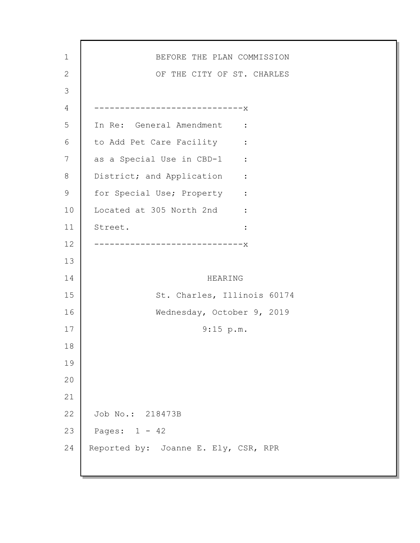| $\mathbf 1$  | BEFORE THE PLAN COMMISSION                               |
|--------------|----------------------------------------------------------|
| $\mathbf{2}$ | OF THE CITY OF ST. CHARLES                               |
| 3            |                                                          |
| 4            | -------------------------------                          |
| 5            | In Re: General Amendment :                               |
| 6            | to Add Pet Care Facility :                               |
| 7            | as a Special Use in CBD-1 :                              |
| 8            | District; and Application<br>$\sim$ $\sim$ $\sim$ $\sim$ |
| $\mathsf 9$  | for Special Use; Property :                              |
| 10           | Located at 305 North 2nd :                               |
| 11           | Street.<br>$\ddot{\cdot}$                                |
| 12           | --------------------------X                              |
| 13           |                                                          |
| 14           | HEARING                                                  |
| 15           | St. Charles, Illinois 60174                              |
| 16           | Wednesday, October 9, 2019                               |
| 17           | $9:15$ p.m.                                              |
| 18           |                                                          |
| 19           |                                                          |
| 20           |                                                          |
| 21           |                                                          |
| 22           | Job No.: 218473B                                         |
| 23           | Pages: $1 - 42$                                          |
| 24           | Reported by: Joanne E. Ely, CSR, RPR                     |
|              |                                                          |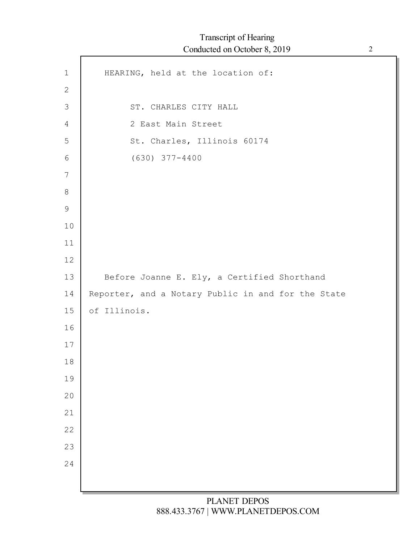| $\mathbf 1$    | HEARING, held at the location of:                  |
|----------------|----------------------------------------------------|
| $\mathbf{2}$   |                                                    |
| $\mathfrak{Z}$ | ST. CHARLES CITY HALL                              |
| $\overline{4}$ | 2 East Main Street                                 |
| 5              | St. Charles, Illinois 60174                        |
| 6              | $(630)$ $377 - 4400$                               |
| $\overline{7}$ |                                                    |
| $8\,$          |                                                    |
| $\overline{9}$ |                                                    |
| 10             |                                                    |
| 11             |                                                    |
| 12             |                                                    |
| 13             | Before Joanne E. Ely, a Certified Shorthand        |
| 14             | Reporter, and a Notary Public in and for the State |
| 15             | of Illinois.                                       |
| 16             |                                                    |
| 17             |                                                    |
| 18             |                                                    |
| 19             |                                                    |
| 20             |                                                    |
| 21             |                                                    |
| 22             |                                                    |
| 23             |                                                    |
| 24             |                                                    |
|                |                                                    |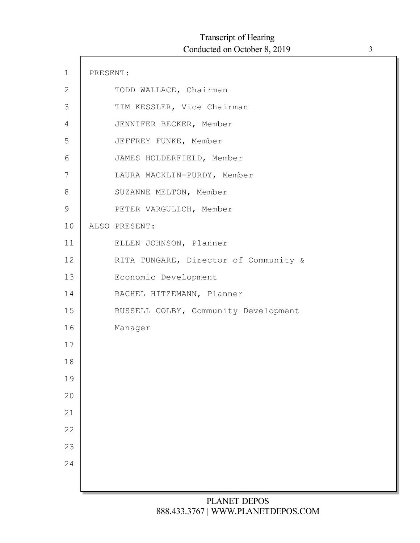| $\mathbf 1$  | PRESENT: |                                       |
|--------------|----------|---------------------------------------|
| $\mathbf{2}$ |          | TODD WALLACE, Chairman                |
| 3            |          | TIM KESSLER, Vice Chairman            |
| 4            |          | JENNIFER BECKER, Member               |
| 5            |          | JEFFREY FUNKE, Member                 |
| 6            |          | JAMES HOLDERFIELD, Member             |
| 7            |          | LAURA MACKLIN-PURDY, Member           |
| 8            |          | SUZANNE MELTON, Member                |
| $\mathsf 9$  |          | PETER VARGULICH, Member               |
| 10           |          | ALSO PRESENT:                         |
| 11           |          | ELLEN JOHNSON, Planner                |
| 12           |          | RITA TUNGARE, Director of Community & |
| 13           |          | Economic Development                  |
| 14           |          | RACHEL HITZEMANN, Planner             |
| 15           |          | RUSSELL COLBY, Community Development  |
| 16           |          | Manager                               |
| 17           |          |                                       |
| 18           |          |                                       |
| 19           |          |                                       |
| 20           |          |                                       |
| 21           |          |                                       |
| 22           |          |                                       |
| 23           |          |                                       |
| 24           |          |                                       |
|              |          |                                       |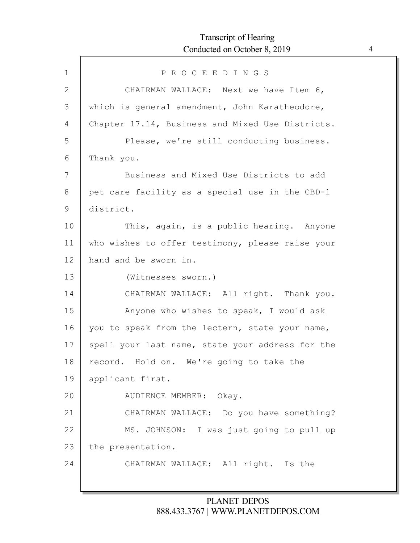ľ

| $\mathbf 1$ | PROCEEDINGS                                      |
|-------------|--------------------------------------------------|
| 2           | CHAIRMAN WALLACE: Next we have Item 6,           |
| 3           | which is general amendment, John Karatheodore,   |
| 4           | Chapter 17.14, Business and Mixed Use Districts. |
| 5           | Please, we're still conducting business.         |
| 6           | Thank you.                                       |
| 7           | Business and Mixed Use Districts to add          |
| 8           | pet care facility as a special use in the CBD-1  |
| 9           | district.                                        |
| 10          | This, again, is a public hearing. Anyone         |
| 11          | who wishes to offer testimony, please raise your |
| 12          | hand and be sworn in.                            |
| 13          | (Witnesses sworn.)                               |
| 14          | CHAIRMAN WALLACE: All right. Thank you.          |
| 15          | Anyone who wishes to speak, I would ask          |
| 16          | you to speak from the lectern, state your name,  |
| 17          | spell your last name, state your address for the |
| 18          | record. Hold on. We're going to take the         |
| 19          | applicant first.                                 |
| 20          | AUDIENCE MEMBER: Okay.                           |
| 21          | CHAIRMAN WALLACE: Do you have something?         |
| 22          | MS. JOHNSON: I was just going to pull up         |
| 23          | the presentation.                                |
| 24          | CHAIRMAN WALLACE: All right. Is the              |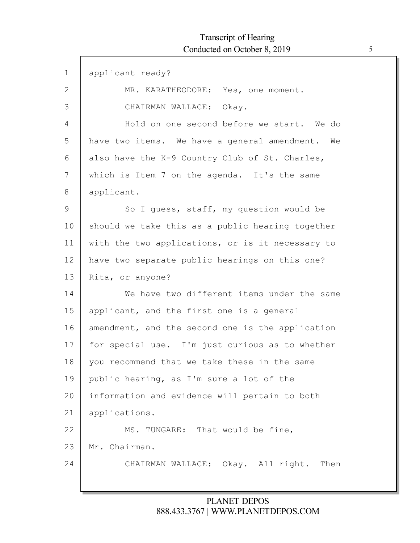| $\mathbf 1$   | applicant ready?                                 |
|---------------|--------------------------------------------------|
| $\mathbf{2}$  | MR. KARATHEODORE: Yes, one moment.               |
| 3             | CHAIRMAN WALLACE: Okay.                          |
| 4             | Hold on one second before we start. We do        |
| 5             | have two items. We have a general amendment. We  |
| 6             | also have the K-9 Country Club of St. Charles,   |
| 7             | which is Item 7 on the agenda. It's the same     |
| 8             | applicant.                                       |
| $\mathcal{G}$ | So I quess, staff, my question would be          |
| 10            | should we take this as a public hearing together |
| 11            | with the two applications, or is it necessary to |
| 12            | have two separate public hearings on this one?   |
| 13            | Rita, or anyone?                                 |
| 14            | We have two different items under the same       |
| 15            | applicant, and the first one is a general        |
| 16            | amendment, and the second one is the application |
| 17            | for special use. I'm just curious as to whether  |
| 18            | you recommend that we take these in the same     |
| 19            | public hearing, as I'm sure a lot of the         |
| 20            | information and evidence will pertain to both    |
| 21            | applications.                                    |
| 22            | MS. TUNGARE: That would be fine,                 |
| 23            | Mr. Chairman.                                    |
| 24            | CHAIRMAN WALLACE: Okay. All right. Then          |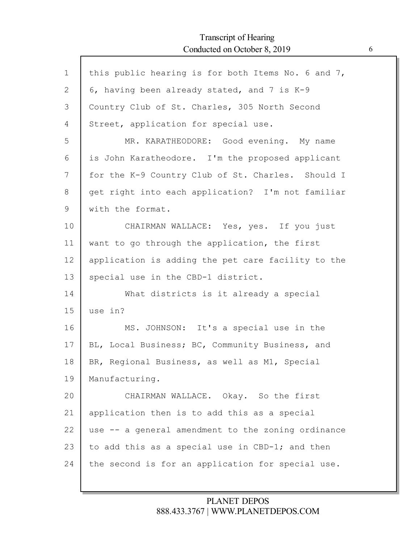$\mathsf{r}$ 

| $\mathbf 1$  | this public hearing is for both Items No. 6 and 7, |
|--------------|----------------------------------------------------|
| $\mathbf{2}$ | 6, having been already stated, and 7 is K-9        |
| 3            | Country Club of St. Charles, 305 North Second      |
| 4            | Street, application for special use.               |
| 5            | MR. KARATHEODORE: Good evening. My name            |
| 6            | is John Karatheodore. I'm the proposed applicant   |
| 7            | for the K-9 Country Club of St. Charles. Should I  |
| 8            | get right into each application? I'm not familiar  |
| 9            | with the format.                                   |
| 10           | CHAIRMAN WALLACE: Yes, yes. If you just            |
| 11           | want to go through the application, the first      |
| 12           | application is adding the pet care facility to the |
| 13           | special use in the CBD-1 district.                 |
| 14           | What districts is it already a special             |
| 15           | use in?                                            |
| 16           | MS. JOHNSON: It's a special use in the             |
| 17           | BL, Local Business; BC, Community Business, and    |
| 18           | BR, Regional Business, as well as M1, Special      |
| 19           | Manufacturing.                                     |
| 20           | CHAIRMAN WALLACE. Okay. So the first               |
| 21           | application then is to add this as a special       |
| 22           | use -- a general amendment to the zoning ordinance |
| 23           | to add this as a special use in CBD-1; and then    |
| 24           | the second is for an application for special use.  |
|              |                                                    |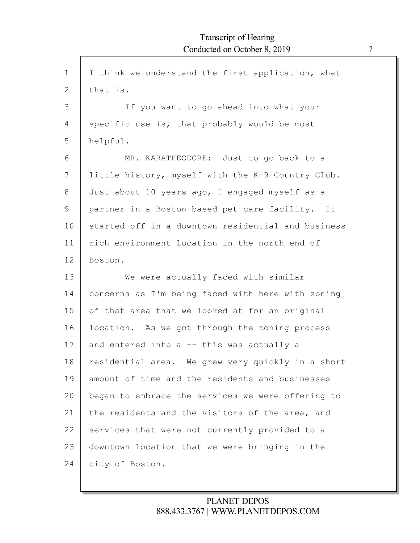| $\mathbf 1$    | I think we understand the first application, what  |
|----------------|----------------------------------------------------|
| $\overline{2}$ | that is.                                           |
| 3              | If you want to go ahead into what your             |
| 4              | specific use is, that probably would be most       |
| 5              | helpful.                                           |
| 6              | MR. KARATHEODORE: Just to go back to a             |
| 7              | little history, myself with the K-9 Country Club.  |
| 8              | Just about 10 years ago, I engaged myself as a     |
| 9              | partner in a Boston-based pet care facility. It    |
| 10             | started off in a downtown residential and business |
| 11             | rich environment location in the north end of      |
| 12             | Boston.                                            |
| 13             | We were actually faced with similar                |
| 14             | concerns as I'm being faced with here with zoning  |
| 15             | of that area that we looked at for an original     |
| 16             | location. As we got through the zoning process     |
| 17             | and entered into $a$ -- this was actually a        |
| 18             | residential area. We grew very quickly in a short  |
| 19             | amount of time and the residents and businesses    |
| 20             | began to embrace the services we were offering to  |
| 21             | the residents and the visitors of the area, and    |
| 22             | services that were not currently provided to a     |
| 23             | downtown location that we were bringing in the     |
| 24             | city of Boston.                                    |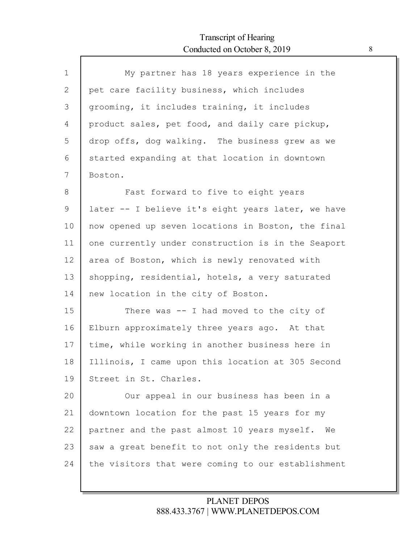Г

| $\mathbf 1$ | My partner has 18 years experience in the          |
|-------------|----------------------------------------------------|
| 2           | pet care facility business, which includes         |
| 3           | grooming, it includes training, it includes        |
| 4           | product sales, pet food, and daily care pickup,    |
| 5           | drop offs, dog walking. The business grew as we    |
| 6           | started expanding at that location in downtown     |
| 7           | Boston.                                            |
| 8           | Fast forward to five to eight years                |
| 9           | later -- I believe it's eight years later, we have |
| 10          | now opened up seven locations in Boston, the final |
| 11          | one currently under construction is in the Seaport |
| 12          | area of Boston, which is newly renovated with      |
| 13          | shopping, residential, hotels, a very saturated    |
| 14          | new location in the city of Boston.                |
| 15          | There was $-$ I had moved to the city of           |
| 16          | Elburn approximately three years ago. At that      |
| 17          | time, while working in another business here in    |
| 18          | Illinois, I came upon this location at 305 Second  |
| 19          | Street in St. Charles.                             |
| 20          | Our appeal in our business has been in a           |
| 21          | downtown location for the past 15 years for my     |
| 22          | partner and the past almost 10 years myself.<br>We |
|             |                                                    |
| 23          | saw a great benefit to not only the residents but  |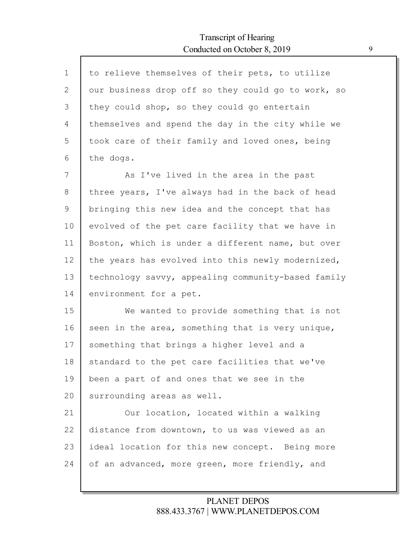| $\mathbf{1}$ | to relieve themselves of their pets, to utilize    |
|--------------|----------------------------------------------------|
| $\mathbf{2}$ | our business drop off so they could go to work, so |
| 3            | they could shop, so they could go entertain        |
| 4            | themselves and spend the day in the city while we  |
| 5            | took care of their family and loved ones, being    |
| 6            | the dogs.                                          |
| 7            | As I've lived in the area in the past              |
| 8            | three years, I've always had in the back of head   |
| 9            | bringing this new idea and the concept that has    |
| 10           | evolved of the pet care facility that we have in   |
| 11           | Boston, which is under a different name, but over  |
| 12           | the years has evolved into this newly modernized,  |
| 13           | technology savvy, appealing community-based family |
| 14           | environment for a pet.                             |
| 15           | We wanted to provide something that is not         |
| 16           | seen in the area, something that is very unique,   |
| 17           | something that brings a higher level and a         |
| 18           | standard to the pet care facilities that we've     |
| 19           | been a part of and ones that we see in the         |
| 20           | surrounding areas as well.                         |
| 21           | Our location, located within a walking             |
| 22           | distance from downtown, to us was viewed as an     |
| 23           | ideal location for this new concept. Being more    |
| 24           | of an advanced, more green, more friendly, and     |
|              |                                                    |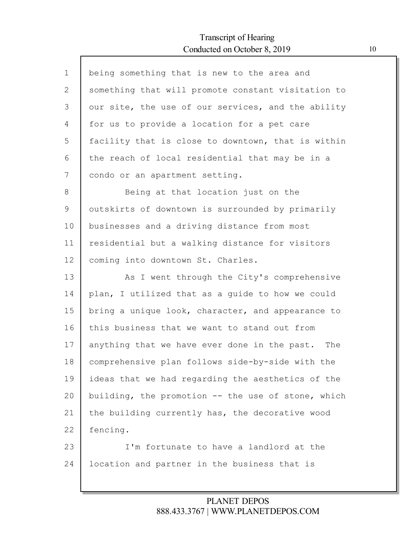Г

| $\mathbf 1$ | being something that is new to the area and        |
|-------------|----------------------------------------------------|
| 2           | something that will promote constant visitation to |
| 3           | our site, the use of our services, and the ability |
| 4           | for us to provide a location for a pet care        |
| 5           | facility that is close to downtown, that is within |
| 6           | the reach of local residential that may be in a    |
| 7           | condo or an apartment setting.                     |
| 8           | Being at that location just on the                 |
| 9           | outskirts of downtown is surrounded by primarily   |
| 10          | businesses and a driving distance from most        |
| 11          | residential but a walking distance for visitors    |
| 12          | coming into downtown St. Charles.                  |
| 13          | As I went through the City's comprehensive         |
| 14          | plan, I utilized that as a guide to how we could   |
| 15          | bring a unique look, character, and appearance to  |
| 16          | this business that we want to stand out from       |
| 17          | anything that we have ever done in the past. The   |
| 18          | comprehensive plan follows side-by-side with the   |
| 19          | ideas that we had regarding the aesthetics of the  |
| 20          | building, the promotion -- the use of stone, which |
| 21          | the building currently has, the decorative wood    |
| 22          | fencing.                                           |
| 23          | I'm fortunate to have a landlord at the            |
| 24          | location and partner in the business that is       |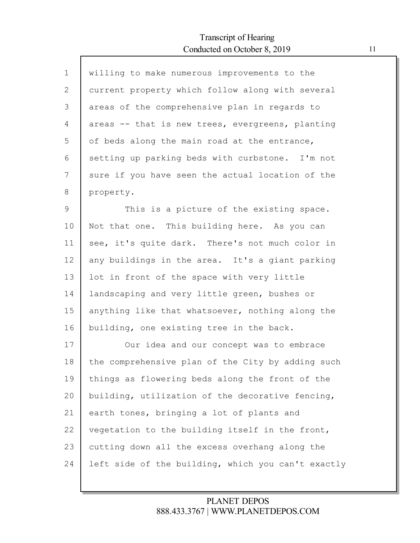Г

| willing to make numerous improvements to the       |
|----------------------------------------------------|
| current property which follow along with several   |
| areas of the comprehensive plan in regards to      |
| areas -- that is new trees, evergreens, planting   |
| of beds along the main road at the entrance,       |
| setting up parking beds with curbstone. I'm not    |
| sure if you have seen the actual location of the   |
| property.                                          |
| This is a picture of the existing space.           |
| Not that one. This building here. As you can       |
| see, it's quite dark. There's not much color in    |
| any buildings in the area. It's a giant parking    |
| lot in front of the space with very little         |
| landscaping and very little green, bushes or       |
| anything like that whatsoever, nothing along the   |
| building, one existing tree in the back.           |
| Our idea and our concept was to embrace            |
| the comprehensive plan of the City by adding such  |
| things as flowering beds along the front of the    |
| building, utilization of the decorative fencing,   |
| earth tones, bringing a lot of plants and          |
| vegetation to the building itself in the front,    |
| cutting down all the excess overhang along the     |
| left side of the building, which you can't exactly |
|                                                    |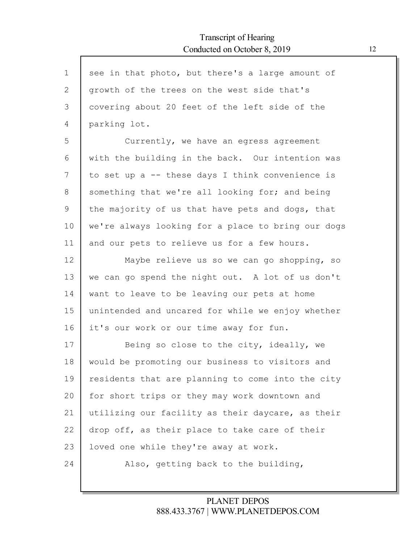| $\mathbf 1$  | see in that photo, but there's a large amount of   |
|--------------|----------------------------------------------------|
| $\mathbf{2}$ | growth of the trees on the west side that's        |
| 3            | covering about 20 feet of the left side of the     |
| 4            | parking lot.                                       |
| 5            | Currently, we have an egress agreement             |
| 6            | with the building in the back. Our intention was   |
| 7            | to set up a -- these days I think convenience is   |
| 8            | something that we're all looking for; and being    |
| 9            | the majority of us that have pets and dogs, that   |
| 10           | we're always looking for a place to bring our dogs |
| 11           | and our pets to relieve us for a few hours.        |
| 12           | Maybe relieve us so we can go shopping, so         |
| 13           | we can go spend the night out. A lot of us don't   |
| 14           | want to leave to be leaving our pets at home       |
| 15           | unintended and uncared for while we enjoy whether  |
| 16           | it's our work or our time away for fun.            |
| 17           | Being so close to the city, ideally, we            |
| 18           | would be promoting our business to visitors and    |
| 19           | residents that are planning to come into the city  |
| 20           | for short trips or they may work downtown and      |
| 21           | utilizing our facility as their daycare, as their  |
| 22           | drop off, as their place to take care of their     |
| 23           | loved one while they're away at work.              |
| 24           | Also, getting back to the building,                |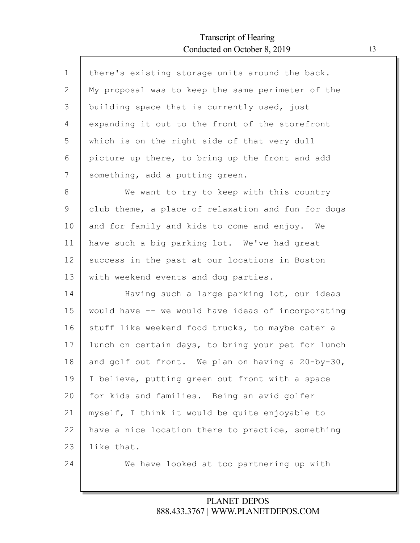| there's existing storage units around the back.    |
|----------------------------------------------------|
| My proposal was to keep the same perimeter of the  |
| building space that is currently used, just        |
| expanding it out to the front of the storefront    |
| which is on the right side of that very dull       |
| picture up there, to bring up the front and add    |
| something, add a putting green.                    |
| We want to try to keep with this country           |
| club theme, a place of relaxation and fun for dogs |
| and for family and kids to come and enjoy. We      |
| have such a big parking lot. We've had great       |
| success in the past at our locations in Boston     |
| with weekend events and dog parties.               |
| Having such a large parking lot, our ideas         |
| would have -- we would have ideas of incorporating |
| stuff like weekend food trucks, to maybe cater a   |
| lunch on certain days, to bring your pet for lunch |
| and golf out front. We plan on having a 20-by-30,  |
| I believe, putting green out front with a space    |
| for kids and families. Being an avid golfer        |
| myself, I think it would be quite enjoyable to     |
| have a nice location there to practice, something  |
| like that.                                         |
| We have looked at too partnering up with           |
|                                                    |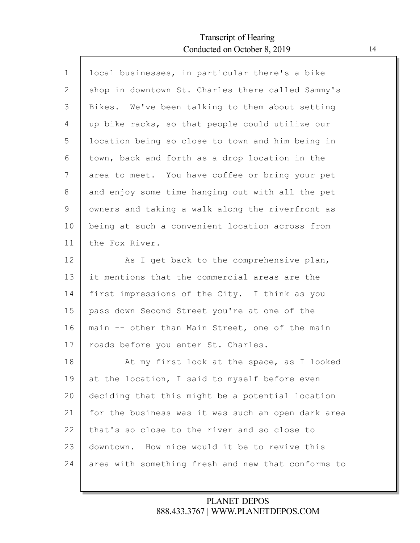Г

| $\mathbf{1}$   | local businesses, in particular there's a bike     |
|----------------|----------------------------------------------------|
| $\mathbf{2}$   | shop in downtown St. Charles there called Sammy's  |
| $\mathfrak{Z}$ | Bikes. We've been talking to them about setting    |
| 4              | up bike racks, so that people could utilize our    |
| 5              | location being so close to town and him being in   |
| 6              | town, back and forth as a drop location in the     |
| 7              | area to meet. You have coffee or bring your pet    |
| 8              | and enjoy some time hanging out with all the pet   |
| 9              | owners and taking a walk along the riverfront as   |
| 10             | being at such a convenient location across from    |
| 11             | the Fox River.                                     |
| 12             | As I get back to the comprehensive plan,           |
| 13             | it mentions that the commercial areas are the      |
| 14             | first impressions of the City. I think as you      |
| 15             | pass down Second Street you're at one of the       |
| 16             | main -- other than Main Street, one of the main    |
| 17             | roads before you enter St. Charles.                |
| 18             | At my first look at the space, as I looked         |
| 19             | at the location, I said to myself before even      |
| 20             | deciding that this might be a potential location   |
| 21             | for the business was it was such an open dark area |
| 22             | that's so close to the river and so close to       |
| 23             | downtown. How nice would it be to revive this      |
| 24             | area with something fresh and new that conforms to |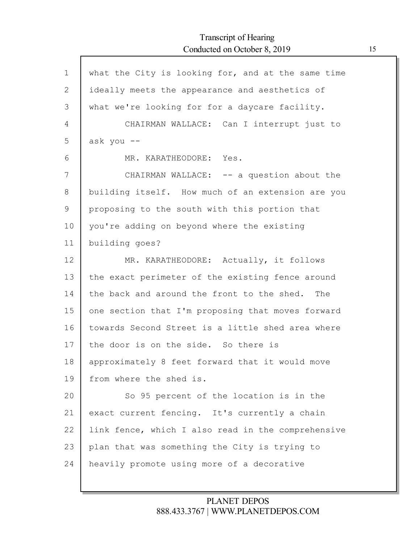ľ

| $\mathbf 1$ | what the City is looking for, and at the same time |
|-------------|----------------------------------------------------|
| 2           | ideally meets the appearance and aesthetics of     |
| 3           | what we're looking for for a daycare facility.     |
| 4           | CHAIRMAN WALLACE: Can I interrupt just to          |
| 5           | ask you --                                         |
| 6           | MR. KARATHEODORE: Yes.                             |
| 7           | CHAIRMAN WALLACE: -- a question about the          |
| 8           | building itself. How much of an extension are you  |
| 9           | proposing to the south with this portion that      |
| 10          | you're adding on beyond where the existing         |
| 11          | building goes?                                     |
| 12          | MR. KARATHEODORE: Actually, it follows             |
| 13          | the exact perimeter of the existing fence around   |
| 14          | the back and around the front to the shed. The     |
| 15          | one section that I'm proposing that moves forward  |
| 16          | towards Second Street is a little shed area where  |
| 17          | the door is on the side. So there is               |
| 18          | approximately 8 feet forward that it would move    |
| 19          | from where the shed is.                            |
| 20          | So 95 percent of the location is in the            |
| 21          | exact current fencing. It's currently a chain      |
| 22          | link fence, which I also read in the comprehensive |
| 23          | plan that was something the City is trying to      |
| 24          | heavily promote using more of a decorative         |
|             |                                                    |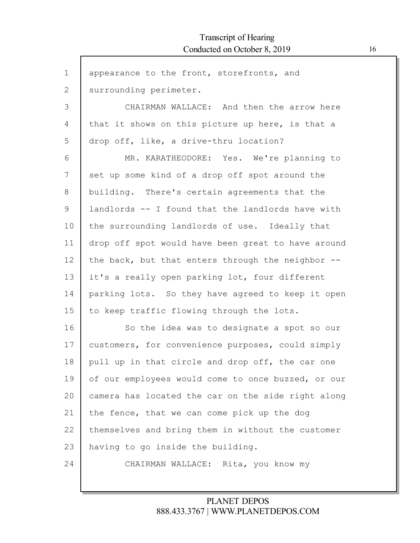ľ

| $\mathbf 1$ | appearance to the front, storefronts, and          |
|-------------|----------------------------------------------------|
| 2           | surrounding perimeter.                             |
| 3           | CHAIRMAN WALLACE: And then the arrow here          |
| 4           | that it shows on this picture up here, is that a   |
| 5           | drop off, like, a drive-thru location?             |
| 6           | MR. KARATHEODORE: Yes. We're planning to           |
| 7           | set up some kind of a drop off spot around the     |
| 8           | building. There's certain agreements that the      |
| 9           | landlords -- I found that the landlords have with  |
| 10          | the surrounding landlords of use. Ideally that     |
| 11          | drop off spot would have been great to have around |
| 12          | the back, but that enters through the neighbor --  |
| 13          | it's a really open parking lot, four different     |
| 14          | parking lots. So they have agreed to keep it open  |
| 15          | to keep traffic flowing through the lots.          |
| 16          | So the idea was to designate a spot so our         |
| 17          | customers, for convenience purposes, could simply  |
| 18          | pull up in that circle and drop off, the car one   |
| 19          | of our employees would come to once buzzed, or our |
| 20          | camera has located the car on the side right along |
| 21          | the fence, that we can come pick up the dog        |
| 22          | themselves and bring them in without the customer  |
| 23          | having to go inside the building.                  |
| 24          | CHAIRMAN WALLACE: Rita, you know my                |
|             |                                                    |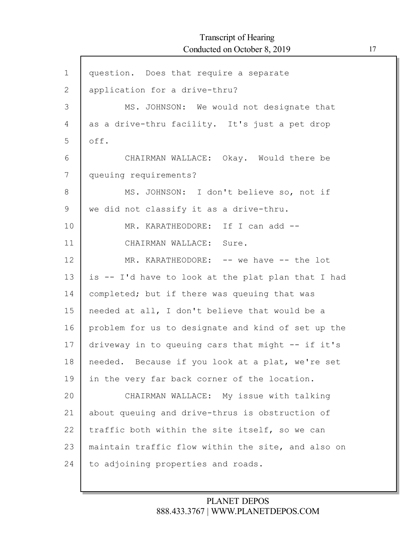$\Gamma$ 

| $\mathbf 1$  | question. Does that require a separate             |
|--------------|----------------------------------------------------|
| $\mathbf{2}$ | application for a drive-thru?                      |
| 3            | MS. JOHNSON: We would not designate that           |
| 4            | as a drive-thru facility. It's just a pet drop     |
| 5            | off.                                               |
| 6            | CHAIRMAN WALLACE: Okay. Would there be             |
| 7            | queuing requirements?                              |
| 8            | MS. JOHNSON: I don't believe so, not if            |
| 9            | we did not classify it as a drive-thru.            |
| 10           | MR. KARATHEODORE: If I can add --                  |
| 11           | CHAIRMAN WALLACE: Sure.                            |
| 12           | MR. KARATHEODORE: -- we have -- the lot            |
| 13           | is -- I'd have to look at the plat plan that I had |
| 14           | completed; but if there was queuing that was       |
| 15           | needed at all, I don't believe that would be a     |
| 16           | problem for us to designate and kind of set up the |
| 17           | driveway in to queuing cars that might -- if it's  |
| 18           | needed. Because if you look at a plat, we're set   |
| 19           | in the very far back corner of the location.       |
| 20           | CHAIRMAN WALLACE: My issue with talking            |
| 21           | about queuing and drive-thrus is obstruction of    |
| 22           | traffic both within the site itself, so we can     |
| 23           | maintain traffic flow within the site, and also on |
| 24           | to adjoining properties and roads.                 |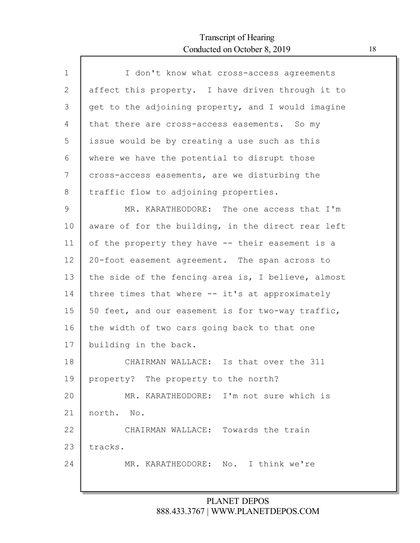Г

| $\mathbf{1}$ | I don't know what cross-access agreements          |
|--------------|----------------------------------------------------|
| 2            | affect this property. I have driven through it to  |
| 3            | get to the adjoining property, and I would imagine |
| 4            | that there are cross-access easements. So my       |
| 5            | issue would be by creating a use such as this      |
| 6            | where we have the potential to disrupt those       |
| 7            | cross-access easements, are we disturbing the      |
| 8            | traffic flow to adjoining properties.              |
| 9            | MR. KARATHEODORE: The one access that I'm          |
| 10           | aware of for the building, in the direct rear left |
| 11           | of the property they have -- their easement is a   |
| 12           | 20-foot easement agreement. The span across to     |
| 13           | the side of the fencing area is, I believe, almost |
| 14           | three times that where -- it's at approximately    |
| 15           | 50 feet, and our easement is for two-way traffic,  |
| 16           | the width of two cars going back to that one       |
| 17           | building in the back.                              |
| 18           | CHAIRMAN WALLACE: Is that over the 311             |
| 19           | property? The property to the north?               |
| 20           | MR. KARATHEODORE: I'm not sure which is            |
| 21           | north. No.                                         |
| 22           | CHAIRMAN WALLACE: Towards the train                |
| 23           | tracks.                                            |
| 24           | MR. KARATHEODORE: No. I think we're                |
|              |                                                    |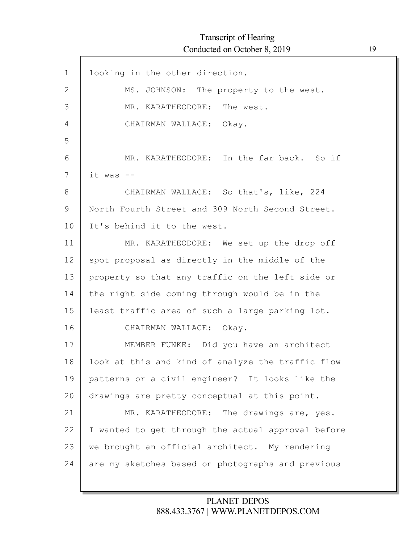| $\mathbf 1$  | looking in the other direction.                    |
|--------------|----------------------------------------------------|
| $\mathbf{2}$ | MS. JOHNSON: The property to the west.             |
| 3            | MR. KARATHEODORE: The west.                        |
| 4            | CHAIRMAN WALLACE: Okay.                            |
| 5            |                                                    |
| 6            | MR. KARATHEODORE: In the far back. So if           |
| 7            | it was --                                          |
| 8            | CHAIRMAN WALLACE: So that's, like, 224             |
| 9            | North Fourth Street and 309 North Second Street.   |
| 10           | It's behind it to the west.                        |
| 11           | MR. KARATHEODORE: We set up the drop off           |
| 12           | spot proposal as directly in the middle of the     |
| 13           | property so that any traffic on the left side or   |
| 14           | the right side coming through would be in the      |
| 15           | least traffic area of such a large parking lot.    |
| 16           | CHAIRMAN WALLACE: Okay.                            |
| 17           | MEMBER FUNKE: Did you have an architect            |
| 18           | look at this and kind of analyze the traffic flow  |
| 19           | patterns or a civil engineer? It looks like the    |
| 20           | drawings are pretty conceptual at this point.      |
| 21           | MR. KARATHEODORE: The drawings are, yes.           |
| 22           | I wanted to get through the actual approval before |
| 23           | we brought an official architect. My rendering     |
| 24           | are my sketches based on photographs and previous  |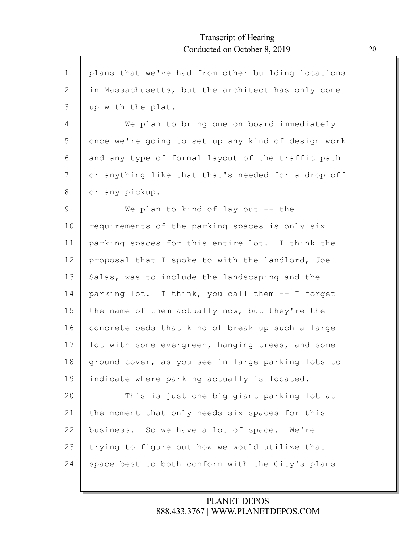| $\mathbf 1$ | plans that we've had from other building locations |
|-------------|----------------------------------------------------|
| 2           | in Massachusetts, but the architect has only come  |
| 3           | up with the plat.                                  |
| 4           | We plan to bring one on board immediately          |
| 5           | once we're going to set up any kind of design work |
| 6           | and any type of formal layout of the traffic path  |
| 7           | or anything like that that's needed for a drop off |
| 8           | or any pickup.                                     |
| 9           | We plan to kind of lay out $-$ the                 |
| 10          | requirements of the parking spaces is only six     |
| 11          | parking spaces for this entire lot. I think the    |
| 12          | proposal that I spoke to with the landlord, Joe    |
| 13          | Salas, was to include the landscaping and the      |
| 14          | parking lot. I think, you call them -- I forget    |
| 15          | the name of them actually now, but they're the     |
| 16          | concrete beds that kind of break up such a large   |
| 17          | lot with some evergreen, hanging trees, and some   |
| 18          | ground cover, as you see in large parking lots to  |
| 19          | indicate where parking actually is located.        |
| 20          | This is just one big giant parking lot at          |
| 21          | the moment that only needs six spaces for this     |
| 22          | business. So we have a lot of space. We're         |
| 23          | trying to figure out how we would utilize that     |
| 24          | space best to both conform with the City's plans   |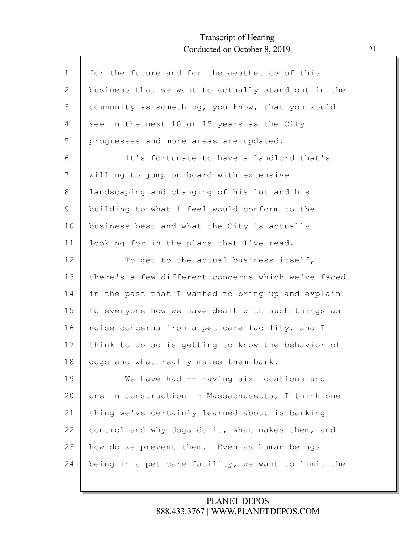Г

| $\mathbf 1$  | for the future and for the aesthetics of this      |
|--------------|----------------------------------------------------|
| $\mathbf{2}$ | business that we want to actually stand out in the |
| 3            | community as something, you know, that you would   |
| 4            | see in the next 10 or 15 years as the City         |
| 5            | progresses and more areas are updated.             |
| 6            | It's fortunate to have a landlord that's           |
| 7            | willing to jump on board with extensive            |
| 8            | landscaping and changing of his lot and his        |
| 9            | building to what I feel would conform to the       |
| 10           | business best and what the City is actually        |
| 11           | looking for in the plans that I've read.           |
| 12           | To get to the actual business itself,              |
| 13           | there's a few different concerns which we've faced |
| 14           | in the past that I wanted to bring up and explain  |
| 15           | to everyone how we have dealt with such things as  |
| 16           | noise concerns from a pet care facility, and I     |
| 17           | think to do so is getting to know the behavior of  |
| 18           | dogs and what really makes them bark.              |
| 19           | We have had -- having six locations and            |
| 20           | one in construction in Massachusetts, I think one  |
| 21           | thing we've certainly learned about is barking     |
| 22           | control and why dogs do it, what makes them, and   |
| 23           | how do we prevent them. Even as human beings       |
| 24           | being in a pet care facility, we want to limit the |
|              |                                                    |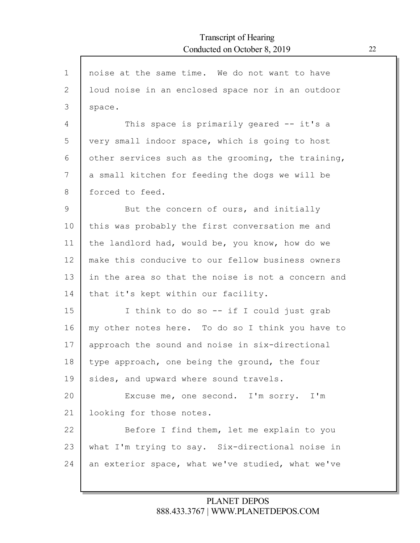| $\mathbf{1}$ | noise at the same time. We do not want to have     |
|--------------|----------------------------------------------------|
| 2            | loud noise in an enclosed space nor in an outdoor  |
| 3            | space.                                             |
| 4            | This space is primarily geared -- it's a           |
| 5            | very small indoor space, which is going to host    |
| 6            | other services such as the grooming, the training, |
| 7            | a small kitchen for feeding the dogs we will be    |
| 8            | forced to feed.                                    |
| 9            | But the concern of ours, and initially             |
| 10           | this was probably the first conversation me and    |
| 11           | the landlord had, would be, you know, how do we    |
| 12           | make this conducive to our fellow business owners  |
| 13           | in the area so that the noise is not a concern and |
| 14           | that it's kept within our facility.                |
| 15           | I think to do so -- if I could just grab           |
| 16           | my other notes here. To do so I think you have to  |
| 17           | approach the sound and noise in six-directional    |
| 18           | type approach, one being the ground, the four      |
| 19           | sides, and upward where sound travels.             |
| 20           | Excuse me, one second. I'm sorry. I'm              |
| 21           | looking for those notes.                           |
| 22           | Before I find them, let me explain to you          |
| 23           | what I'm trying to say. Six-directional noise in   |
| 24           | an exterior space, what we've studied, what we've  |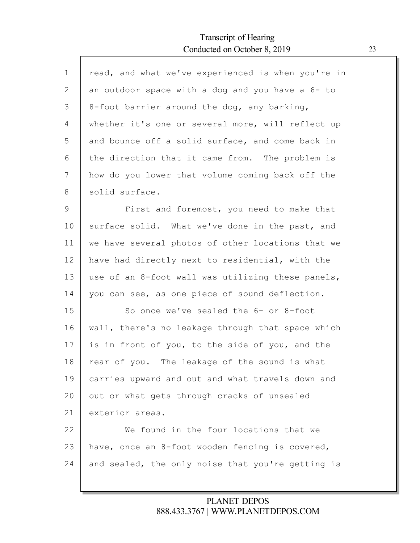Г

| $\mathbf 1$    | read, and what we've experienced is when you're in |
|----------------|----------------------------------------------------|
| $\overline{2}$ | an outdoor space with a dog and you have a 6- to   |
| 3              | 8-foot barrier around the dog, any barking,        |
| 4              | whether it's one or several more, will reflect up  |
| 5              | and bounce off a solid surface, and come back in   |
| 6              | the direction that it came from. The problem is    |
| 7              | how do you lower that volume coming back off the   |
| 8              | solid surface.                                     |
| 9              | First and foremost, you need to make that          |
| 10             | surface solid. What we've done in the past, and    |
| 11             | we have several photos of other locations that we  |
| 12             | have had directly next to residential, with the    |
| 13             | use of an 8-foot wall was utilizing these panels,  |
| 14             | you can see, as one piece of sound deflection.     |
| 15             | So once we've sealed the 6- or 8-foot              |
| 16             | wall, there's no leakage through that space which  |
| 17             | is in front of you, to the side of you, and the    |
| 18             | rear of you. The leakage of the sound is what      |
| 19             | carries upward and out and what travels down and   |
| 20             | out or what gets through cracks of unsealed        |
| 21             | exterior areas.                                    |
| 22             | We found in the four locations that we             |
| 23             | have, once an 8-foot wooden fencing is covered,    |
| 24             | and sealed, the only noise that you're getting is  |
|                |                                                    |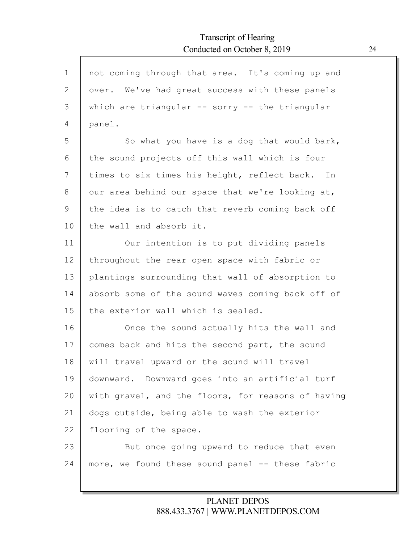| not coming through that area. It's coming up and    |
|-----------------------------------------------------|
| over. We've had great success with these panels     |
| which are triangular $--$ sorry $--$ the triangular |
| panel.                                              |
| So what you have is a dog that would bark,          |
| the sound projects off this wall which is four      |
| times to six times his height, reflect back. In     |
| our area behind our space that we're looking at,    |
| the idea is to catch that reverb coming back off    |
| the wall and absorb it.                             |
| Our intention is to put dividing panels             |
| throughout the rear open space with fabric or       |
| plantings surrounding that wall of absorption to    |
| absorb some of the sound waves coming back off of   |
| the exterior wall which is sealed.                  |
| Once the sound actually hits the wall and           |
| comes back and hits the second part, the sound      |
| will travel upward or the sound will travel         |
| downward. Downward goes into an artificial turf     |
| with gravel, and the floors, for reasons of having  |
| dogs outside, being able to wash the exterior       |
| flooring of the space.                              |
| But once going upward to reduce that even           |
| more, we found these sound panel -- these fabric    |
|                                                     |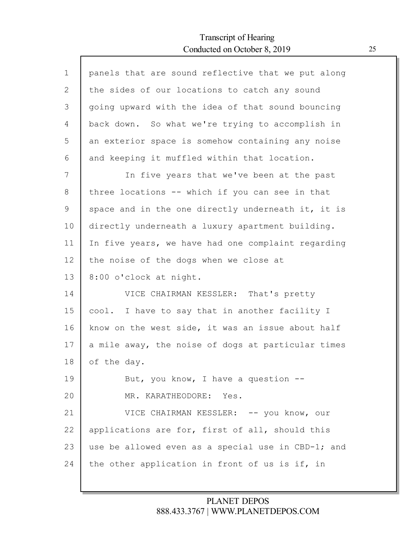Г

| panels that are sound reflective that we put along |
|----------------------------------------------------|
| the sides of our locations to catch any sound      |
| going upward with the idea of that sound bouncing  |
| back down. So what we're trying to accomplish in   |
| an exterior space is somehow containing any noise  |
| and keeping it muffled within that location.       |
| In five years that we've been at the past          |
| three locations -- which if you can see in that    |
| space and in the one directly underneath it, it is |
| directly underneath a luxury apartment building.   |
| In five years, we have had one complaint regarding |
| the noise of the dogs when we close at             |
| 8:00 o'clock at night.                             |
| VICE CHAIRMAN KESSLER: That's pretty               |
| I have to say that in another facility I<br>cool.  |
| know on the west side, it was an issue about half  |
| a mile away, the noise of dogs at particular times |
| of the day.                                        |
| But, you know, I have a question $-$ -             |
| MR. KARATHEODORE: Yes.                             |
|                                                    |
| VICE CHAIRMAN KESSLER: -- you know, our            |
| applications are for, first of all, should this    |
| use be allowed even as a special use in CBD-1; and |
|                                                    |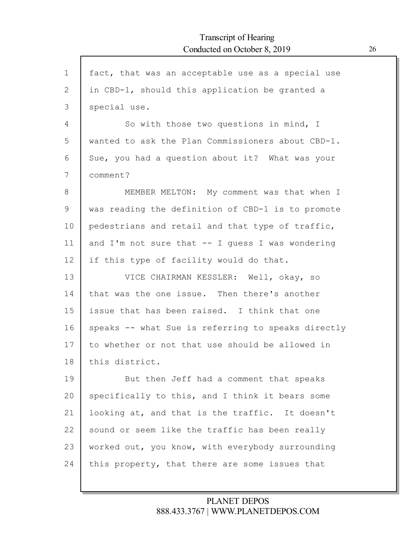| $\mathbf{1}$ | fact, that was an acceptable use as a special use  |
|--------------|----------------------------------------------------|
| $\mathbf{2}$ | in CBD-1, should this application be granted a     |
| 3            | special use.                                       |
| 4            | So with those two questions in mind, I             |
| 5            | wanted to ask the Plan Commissioners about CBD-1.  |
| 6            | Sue, you had a question about it? What was your    |
| 7            | comment?                                           |
| 8            | MEMBER MELTON: My comment was that when I          |
| 9            | was reading the definition of CBD-1 is to promote  |
| 10           | pedestrians and retail and that type of traffic,   |
| 11           | and I'm not sure that $--$ I guess I was wondering |
| 12           | if this type of facility would do that.            |
| 13           | VICE CHAIRMAN KESSLER: Well, okay, so              |
| 14           | that was the one issue. Then there's another       |
| 15           | issue that has been raised. I think that one       |
| 16           | speaks -- what Sue is referring to speaks directly |
| 17           | to whether or not that use should be allowed in    |
| 18           | this district.                                     |
| 19           | But then Jeff had a comment that speaks            |
| 20           | specifically to this, and I think it bears some    |
| 21           | looking at, and that is the traffic. It doesn't    |
| 22           | sound or seem like the traffic has been really     |
| 23           | worked out, you know, with everybody surrounding   |
| 24           | this property, that there are some issues that     |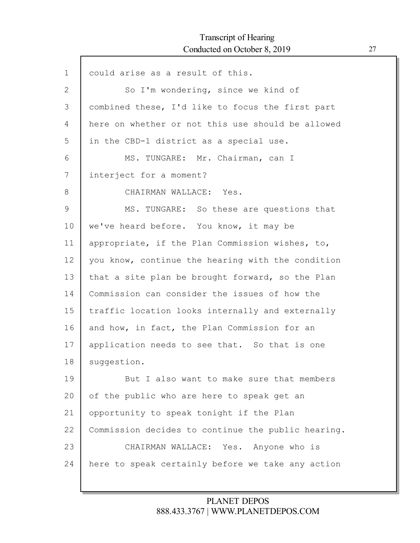Г

| $\mathbf 1$ | could arise as a result of this.                   |
|-------------|----------------------------------------------------|
| 2           | So I'm wondering, since we kind of                 |
| 3           | combined these, I'd like to focus the first part   |
| 4           | here on whether or not this use should be allowed  |
| 5           | in the CBD-1 district as a special use.            |
| 6           | MS. TUNGARE: Mr. Chairman, can I                   |
| 7           | interject for a moment?                            |
| 8           | CHAIRMAN WALLACE: Yes.                             |
| 9           | MS. TUNGARE: So these are questions that           |
| 10          | we've heard before. You know, it may be            |
| 11          | appropriate, if the Plan Commission wishes, to,    |
| 12          | you know, continue the hearing with the condition  |
| 13          | that a site plan be brought forward, so the Plan   |
| 14          | Commission can consider the issues of how the      |
| 15          | traffic location looks internally and externally   |
| 16          | and how, in fact, the Plan Commission for an       |
| 17          | application needs to see that. So that is one      |
| 18          | suggestion.                                        |
| 19          | But I also want to make sure that members          |
| 20          | of the public who are here to speak get an         |
| 21          | opportunity to speak tonight if the Plan           |
| 22          | Commission decides to continue the public hearing. |
| 23          | CHAIRMAN WALLACE: Yes. Anyone who is               |
| 24          | here to speak certainly before we take any action  |
|             |                                                    |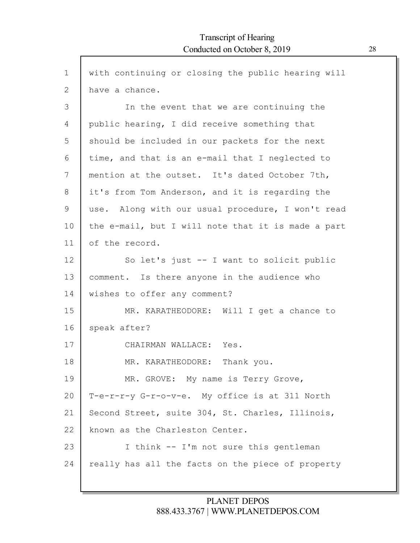| $\mathbf 1$     | with continuing or closing the public hearing will |
|-----------------|----------------------------------------------------|
| $\mathbf{2}$    | have a chance.                                     |
| 3               | In the event that we are continuing the            |
| 4               | public hearing, I did receive something that       |
| 5               | should be included in our packets for the next     |
| 6               | time, and that is an e-mail that I neglected to    |
| 7               | mention at the outset. It's dated October 7th,     |
| 8               | it's from Tom Anderson, and it is regarding the    |
| 9               | use. Along with our usual procedure, I won't read  |
| 10              | the e-mail, but I will note that it is made a part |
| 11              | of the record.                                     |
| 12 <sup>°</sup> | So let's just -- I want to solicit public          |
| 13              | comment. Is there anyone in the audience who       |
| 14              | wishes to offer any comment?                       |
| 15              | MR. KARATHEODORE: Will I get a chance to           |
| 16              | speak after?                                       |
| 17              | CHAIRMAN WALLACE: Yes.                             |
| 18              | MR. KARATHEODORE: Thank you.                       |
| 19              | MR. GROVE: My name is Terry Grove,                 |
| 20              | T-e-r-r-y G-r-o-v-e. My office is at 311 North     |
| 21              | Second Street, suite 304, St. Charles, Illinois,   |
| 22              | known as the Charleston Center.                    |
| 23              | I think -- I'm not sure this gentleman             |
| 24              | really has all the facts on the piece of property  |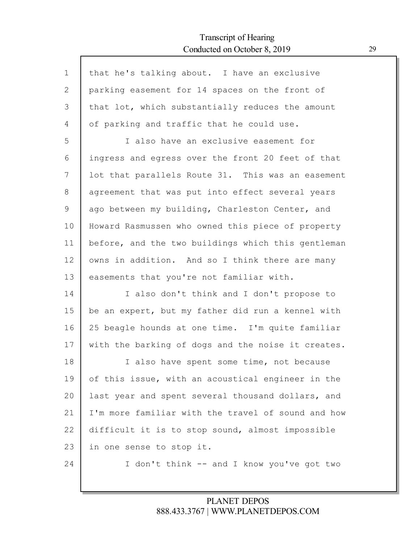Г

| $\mathbf 1$ | that he's talking about. I have an exclusive       |
|-------------|----------------------------------------------------|
| 2           | parking easement for 14 spaces on the front of     |
| 3           | that lot, which substantially reduces the amount   |
| 4           | of parking and traffic that he could use.          |
| 5           | I also have an exclusive easement for              |
| 6           | ingress and egress over the front 20 feet of that  |
| 7           | lot that parallels Route 31. This was an easement  |
| 8           | agreement that was put into effect several years   |
| 9           | ago between my building, Charleston Center, and    |
| 10          | Howard Rasmussen who owned this piece of property  |
| 11          | before, and the two buildings which this gentleman |
| 12          | owns in addition. And so I think there are many    |
| 13          | easements that you're not familiar with.           |
| 14          | I also don't think and I don't propose to          |
| 15          | be an expert, but my father did run a kennel with  |
| 16          | 25 beagle hounds at one time. I'm quite familiar   |
| 17          | with the barking of dogs and the noise it creates. |
| 18          | I also have spent some time, not because           |
| 19          | of this issue, with an acoustical engineer in the  |
| 20          | last year and spent several thousand dollars, and  |
| 21          | I'm more familiar with the travel of sound and how |
| 22          | difficult it is to stop sound, almost impossible   |
| 23          | in one sense to stop it.                           |
| 24          | I don't think -- and I know you've got two         |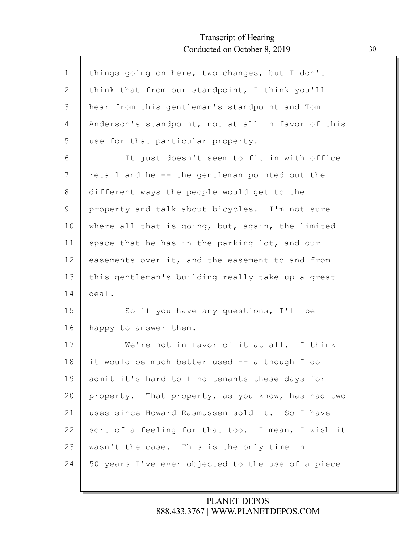Г

| $\mathbf 1$ | things going on here, two changes, but I don't     |
|-------------|----------------------------------------------------|
| 2           | think that from our standpoint, I think you'll     |
| 3           | hear from this gentleman's standpoint and Tom      |
| 4           | Anderson's standpoint, not at all in favor of this |
| 5           | use for that particular property.                  |
| 6           | It just doesn't seem to fit in with office         |
| 7           | retail and he -- the gentleman pointed out the     |
| 8           | different ways the people would get to the         |
| 9           | property and talk about bicycles. I'm not sure     |
| 10          | where all that is going, but, again, the limited   |
| 11          | space that he has in the parking lot, and our      |
| 12          | easements over it, and the easement to and from    |
| 13          | this gentleman's building really take up a great   |
| 14          | deal.                                              |
| 15          | So if you have any questions, I'll be              |
| 16          | happy to answer them.                              |
| 17          | We're not in favor of it at all. I think           |
| 18          | it would be much better used -- although I do      |
| 19          | admit it's hard to find tenants these days for     |
| 20          | property. That property, as you know, has had two  |
| 21          | uses since Howard Rasmussen sold it. So I have     |
| 22          | sort of a feeling for that too. I mean, I wish it  |
| 23          | wasn't the case. This is the only time in          |
| 24          | 50 years I've ever objected to the use of a piece  |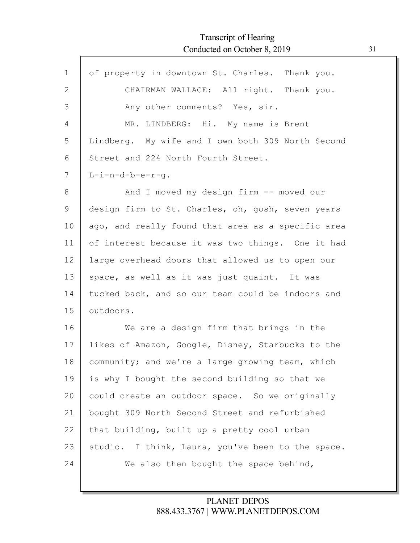| $\mathbf 1$ | of property in downtown St. Charles. Thank you.    |
|-------------|----------------------------------------------------|
| 2           | CHAIRMAN WALLACE: All right. Thank you.            |
| 3           | Any other comments? Yes, sir.                      |
| 4           | MR. LINDBERG: Hi. My name is Brent                 |
| 5           | Lindberg. My wife and I own both 309 North Second  |
| 6           | Street and 224 North Fourth Street.                |
| 7           | $L-i-n-d-b-e-r-q.$                                 |
| 8           | And I moved my design firm -- moved our            |
| 9           | design firm to St. Charles, oh, gosh, seven years  |
| 10          | ago, and really found that area as a specific area |
| 11          | of interest because it was two things. One it had  |
| 12          | large overhead doors that allowed us to open our   |
| 13          | space, as well as it was just quaint. It was       |
| 14          | tucked back, and so our team could be indoors and  |
| 15          | outdoors.                                          |
| 16          | We are a design firm that brings in the            |
| 17          | likes of Amazon, Google, Disney, Starbucks to the  |
| 18          | community; and we're a large growing team, which   |
| 19          | is why I bought the second building so that we     |
| 20          | could create an outdoor space. So we originally    |
| 21          | bought 309 North Second Street and refurbished     |
| 22          | that building, built up a pretty cool urban        |
| 23          | studio. I think, Laura, you've been to the space.  |
| 24          | We also then bought the space behind,              |
|             |                                                    |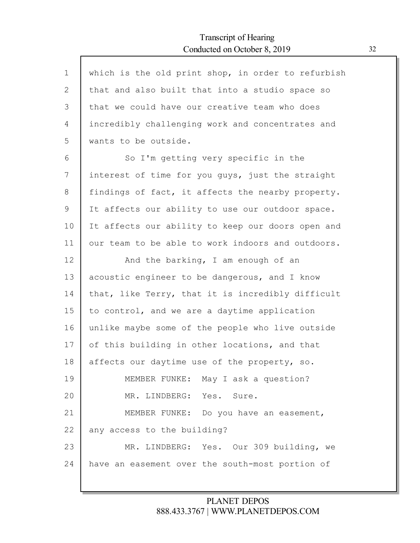$\Gamma$ 

| $\mathbf 1$  | which is the old print shop, in order to refurbish |
|--------------|----------------------------------------------------|
| $\mathbf{2}$ | that and also built that into a studio space so    |
| 3            | that we could have our creative team who does      |
| 4            | incredibly challenging work and concentrates and   |
| 5            | wants to be outside.                               |
| 6            | So I'm getting very specific in the                |
| 7            | interest of time for you guys, just the straight   |
| 8            | findings of fact, it affects the nearby property.  |
| 9            | It affects our ability to use our outdoor space.   |
| 10           | It affects our ability to keep our doors open and  |
| 11           | our team to be able to work indoors and outdoors.  |
| 12           | And the barking, I am enough of an                 |
| 13           | acoustic engineer to be dangerous, and I know      |
| 14           | that, like Terry, that it is incredibly difficult  |
| 15           | to control, and we are a daytime application       |
| 16           | unlike maybe some of the people who live outside   |
| 17           | of this building in other locations, and that      |
| 18           | affects our daytime use of the property, so.       |
| 19           | MEMBER FUNKE: May I ask a question?                |
| 20           | MR. LINDBERG: Yes. Sure.                           |
| 21           | MEMBER FUNKE: Do you have an easement,             |
| 22           | any access to the building?                        |
| 23           | MR. LINDBERG: Yes. Our 309 building, we            |
| 24           | have an easement over the south-most portion of    |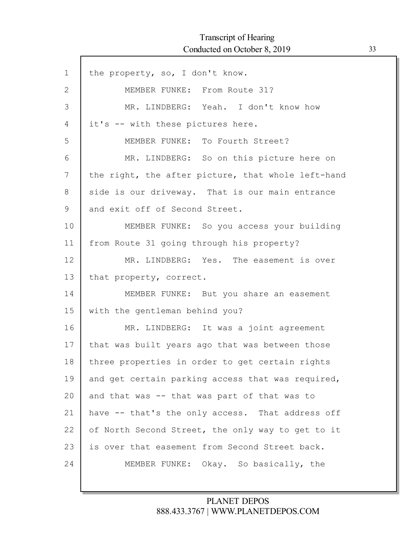ľ

| $\mathbf 1$ | the property, so, I don't know.                    |
|-------------|----------------------------------------------------|
| 2           | MEMBER FUNKE: From Route 31?                       |
| 3           | MR. LINDBERG: Yeah. I don't know how               |
| 4           | it's -- with these pictures here.                  |
| 5           | MEMBER FUNKE: To Fourth Street?                    |
| 6           | MR. LINDBERG: So on this picture here on           |
| 7           | the right, the after picture, that whole left-hand |
| 8           | side is our driveway. That is our main entrance    |
| 9           | and exit off of Second Street.                     |
| 10          | MEMBER FUNKE: So you access your building          |
| 11          | from Route 31 going through his property?          |
| 12          | MR. LINDBERG: Yes. The easement is over            |
| 13          | that property, correct.                            |
| 14          | MEMBER FUNKE: But you share an easement            |
| 15          | with the gentleman behind you?                     |
| 16          | MR. LINDBERG: It was a joint agreement             |
| 17          | that was built years ago that was between those    |
| 18          | three properties in order to get certain rights    |
| 19          | and get certain parking access that was required,  |
| 20          | and that was -- that was part of that was to       |
| 21          | have -- that's the only access. That address off   |
| 22          | of North Second Street, the only way to get to it  |
| 23          | is over that easement from Second Street back.     |
| 24          | MEMBER FUNKE: Okay. So basically, the              |
|             |                                                    |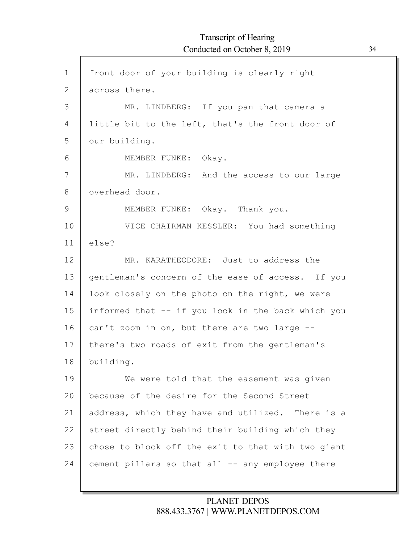| $\mathbf 1$  | front door of your building is clearly right       |
|--------------|----------------------------------------------------|
| $\mathbf{2}$ | across there.                                      |
| 3            | MR. LINDBERG: If you pan that camera a             |
| 4            | little bit to the left, that's the front door of   |
| 5            | our building.                                      |
| 6            | MEMBER FUNKE: Okay.                                |
| 7            | MR. LINDBERG: And the access to our large          |
| 8            | overhead door.                                     |
| $\mathsf 9$  | MEMBER FUNKE: Okay. Thank you.                     |
| 10           | VICE CHAIRMAN KESSLER: You had something           |
| 11           | else?                                              |
| 12           | MR. KARATHEODORE: Just to address the              |
| 13           | gentleman's concern of the ease of access. If you  |
| 14           | look closely on the photo on the right, we were    |
| 15           | informed that -- if you look in the back which you |
| 16           | can't zoom in on, but there are two large --       |
| 17           | there's two roads of exit from the gentleman's     |
| 18           | building.                                          |
| 19           | We were told that the easement was given           |
| 20           | because of the desire for the Second Street        |
| 21           | address, which they have and utilized. There is a  |
| 22           | street directly behind their building which they   |
| 23           | chose to block off the exit to that with two giant |
| 24           | cement pillars so that all -- any employee there   |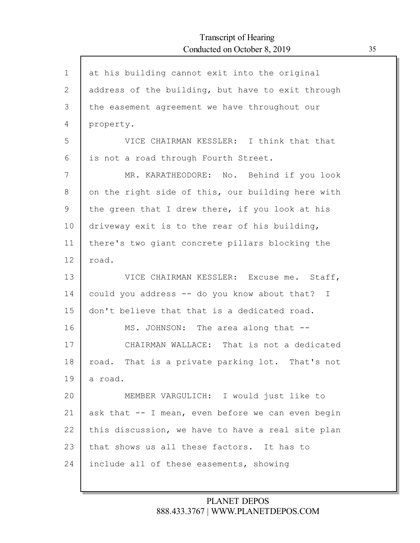| $\mathbf{1}$ | at his building cannot exit into the original     |
|--------------|---------------------------------------------------|
| $\mathbf{2}$ | address of the building, but have to exit through |
| 3            | the easement agreement we have throughout our     |
| 4            | property.                                         |
| 5            | VICE CHAIRMAN KESSLER: I think that that          |
| 6            | is not a road through Fourth Street.              |
| 7            | MR. KARATHEODORE: No. Behind if you look          |
| 8            | on the right side of this, our building here with |
| 9            | the green that I drew there, if you look at his   |
| 10           | driveway exit is to the rear of his building,     |
| 11           | there's two giant concrete pillars blocking the   |
| 12           | road.                                             |
| 13           | VICE CHAIRMAN KESSLER: Excuse me. Staff,          |
| 14           | could you address -- do you know about that? I    |
| 15           | don't believe that that is a dedicated road.      |
| 16           | MS. JOHNSON: The area along that --               |
| 17           | CHAIRMAN WALLACE: That is not a dedicated         |
| 18           | road. That is a private parking lot. That's not   |
| 19           | a road.                                           |
| 20           | MEMBER VARGULICH: I would just like to            |
| 21           | ask that -- I mean, even before we can even begin |
| 22           | this discussion, we have to have a real site plan |
| 23           | that shows us all these factors. It has to        |
| 24           | include all of these easements, showing           |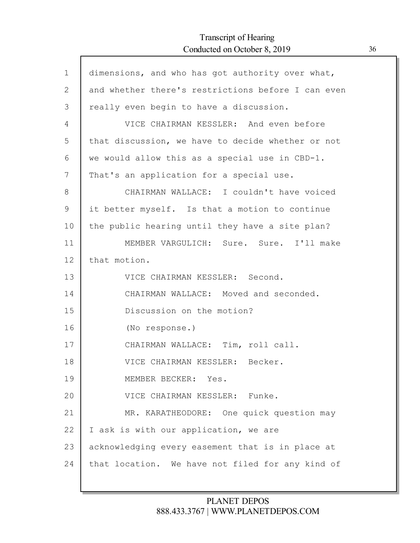Г

| $\mathbf 1$ | dimensions, and who has got authority over what,   |
|-------------|----------------------------------------------------|
| 2           | and whether there's restrictions before I can even |
| 3           | really even begin to have a discussion.            |
| 4           | VICE CHAIRMAN KESSLER: And even before             |
| 5           | that discussion, we have to decide whether or not  |
| 6           | we would allow this as a special use in CBD-1.     |
| 7           | That's an application for a special use.           |
| 8           | CHAIRMAN WALLACE: I couldn't have voiced           |
| 9           | it better myself. Is that a motion to continue     |
| 10          | the public hearing until they have a site plan?    |
| 11          | MEMBER VARGULICH: Sure. Sure. I'll make            |
| 12          | that motion.                                       |
| 13          | VICE CHAIRMAN KESSLER: Second.                     |
| 14          | CHAIRMAN WALLACE: Moved and seconded.              |
| 15          | Discussion on the motion?                          |
| 16          | (No response.)                                     |
| 17          | CHAIRMAN WALLACE: Tim, roll call.                  |
| 18          | VICE CHAIRMAN KESSLER: Becker.                     |
| 19          | MEMBER BECKER: Yes.                                |
| 20          | VICE CHAIRMAN KESSLER: Funke.                      |
| 21          | MR. KARATHEODORE: One quick question may           |
| 22          | I ask is with our application, we are              |
| 23          | acknowledging every easement that is in place at   |
| 24          | that location. We have not filed for any kind of   |
|             |                                                    |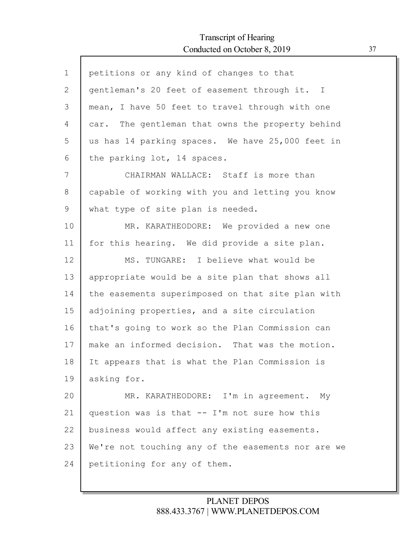| $\mathbf 1$  | petitions or any kind of changes to that           |
|--------------|----------------------------------------------------|
| $\mathbf{2}$ | gentleman's 20 feet of easement through it. I      |
| 3            | mean, I have 50 feet to travel through with one    |
| 4            | car. The gentleman that owns the property behind   |
| 5            | us has 14 parking spaces. We have 25,000 feet in   |
| 6            | the parking lot, 14 spaces.                        |
| 7            | CHAIRMAN WALLACE: Staff is more than               |
| 8            | capable of working with you and letting you know   |
| 9            | what type of site plan is needed.                  |
| 10           | MR. KARATHEODORE: We provided a new one            |
| 11           | for this hearing. We did provide a site plan.      |
| 12           | MS. TUNGARE: I believe what would be               |
| 13           | appropriate would be a site plan that shows all    |
| 14           | the easements superimposed on that site plan with  |
| 15           | adjoining properties, and a site circulation       |
| 16           | that's going to work so the Plan Commission can    |
| 17           | make an informed decision. That was the motion.    |
| 18           | It appears that is what the Plan Commission is     |
| 19           | asking for.                                        |
| 20           | MR. KARATHEODORE: I'm in agreement. My             |
| 21           | question was is that -- I'm not sure how this      |
| 22           | business would affect any existing easements.      |
| 23           | We're not touching any of the easements nor are we |
| 24           | petitioning for any of them.                       |
|              |                                                    |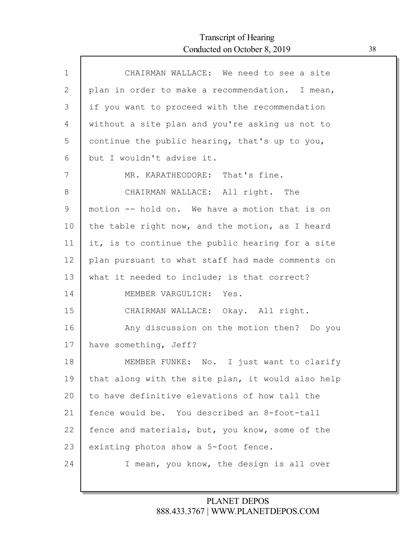Г

| $\mathbf{1}$  | CHAIRMAN WALLACE: We need to see a site           |
|---------------|---------------------------------------------------|
| $\mathbf{2}$  | plan in order to make a recommendation. I mean,   |
| 3             | if you want to proceed with the recommendation    |
| 4             | without a site plan and you're asking us not to   |
| 5             | continue the public hearing, that's up to you,    |
| 6             | but I wouldn't advise it.                         |
| 7             | MR. KARATHEODORE: That's fine.                    |
| 8             | CHAIRMAN WALLACE: All right. The                  |
| $\mathcal{G}$ | motion -- hold on. We have a motion that is on    |
| 10            | the table right now, and the motion, as I heard   |
| 11            | it, is to continue the public hearing for a site  |
| 12            | plan pursuant to what staff had made comments on  |
| 13            | what it needed to include; is that correct?       |
| 14            | MEMBER VARGULICH: Yes.                            |
| 15            | CHAIRMAN WALLACE: Okay. All right.                |
| 16            | Any discussion on the motion then? Do you         |
| 17            | have something, Jeff?                             |
| 18            | MEMBER FUNKE: No. I just want to clarify          |
| 19            | that along with the site plan, it would also help |
| 20            | to have definitive elevations of how tall the     |
| 21            | fence would be. You described an 8-foot-tall      |
| 22            | fence and materials, but, you know, some of the   |
| 23            | existing photos show a 5-foot fence.              |
| 24            | I mean, you know, the design is all over          |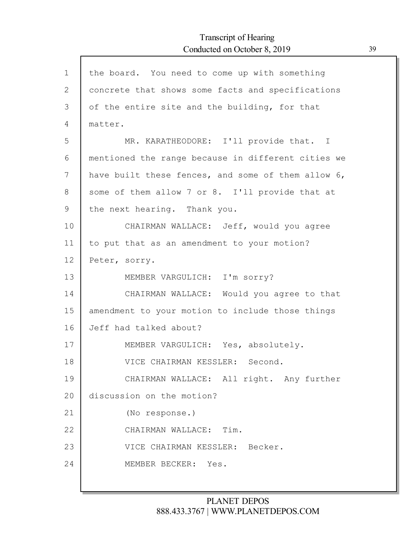| $\mathbf 1$  | the board. You need to come up with something      |
|--------------|----------------------------------------------------|
| $\mathbf{2}$ | concrete that shows some facts and specifications  |
| 3            | of the entire site and the building, for that      |
| 4            | matter.                                            |
| 5            | MR. KARATHEODORE: I'll provide that. I             |
| 6            | mentioned the range because in different cities we |
| 7            | have built these fences, and some of them allow 6, |
| 8            | some of them allow 7 or 8. I'll provide that at    |
| 9            | the next hearing. Thank you.                       |
| 10           | CHAIRMAN WALLACE: Jeff, would you agree            |
| 11           | to put that as an amendment to your motion?        |
| 12           | Peter, sorry.                                      |
| 13           | MEMBER VARGULICH: I'm sorry?                       |
| 14           | CHAIRMAN WALLACE: Would you agree to that          |
| 15           | amendment to your motion to include those things   |
| 16           | Jeff had talked about?                             |
| 17           | MEMBER VARGULICH: Yes, absolutely.                 |
| 18           | VICE CHAIRMAN KESSLER: Second.                     |
| 19           | CHAIRMAN WALLACE: All right. Any further           |
| 20           | discussion on the motion?                          |
| 21           | (No response.)                                     |
| 22           | CHAIRMAN WALLACE: Tim.                             |
| 23           | VICE CHAIRMAN KESSLER: Becker.                     |
| 24           | MEMBER BECKER:<br>Yes.                             |
|              |                                                    |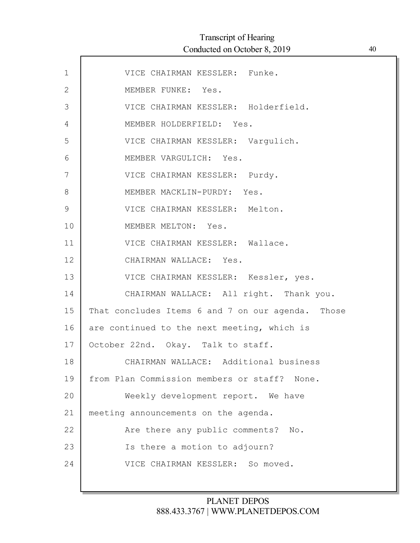| $\mathbf 1$  | VICE CHAIRMAN KESSLER: Funke.                     |
|--------------|---------------------------------------------------|
| $\mathbf{2}$ | MEMBER FUNKE: Yes.                                |
| 3            | VICE CHAIRMAN KESSLER: Holderfield.               |
| 4            | MEMBER HOLDERFIELD: Yes.                          |
| 5            | VICE CHAIRMAN KESSLER: Vargulich.                 |
| $6\,$        | MEMBER VARGULICH: Yes.                            |
| 7            | VICE CHAIRMAN KESSLER: Purdy.                     |
| 8            | MEMBER MACKLIN-PURDY: Yes.                        |
| 9            | VICE CHAIRMAN KESSLER: Melton.                    |
| 10           | MEMBER MELTON: Yes.                               |
| 11           | VICE CHAIRMAN KESSLER: Wallace.                   |
| 12           | CHAIRMAN WALLACE: Yes.                            |
| 13           | VICE CHAIRMAN KESSLER: Kessler, yes.              |
| 14           | CHAIRMAN WALLACE: All right. Thank you.           |
| 15           | That concludes Items 6 and 7 on our agenda. Those |
| 16           | are continued to the next meeting, which is       |
| 17           | October 22nd. Okay. Talk to staff.                |
| 18           | CHAIRMAN WALLACE: Additional business             |
| 19           | from Plan Commission members or staff? None.      |
| 20           | Weekly development report. We have                |
| 21           | meeting announcements on the agenda.              |
| 22           | Are there any public comments?<br>No.             |
| 23           | Is there a motion to adjourn?                     |
| 24           | VICE CHAIRMAN KESSLER: So moved.                  |
|              |                                                   |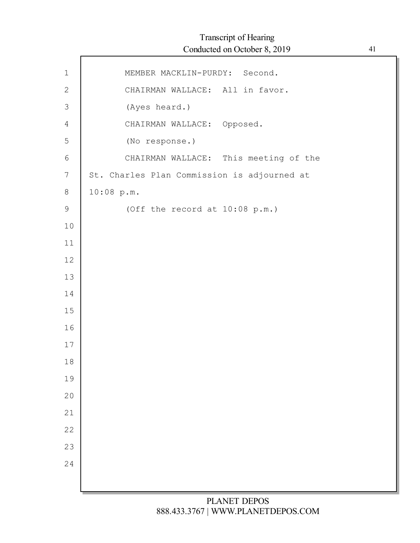| $\mathbf 1$    | MEMBER MACKLIN-PURDY: Second.               |
|----------------|---------------------------------------------|
| $\mathbf{2}$   | CHAIRMAN WALLACE: All in favor.             |
| $\mathfrak{Z}$ | (Ayes heard.)                               |
| $\overline{4}$ | CHAIRMAN WALLACE: Opposed.                  |
| 5              | (No response.)                              |
| $6\,$          | CHAIRMAN WALLACE: This meeting of the       |
| $\overline{7}$ | St. Charles Plan Commission is adjourned at |
| $\,8\,$        | 10:08 p.m.                                  |
| $\mathsf 9$    | (Off the record at 10:08 p.m.)              |
| 10             |                                             |
| $11$           |                                             |
| 12             |                                             |
| 13             |                                             |
| 14             |                                             |
| 15             |                                             |
| 16             |                                             |
| 17             |                                             |
| 18             |                                             |
| 19             |                                             |
| 20             |                                             |
| 21             |                                             |
| 22             |                                             |
| 23             |                                             |
| 24             |                                             |
|                |                                             |